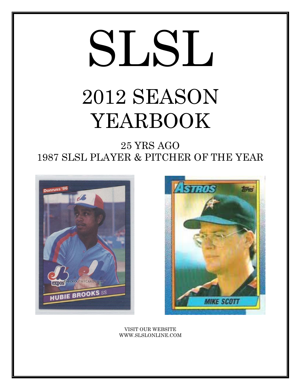# SLSL 2012 SEASON YEARBOOK

25 YRS AGO 1987 SLSL PLAYER & PITCHER OF THE YEAR





VISIT OUR WEBSITE WWW.SLSLONLINE.COM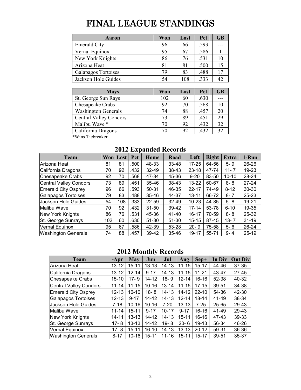# FINAL LEAGUE STANDINGS

| Aaron               | Won | Lost | Pct  | <b>GB</b> |
|---------------------|-----|------|------|-----------|
| <b>Emerald City</b> | 96  | 66   | .593 |           |
| Vernal Equinox      | 95  | 67   | .586 |           |
| New York Knights    | 86  | 76   | .531 | 10        |
| Arizona Heat        | 81  | 81   | .500 | 15        |
| Galapagos Tortoises | 79  | 83   | .488 | 17        |
| Jackson Hole Guides | 54  | 108  | .333 | 42        |

| <b>Mays</b>                   | Won | Lost | Pct  | GB |
|-------------------------------|-----|------|------|----|
| St. George Sun Rays           | 102 | 60   | .630 |    |
| Chesapeake Crabs              | 92  | 70   | .568 |    |
| <b>Washington Generals</b>    | 74  | 88   | .457 | 20 |
| <b>Central Valley Condors</b> | 73  | 89   | .451 | 29 |
| Malibu Wave *                 | 70  | 92   | .432 | 32 |
| California Dragons            | 70  | 92   | .432 | 32 |

\*Wins Tiebreaker

| <b>Team</b>                   | Won | Lost | Pct  | <b>Home</b> | Road      | Left      | <b>Right</b> | <b>Extra</b> | 1-Run     |
|-------------------------------|-----|------|------|-------------|-----------|-----------|--------------|--------------|-----------|
| Arizona Heat                  | 81  | 81   | .500 | 48-33       | 33-48     | $17 - 25$ | 64-56        | $5 - 9$      | 26-26     |
| California Dragons            | 70  | 92   | .432 | $32 - 49$   | 38-43     | $23 - 18$ | 47-74        | $11 - 7$     | 19-23     |
| <b>Chesapeake Crabs</b>       | 92  | 70   | .568 | 47-34       | 45-36     | $9 - 20$  | 83-50        | $10 - 10$    | 28-24     |
| <b>Central Valley Condors</b> | 73  | 89   | .451 | 35-46       | 38-43     | 13-22     | 60-67        | $8 - 8$      | $27 - 24$ |
| <b>Emerald City Osprey</b>    | 96  | 66   | .593 | $50 - 31$   | 46-35     | $22 - 17$ | 74-49        | $8 - 12$     | $30 - 30$ |
| <b>Galapagos Tortoises</b>    | 79  | 83   | .488 | $35 - 46$   | 44-37     | $13 - 11$ | 66-72        | $8 - 7$      | 25-23     |
| Jackson Hole Guides           | 54  | 108  | .333 | 22-59       | 32-49     | $10 - 23$ | 44-85        | $5 - 8$      | 19-21     |
| Malibu Wave                   | 70  | 92   | .432 | $31 - 50$   | 39-42     | $17 - 14$ | 53-78        | $6 - 10$     | 19-35     |
| <b>New York Knights</b>       | 86  | 76   | .531 | 45-36       | 41-40     | $16 - 17$ | 70-59        | $8 - 8$      | 25-32     |
| St. George Sunrays            | 102 | 60   | .630 | $51 - 30$   | $51 - 30$ | $15 - 15$ | 87-45        | $13 - 7$     | $31 - 19$ |
| Vernal Equinox                | 95  | 67   | .586 | 42-39       | 53-28     | $20 - 9$  | 75-58        | $5 - 6$      | 26-24     |
| <b>Washington Generals</b>    | 74  | 88   | .457 | 39-42       | 35-46     | 19-17     | 55-71        | $9 - 4$      | 25-19     |

## **2012 Expanded Records**

## **2012 Monthly Records**

| <b>Team</b>                | $-Apr$    | May       | Jun       | Jul       | Aug       | $Sep+$    | In Div | <b>Out Div</b> |
|----------------------------|-----------|-----------|-----------|-----------|-----------|-----------|--------|----------------|
| Arizona Heat               | 13-12     | 15-11     | $13 - 13$ | 14-13     | $11 - 15$ | 15-17     | 44-46  | 37-35          |
| California Dragons         | $13 - 12$ | $12 - 14$ | $9 - 17$  | 14-13     | $11 - 15$ | $11 - 21$ | 43-47  | $27 - 45$      |
| Chesapeake Crabs           | $15 - 10$ | $17 - 9$  | 14-12     | $18 - 9$  | $12 - 14$ | $16 - 16$ | 52-38  | 40-32          |
| Central Valley Condors     | $11 - 14$ | $11 - 15$ | $10 - 16$ | $13 - 14$ | $11 - 15$ | $17 - 15$ | 39-51  | 34-38          |
| <b>Emerald City Osprey</b> | $12 - 13$ | $16 - 10$ | $18 - 8$  | $14 - 13$ | 14-12     | $22 - 10$ | 54-36  | 42-30          |
| Galapagos Tortoises        | 12-13     | $9 - 17$  | 14-12     | 14-13     | $12 - 14$ | 18-14     | 41-49  | 38-34          |
| Jackson Hole Guides        | $7 - 18$  | $10 - 16$ | $10 - 16$ | $7 - 20$  | $13 - 13$ | $7 - 25$  | 25-65  | 29-43          |
| Malibu Wave                | $11 - 14$ | $15 - 11$ | $9 - 17$  | $10 - 17$ | $9 - 17$  | 16-16     | 41-49  | 29-43          |
| New York Knights           | 14-11     | $13 - 13$ | 14-12     | $14 - 13$ | $15 - 11$ | $16 - 16$ | 47-43  | 39-33          |
| St. George Sunrays         | $17 - 8$  | $13 - 13$ | 14-12     | $19 - 8$  | $20 - 6$  | 19-13     | 56-34  | 46-26          |
| Vernal Equinox             | $17 - 8$  | $15 - 11$ | $16 - 10$ | $14 - 13$ | $13 - 13$ | $20 - 12$ | 59-31  | 36-36          |
| <b>Washington Generals</b> | $8 - 17$  | $10 - 16$ | $15 - 11$ | $11 - 16$ | $15 - 11$ | $15 - 17$ | 39-51  | 35-37          |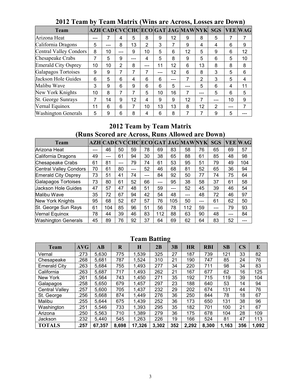| <b>Team</b>                |    |     |     |     |                |     |     | AZH CAD CVC CHC ECO GAT JAG MAWNYK |     | <b>SGS</b> |     | <b>VEE WAG</b> |
|----------------------------|----|-----|-----|-----|----------------|-----|-----|------------------------------------|-----|------------|-----|----------------|
| Arizona Heat               |    |     | 4   | 5   | 8              | 9   | 12  | 9                                  | 8   | 5          |     |                |
| California Dragons         | 5  | --- | 8   | 13  | $\overline{2}$ | 3   | 7   | 9                                  | 4   | 4          | 6   | 9              |
| Central Valley Condors     | 8  | 10  | --- | 9   | 10             | 5   | 6   | 12                                 | 5   | 9          | 6   | 12             |
| Chesapeake Crabs           | 7  | 5   | 9   | --- | 4              | 5   | 8   | 9                                  | 5   | 6          | 5   | 10             |
| <b>Emerald City Osprey</b> | 10 | 10  | 2   | 8   | ---            | 11  | 12  | 6                                  | 13  | 8          | 8   | 8              |
| Galapagos Tortoises        | 9  | 9   | 7   |     | 7              | --- | 12  | 6                                  | 8   | 3          | 5   | 6              |
| Jackson Hole Guides        | 6  | 5   | 6   | 4   | 6              | 6   | --- |                                    | 2   | 3          | 5   | 4              |
| Malibu Wave                | 3  | 9   | 6   | 9   | 6              | 6   | 5   | ---                                | 5   | 6          | 4   | 11             |
| New York Knights           | 10 | 8   | 7   |     | 5              | 10  | 16  | 7                                  | --- | 5          | 6   | 5              |
| St. George Sunrays         | 7  | 14  | 9   | 12  | 4              | 9   | 9   | 12                                 | 7   |            | 10  | 9              |
| Vernal Equinox             | 11 | 6   | 6   | 7   | 10             | 13  | 13  | 8                                  | 12  | 2          | --- |                |
| <b>Washington Generals</b> | 5  | 9   | 6   | 8   | 4              | 6   | 8   |                                    |     | 9          | 5   |                |

**2012 Team by Team Matrix (Wins are Across, Losses are Down)** 

# **2012 Team by Team Matrix (Runs Scored are Across, Runs Allowed are Down)**

| <b>Team</b>                |     |     |     |     |     |     |     | AZH CAD CVC CHC ECO GAT JAG MAWNYK |     | <b>SGS</b> |     | <b>VEE WAG</b> |
|----------------------------|-----|-----|-----|-----|-----|-----|-----|------------------------------------|-----|------------|-----|----------------|
| Arizona Heat               | --- | 46  | 50  | 59  | 78  | 69  | 83  | 58                                 | 76  | 65         | 69  | 57             |
| California Dragons         | 49  | --- | 61  | 94  | 30  | 38  | 65  | 88                                 | 61  | 85         | 48  | 98             |
| Chesapeake Crabs           | 61  | 81  | --- | 79  | 74  | 61  | 53  | 95                                 | 51  | 79         | 49  | 104            |
| Central Valley Condors     | 70  | 61  | 80  | --- | 52  | 46  | 68  | 81                                 | 52  | 65         | 36  | 94             |
| Emerald City Osprey        | 73  | 51  | 41  | 74  | --- | 84  | 92  | 50                                 | 77  | 74         | 75  | 64             |
| Galapagos Tortoises        | 73  | 80  | 61  | 52  | 66  | --- | 95  | 38                                 | 58  | 37         | 61  | 58             |
| Jackson Hole Guides        | 47  | 57  | 47  | 48  | 51  | 59  | --- | 52                                 | 45  | 39         | 46  | 54             |
| Malibu Wave                | 35  | 72  | 67  | 94  | 42  | 54  | 48  | ---                                | 48  | 72         | 46  | 97             |
| New York Knights           | 95  | 68  | 52  | 67  | 57  | 76  | 105 | 50                                 | --- | 61         | 62  | 50             |
| St. George Sun Rays        | 61  | 104 | 85  | 96  | 51  | 56  | 78  | 112                                | 59  |            | 79  | 93             |
| Vernal Equinox             | 78  | 44  | 39  | 46  | 83  | 112 | 88  | 63                                 | 90  | 48         | --- | 84             |
| <b>Washington Generals</b> | 45  | 89  | 76  | 92  | 37  | 64  | 69  | 62                                 | 64  | 83         | 52  |                |

| <b>Team</b>           | <b>AVG</b> | $\mathbf{A}\mathbf{B}$ | $\bf R$ | $\bf H$ | 2B    | ౌ<br>3B | <b>HR</b> | <b>RBI</b> | SB    | $\overline{\mathbf{C}}$ | E     |
|-----------------------|------------|------------------------|---------|---------|-------|---------|-----------|------------|-------|-------------------------|-------|
| Vernal                | .273       | 5,630                  | 775     | 1,539   | 325   | 27      | 187       | 739        | 121   | 33                      | 82    |
| Chesapeake            | .268       | 5,681                  | 787     | 1,524   | 310   | 21      | 190       | 747        | 85    | 24                      | 76    |
| <b>Emerald City</b>   | .263       | 5,684                  | 755     | 1,493   | 277   | 34      | 220       | 711        | 98    | 34                      | 83    |
| California            | .263       | 5,687                  | 717     | 1,493   | 262   | 21      | 167       | 677        | 62    | 16                      | 125   |
| New York              | .261       | 5,564                  | 743     | 1,450   | 271   | 35      | 192       | 715        | 119   | 39                      | 104   |
| Galapagos             | .258       | 5,650                  | 679     | 1,457   | 297   | 23      | 188       | 640        | 53    | 14                      | 94    |
| <b>Central Valley</b> | .257       | 5,600                  | 705     | 1,437   | 232   | 29      | 202       | 674        | 131   | 44                      | 76    |
| St. George            | .256       | 5,668                  | 874     | 1,449   | 276   | 36      | 250       | 844        | 78    | 18                      | 67    |
| Malibu                | .255       | 5,644                  | 675     | 1,439   | 252   | 36      | 173       | 650        | 131   | 38                      | 96    |
| Washington            | .251       | 5,546                  | 733     | 1,393   | 295   | 35      | 182       | 701        | 100   | 21                      | 67    |
| Arizona               | .250       | 5,563                  | 710     | 1,389   | 279   | 36      | 175       | 678        | 104   | 28                      | 109   |
| Jackson               | .232       | 5,440                  | 545     | 1,263   | 226   | 19      | 166       | 524        | 81    | 47                      | 113   |
| <b>TOTALS</b>         | .257       | 67,357                 | 8,698   | 17,326  | 3,302 | 352     | 2,292     | 8,300      | 1,163 | 356                     | 1,092 |

# **Team Batting**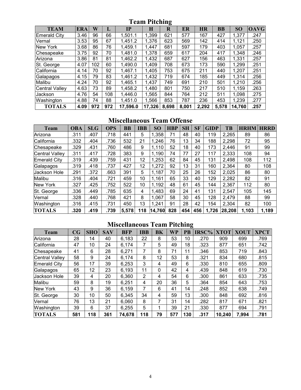**Team Pitching** 

|                 |            |     |     |          |        | ᇰ     |       |           |           |        |                   |
|-----------------|------------|-----|-----|----------|--------|-------|-------|-----------|-----------|--------|-------------------|
| <b>TEAM</b>     | <b>ERA</b> | W   | п   | IP       | Н      | R     | ER    | <b>HR</b> | <b>BB</b> | SO     | $\overline{OAVG}$ |
| Emerald City    | 3.46       | 96  | 66  | 1,501.1  | 1,399  | 621   | 577   | 167       | 427       | 1,377  | .247              |
| Vernal          | 3.53       | 95  | 67  | 1,451.2  | 1,376  | 623   | 569   | 142       | 414       | 1,121  | .250              |
| <b>New York</b> | 3.68       | 86  | 76  | 1,459.1  | 1,447  | 681   | 597   | 179       | 403       | 1,057  | .257              |
| Chesapeake      | 3.75       | 92  | 70  | 1,481.0  | 1,378  | 659   | 617   | 204       | 417       | 1,348  | .246              |
| Arizona         | 3.86       | 81  | 81  | 1,462.2  | 1,432  | 687   | 627   | 156       | 463       | 1,331  | .257              |
| St. George      | 4.07       | 102 | 60  | 1,490.0  | 1,409  | 708   | 673   | 173       | 590       | 1,299  | .251              |
| California      | 4.14       | 70  | 92  | 1,467.1  | 1,405  | 753   | 675   | 211       | 440       | 1,207  | .251              |
| Galapagos       | 4.15       | 79  | 83  | 1,461.2  | 1,432  | 719   | 674   | 185       | 449       | 1,314  | .256              |
| Malibu          | 4.24       | 70  | 92  | 1,465.1  | 1,437  | 749   | 691   | 210       | 501       | 1,210  | .256              |
| Central Valley  | 4.63       | 73  | 89  | 1,458.2  | 1,480  | 801   | 750   | 217       | 510       | 1,159  | .263              |
| <b>Jackson</b>  | 4.76       | 54  | 108 | 1,446.0  | 1,565  | 844   | 764   | 212       | 511       | 1,098  | .275              |
| Washington      | 4.88       | 74  | 88  | 1,451.0  | 1,566  | 853   | 787   | 236       | 453       | 1,239  | .277              |
| <b>TOTALS</b>   | 4.09       | 972 | 972 | 17,596.0 | 17,326 | 8,698 | 8,001 | 2,292     | 5,578     | 14,760 | .257              |

# **Miscellaneous Team Offense**

| <b>Team</b>         | <b>OBA</b> | <b>SLG</b> | <b>OPS</b> | $\overline{\mathbf{B}}\mathbf{B}$ | <b>IBB</b> | SO        | <b>HBP</b> | <b>SH</b> | <b>SF</b> | <b>GIDP</b> | TB     | <b>HRHM</b> | <b>HRRD</b> |
|---------------------|------------|------------|------------|-----------------------------------|------------|-----------|------------|-----------|-----------|-------------|--------|-------------|-------------|
| Arizona             | .311       | .407       | .718       | 441                               | 5          | .358      | 71         | 48        | 40        | 119         | 2,265  | 89          | 86          |
| California          | .332       | .404       | .736       | 532                               | 21         | 1,246     | 76         | 13        | 34        | 188         | 2,298  | 72          | 95          |
| Chesapeake          | .329       | .431       | .760       | 486                               | 9          | 1,110     | 52         | 18        | 40        | 173         | 2,446  | 91          | 99          |
| Central Valley      | .311       | .417       | .728       | 383                               | 9          | 1,190     | 74         | 77        | 27        | 117         | 2,333  | 108         | 94          |
| Emerald City        | .319       | .439       | .759       | 431                               | 12         | .253      | 62         | 84        | 45        | 131         | 2,498  | 108         | 112         |
| Galapagos           | .319       | .418       | .737       | 427                               | 12         | .272      | 92         | 13        | 31        | 160         | 2,364  | 80          | 108         |
| <b>Jackson Hole</b> | .291       | .372       | .663       | 391                               | 5          | .187<br>1 | 70         | 25        | 26        | 152         | 2,025  | 86          | 80          |
| Malibu              | .316       | .404       | .721       | 459                               | 10         | 1,161     | 65         | 33        | 40        | 129         | 2,282  | 82          | 91          |
| New York            | .327       | .425       | .752       | 522                               | 10         | 1,192     | 48         | 61        | 45        | 144         | 2,367  | 112         | 80          |
| St. George          | .336       | .449       | .785       | 635                               | 4          | 1,483     | 69         | 24        | 41        | 131         | 2,547  | 105         | 145         |
| Vernal              | .328       | .440       | .768       | 421                               | 8          | .067      | 58         | 30        | 45        | 128         | 2,479  | 88          | 99          |
| Washington          | .316       | .415       | .731       | 450                               | 13         | ,241      | 91         | 28        | 42        | 154         | 2,304  | 82          | 100         |
| <b>TOTALS</b>       | .320       | .419       | .739       | 5,578                             | 118        | 14,760    | 828        | 454       | 456       | 1,726       | 28,208 | 1,103       | 1,189       |

# **Miscellaneous Team Pitching**

| <b>Team</b>           | CG  | <b>SHO</b> | <b>SAV</b> | <b>BFP</b> | <b>IBB</b>     | <b>BK</b> | <b>WP</b> | PB  | <b>IRSC%</b> | <b>XTOT</b> | <b>XOUT</b> | <b>XPCT</b> |
|-----------------------|-----|------------|------------|------------|----------------|-----------|-----------|-----|--------------|-------------|-------------|-------------|
| Arizona               | 28  | 14         | 40         | 6,183      | 22             | 8         | 53        | 10  | .270         | 909         | 699         | .769        |
| California            | 47  | 10         | 24         | 6,174      | 7              | 5         | 49        | 18  | .323         | 877         | 651         | .742        |
| Chesapeake            | 41  | 6          | 28         | 6,271      | 7              | 8         | 71        | 11  | .346         | 853         | 719         | .843        |
| <b>Central Valley</b> | 58  | 9          | 24         | 6,174      | 8              | 12        | 53        | 8   | .321         | 834         | 680         | .815        |
| Emerald City          | 56  | 17         | 39         | 6,253      | 3              | 4         | 49        | 6   | .330         | 810         | 655         | .809        |
| Galapagos             | 65  | 12         | 23         | 6,193      | 11             | 0         | 42        | 4   | .439         | 848         | 619         | .730        |
| Jackson Hole          | 39  | 4          | 20         | 6,360      | $\overline{2}$ | 4         | 54        | 6   | .300         | 861         | 633         | .735        |
| Malibu                | 59  | 8          | 19         | 6,251      | 4              | 20        | 36        | 5   | .364         | 854         | 643         | .753        |
| <b>New York</b>       | 43  | 9          | 36         | 6,159      | 7              | 6         | 41        | 14  | .248         | 852         | 638         | .749        |
| St. George            | 30  | 10         | 50         | 6,345      | 34             | 4         | 59        | 13  | .300         | 848         | 692         | .816        |
| Vernal                | 76  | 13         | 21         | 6,060      | 8              | 7         | 31        | 14  | .282         | 817         | 671         | .821        |
| Washington            | 39  | 6          | 37         | 6,255      | 5              |           | 39        | 21  | .330         | 877         | 694         | .791        |
| <b>TOTALS</b>         | 581 | 118        | 361        | 74,678     | 118            | 79        | 577       | 130 | .317         | 10,240      | 7,994       | .781        |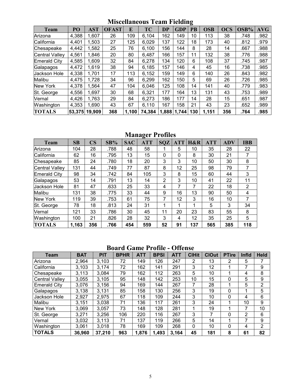| <b>Miscellaneous Team Fielding</b> |  |  |
|------------------------------------|--|--|
|                                    |  |  |

| <b>Team</b>           | PO     | <b>AST</b> | <b>OFAST</b> | E     | <b>TC</b> | <b>DP</b> | <b>GDP</b>  | ິ<br><b>PB</b> | <b>OSB</b> | <b>OCS</b> | OSB% | <b>AVG</b> |
|-----------------------|--------|------------|--------------|-------|-----------|-----------|-------------|----------------|------------|------------|------|------------|
| Arizona               | 4,388  | 1,607      | 26           | 109   | 6,104     | 162       | 149         | 10             | 113        | 38         | .748 | .982       |
| California            | 4,401  | 1,503      | 27           | 125   | 6,029     | 137       | 122         | 18             | 173        | 40         | .812 | .979       |
| Chesapeake            | 4,442  | 1,582      | 25           | 76    | 6,100     | 156       | 144         | 8              | 28         | 14         | .667 | .988       |
| <b>Central Valley</b> | 4,561  | 1,846      | 20           | 80    | 6,487     | 166       | 157         | 11             | 132        | 38         | .776 | .988       |
| Emerald City          | 4,585  | 1,609      | 32           | 84    | 6,278     | 134       | 120         | 6              | 108        | 37         | .745 | .987       |
| Galapagos             | 4,472  | 1,619      | 38           | 94    | 6,185     | 157       | 146         | 4              | 45         | 16         | .738 | .985       |
| <b>Jackson Hole</b>   | 4,338  | 1,701      | 17           | 113   | 6,152     | 159       | 149         | 6              | 140        | 26         | .843 | .982       |
| Malibu                | 4,475  | 1,728      | 34           | 96    | 6,299     | 162       | 150         | 5              | 69         | 26         | .726 | .985       |
| <b>New York</b>       | 4,378  | 1,564      | 47           | 104   | 6,046     | 125       | 108         | 14             | 141        | 40         | .779 | .983       |
| St. George            | 4,556  | 1,697      | 30           | 68    | 6,321     | 177       | 164         | 13             | 131        | 43         | .753 | .989       |
| Vernal                | 4,426  | 1,763      | 29           | 84    | 6,273     | 186       | 177         | 14             | 28         | 15         | .651 | .987       |
| Washington            | 4,353  | 1,690      | 43           | 67    | 6.110     | 167       | 158         | 21             | 43         | 23         | .652 | .989       |
| <b>TOTALS</b>         | 53,375 | 19,909     | 368          | 1.100 | 74,384    |           | 1,888 1,744 | 130            | 1,151      | 356        | .764 | .985       |

# **Manager Profiles**

| <b>Team</b>     | SB    | $\overline{\mathbf{C}}$ S | SB%  | <b>SAC</b> | <b>ATT</b> | <b>SQZ</b>     | <b>ATT</b> | H&R | <b>ATT</b> | <b>ADV</b> | <b>IBB</b>     |
|-----------------|-------|---------------------------|------|------------|------------|----------------|------------|-----|------------|------------|----------------|
| Arizona         | 104   | 28                        | .788 | 48         | 58         |                | 5          | 10  | 35         | 28         | 22             |
| California      | 62    | 16                        | .795 | 13         | 15         | 0              | 0          | 8   | 30         | 21         |                |
| Chesapeake      | 85    | 24                        | .780 | 18         | 20         | 3              | 3          | 10  | 50         | 30         | 8              |
| Central Valley  | 131   | 44                        | .749 | 77         | 87         | 8              | 12         | 25  | 98         | 79         |                |
| Emerald City    | 98    | 34                        | .742 | 84         | 105        | 3              | 8          | 15  | 60         | 44         | 3              |
| Galapagos       | 53    | 14                        | .791 | 13         | 14         | $\overline{2}$ | 3          | 10  | 41         | 22         | 11             |
| Jackson Hole    | 81    | 47                        | .633 | 25         | 33         | 4              | 7          | 7   | 22         | 18         | $\overline{2}$ |
| Malibu          | 131   | 38                        | .775 | 33         | 44         | 9              | 16         | 13  | 90         | 50         | 4              |
| <b>New York</b> | 119   | 39                        | .753 | 61         | 75         | 7              | 12         | 3   | 16         | 10         | 7              |
| St. George      | 78    | 18                        | .813 | 24         | 31         | 1              | 1          | 1   | 5          | 3          | 34             |
| Vernal          | 121   | 33                        | .786 | 30         | 45         | 11             | 20         | 23  | 83         | 55         | 8              |
| Washington      | 100   | 21                        | .826 | 28         | 32         | 3              | 4          | 12  | 35         | 25         | 5              |
| <b>TOTALS</b>   | 1,163 | 356                       | .766 | 454        | 559        | 52             | 91         | 137 | 565        | 385        | 118            |

## **Board Game Profile - Offense**

| <b>Team</b>         | <b>BAT</b> | <b>PIT</b> | <b>BPHR</b> | <b>ATT</b> | <b>BPSI</b> | <b>ATT</b> | <b>CIHit</b> | <b>ClOut</b>    | <b>PTire</b> | <b>Infld</b>   | <b>Held</b>    |
|---------------------|------------|------------|-------------|------------|-------------|------------|--------------|-----------------|--------------|----------------|----------------|
| Arizona             | 2,964      | 3,103      | 72          | 149        | 126         | 247        | 2            | 13              | 2            | 5              |                |
| California          | 3,103      | 3,174      | 72          | 162        | 141         | 291        | 3            | 12              |              |                | 9              |
| Chesapeake          | 3,113      | 3,084      | 79          | 162        | 112         | 263        | 5            | 10              |              | 4              | 8              |
| Central Valley      | 3,055      | 3,105      | 95          | 148        | 142         | 253        | 10           | 15              | 0            | 5              | 9              |
| <b>Emerald City</b> | 3,076      | 3,156      | 94          | 169        | 144         | 267        | 7            | 28              |              | 5              | $\overline{2}$ |
| Galapagos           | 3,138      | 3,131      | 85          | 158        | 130         | 256        | 3            | 19              | 0            |                | 5              |
| Jackson Hole        | 2,927      | 2,975      | 67          | 118        | 109         | 244        | 3            | 10              | $\Omega$     | 4              | 6              |
| Malibu              | 3,151      | 3,038      | 71          | 136        | 117         | 261        | 3            | 24              |              | 10             | 9              |
| New York            | 3,069      | 3,057      | 73          | 148        | 128         | 281        | 4            | 19              |              | ⇁              | 10             |
| St. George          | 3,271      | 3,256      | 106         | 220        | 116         | 267        | 3            | 7               | $\Omega$     | $\overline{2}$ | 6              |
| Vernal              | 3,032      | 3.113      | 71          | 137        | 119         | 266        | 5            | 14              |              | ⇁              | 9              |
| Washington          | 3,061      | 3,018      | 78          | 169        | 109         | 268        | 0            | 10 <sup>°</sup> | $\Omega$     | 4              | $\overline{2}$ |
| <b>TOTALS</b>       | 36,960     | 37,210     | 963         | 1,876      | 1,493       | 3,164      | 45           | 181             | 8            | 61             | 82             |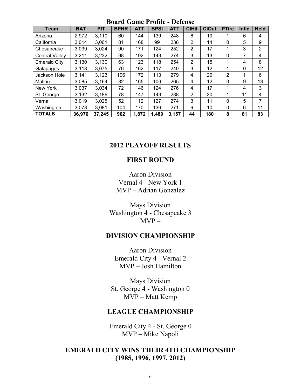|                       | <b>DUATU VIANIE L'UNIE</b><br>– ілегенде |            |             |            |             |            |                |              |              |              |                |  |  |  |
|-----------------------|------------------------------------------|------------|-------------|------------|-------------|------------|----------------|--------------|--------------|--------------|----------------|--|--|--|
| <b>Team</b>           | <b>BAT</b>                               | <b>PIT</b> | <b>BPHR</b> | <b>ATT</b> | <b>BPSI</b> | <b>ATT</b> | <b>CIHit</b>   | <b>ClOut</b> | <b>PTire</b> | <b>Infld</b> | <b>Held</b>    |  |  |  |
| Arizona               | 2,972                                    | 3,110      | 60          | 144        | 139         | 248        | 6              | 19           |              | 6            | 4              |  |  |  |
| California            | 3,014                                    | 3,061      | 81          | 168        | 99          | 236        | 2              | 14           | $\mathbf{0}$ | 5            | 9              |  |  |  |
| Chesapeake            | 3,039                                    | 3,024      | 90          | 171        | 124         | 252        | $\overline{2}$ | 17           | 1            | 3            | $\overline{2}$ |  |  |  |
| <b>Central Valley</b> | 3,211                                    | 3,232      | 98          | 192        | 143         | 274        | 3              | 13           | $\mathbf{0}$ | 7            | 4              |  |  |  |
| Emerald City          | 3,130                                    | 3,130      | 63          | 123        | 118         | 254        | $\overline{2}$ | 15           |              | 4            | 8              |  |  |  |
| Galapagos             | 3,118                                    | 3,075      | 76          | 162        | 117         | 240        | 3              | 12           |              | 0            | 12             |  |  |  |
| Jackson Hole          | 3,141                                    | 3,123      | 106         | 172        | 113         | 279        | 4              | 20           | 2            |              | 6              |  |  |  |
| Malibu                | 3,085                                    | 3.164      | 82          | 165        | 106         | 265        | 4              | 12           | $\mathbf{0}$ | 9            | 13             |  |  |  |
| New York              | 3,037                                    | 3,034      | 72          | 146        | 124         | 276        | 4              | 17           |              | 4            | 3              |  |  |  |
| St. George            | 3,132                                    | 3,186      | 78          | 147        | 143         | 288        | $\overline{2}$ | 20           |              | 11           | 4              |  |  |  |
| Vernal                | 3,019                                    | 3,025      | 52          | 112        | 127         | 274        | 3              | 11           | $\Omega$     | 5            | 7              |  |  |  |
| Washington            | 3,078                                    | 3,081      | 104         | 170        | 136         | 271        | 9              | 10           | $\mathbf{0}$ | 6            | 11             |  |  |  |
| <b>TOTALS</b>         | 36,976                                   | 37,245     | 962         | 1,872      | 1,489       | 3,157      | 44             | 180          | 8            | 61           | 83             |  |  |  |

**Board Game Profile - Defense**

#### **2012 PLAYOFF RESULTS**

#### **FIRST ROUND**

Aaron Division Vernal 4 - New York 1 MVP – Adrian Gonzalez

Mays Division Washington 4 - Chesapeake 3  $MVP -$ 

#### **DIVISION CHAMPIONSHIP**

Aaron Division Emerald City 4 - Vernal 2 MVP – Josh Hamilton

Mays Division St. George 4 - Washington 0 MVP – Matt Kemp

### **LEAGUE CHAMPIONSHIP**

Emerald City 4 - St. George 0 MVP – Mike Napoli

# **EMERALD CITY WINS THEIR 4TH CHAMPIONSHIP (1985, 1996, 1997, 2012)**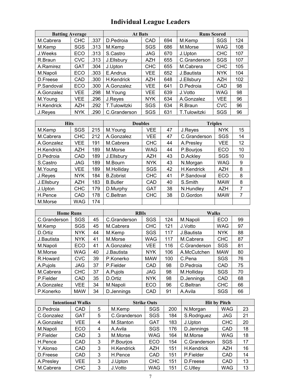# **Individual League Leaders**

| <b>Batting Average</b> |            |      | <b>At Bats</b> |            |     | <b>Runs Scored</b> |            |     |
|------------------------|------------|------|----------------|------------|-----|--------------------|------------|-----|
| M.Cabrera              | <b>CHC</b> | .337 | D.Pedroia      | CAD        | 694 | M.Kemp             | SGS        | 124 |
| M.Kemp                 | SGS        | .313 | M.Kemp         | SGS        | 686 | M.Morse            | WAG        | 108 |
| J.Weeks                | ECO        | .313 | S.Castro       | JAG        | 670 | J.Upton            | <b>CHC</b> | 107 |
| R.Braun                | <b>CVC</b> | .313 | J.Ellsbury     | <b>AZH</b> | 655 | C.Granderson       | SGS        | 107 |
| A.Ramirez              | <b>GAT</b> | .304 | J.Upton        | <b>CHC</b> | 655 | M.Cabrera          | <b>CHC</b> | 105 |
| M.Napoli               | ECO        | .303 | E.Andrus       | VEE.       | 652 | J.Bautista         | <b>NYK</b> | 104 |
| D.Freese               | CAD        | .300 | H.Kendrick     | <b>AZH</b> | 648 | J.Ellsbury         | AZH        | 102 |
| P.Sandoval             | ECO        | .300 | A.Gonzalez     | VEE.       | 641 | D.Pedroia          | CAD        | 98  |
| A.Gonzalez             | VEE.       | .298 | M.Young        | VEE.       | 639 | J.Votto            | <b>WAG</b> | 98  |
| M.Young                | VEE.       | .296 | J.Reyes        | <b>NYK</b> | 634 | A.Gonzalez         | <b>VEE</b> | 96  |
| H.Kendrick             | AZH        | .292 | T.Tulowitzki   | SGS        | 634 | R.Braun            | <b>CVC</b> | 96  |
| J.Reyes                | <b>NYK</b> | .290 | C.Granderson   | SGS        | 631 | T.Tulowitzki       | SGS        | 96  |

| <b>Hits</b> |            |     | <b>Doubles</b>   |            |    | <b>Triples</b>    |            |    |
|-------------|------------|-----|------------------|------------|----|-------------------|------------|----|
| M.Kemp      | <b>SGS</b> | 215 | M.Young          | <b>VEE</b> | 47 | J.Reyes           | <b>NYK</b> | 15 |
| M.Cabrera   | <b>CHC</b> | 212 | A.Gonzalez       | <b>VEE</b> | 47 | C.Granderson      | SGS        | 14 |
| A.Gonzalez  | VEE.       | 191 | M.Cabrera        | <b>CHC</b> | 44 | A.Presley         | VEE.       | 12 |
| H.Kendrick  | <b>AZH</b> | 189 | M.Morse          | WAG        | 44 | P.Bourjos         | <b>ECO</b> | 10 |
| D.Pedroia   | <b>CAD</b> | 189 | J.Ellsbury       | <b>AZH</b> | 43 | D.Ackley          | <b>SGS</b> | 10 |
| S.Castro    | JAG        | 189 | M.Bourn          | <b>NYK</b> | 43 | N.Morgan          | WAG        | 9  |
| M.Young     | VEE.       | 189 | M.Holliday       | <b>SGS</b> | 42 | <b>H.Kendrick</b> | <b>AZH</b> | 8  |
| J.Reyes     | <b>NYK</b> | 184 | <b>B.Zobrist</b> | <b>CHC</b> | 41 | P.Sandoval        | ECO        | 8  |
| J.Ellsbury  | <b>AZH</b> | 183 | <b>B.Butler</b>  | CAD        | 40 | S.Smith           | <b>MAW</b> | 8  |
| J.Upton     | <b>CHC</b> | 179 | D.Murphy         | <b>GAT</b> | 38 | N.Hundley         | AZH        | 7  |
| H.Pence     | CAD        | 178 | C.Beltran        | <b>CHC</b> | 38 | D.Gordon          | <b>MAW</b> | 7  |
| M.Morse     | <b>WAG</b> | 174 |                  |            |    |                   |            |    |

| <b>Home Runs</b> |            |    | <b>RBIs</b>  |            |     | <b>Walks</b> |            |    |
|------------------|------------|----|--------------|------------|-----|--------------|------------|----|
| C.Granderson     | SGS        | 45 | C.Granderson | SGS        | 124 | M.Napoli     | ECO        | 99 |
| M.Kemp           | <b>SGS</b> | 45 | M.Cabrera    | CHC        | 121 | J.Votto      | <b>WAG</b> | 97 |
| D.Ortiz          | <b>NYK</b> | 44 | M.Kemp       | SGS        | 117 | J.Bautista   | <b>NYK</b> | 88 |
| J.Bautista       | <b>NYK</b> | 41 | M.Morse      | WAG        | 117 | M.Cabrera    | <b>CHC</b> | 87 |
| M.Napoli         | ECO        | 41 | A.Gonzalez   | <b>VEE</b> | 116 | C.Granderson | <b>SGS</b> | 81 |
| M.Morse          | WAG        | 40 | J.Bautista   | <b>NYK</b> | 106 | A.McCutchen  | <b>MAW</b> | 80 |
| R.Howard         | <b>CVC</b> | 39 | P.Konerko    | <b>MAW</b> | 100 | C.Pena       | <b>SGS</b> | 76 |
| A.Pujols         | JAG        | 37 | P.Fielder    | CAD        | 98  | D.Pedroia    | CAD        | 75 |
| M.Cabrera        | CHC        | 37 | A.Pujols     | <b>JAG</b> | 98  | M.Hollidav   | <b>SGS</b> | 70 |
| P.Fielder        | CAD        | 35 | D.Ortiz      | <b>NYK</b> | 98  | D.Jennings   | CAD        | 68 |
| A.Gonzalez       | VFF        | 34 | M.Napoli     | ECO        | 96  | C.Beltran    | <b>CHC</b> | 66 |
| P.Konerko        | <b>MAW</b> | 34 | D.Jennings   | CAD        | 91  | A.Avila      | SGS        | 66 |

|            | <b>Intentional Walks</b> |   |              | <b>Strike Outs</b> |     | <b>Hit by Pitch</b> |            |    |  |
|------------|--------------------------|---|--------------|--------------------|-----|---------------------|------------|----|--|
| D.Pedroia  | CAD                      | 5 | M.Kemp       | SGS                | 200 | N.Morgan            | WAG        | 23 |  |
| C.Gonzalez | <b>GAT</b>               | 5 | C.Granderson | <b>SGS</b>         | 184 | S.Rodriguez         | JAG.       | 21 |  |
| A.Gonzalez | VEE.                     | 4 | M.Stanton    | <b>GAT</b>         | 183 | J.Upton             | CHC        | 20 |  |
| M.Napoli   | ECO                      | 4 | A.Avila      | SGS                | 176 | D.Jennings          | CAD        | 18 |  |
| P.Fielder  | CAD.                     | 3 | M.Morse      | WAG                | 164 | M.Morse             | WAG        | 18 |  |
| H.Pence    | CAD.                     | 3 | P.Bourjos    | ECO                | 154 | C.Granderson        | SGS        | 17 |  |
| Y.Alonso   | CAD                      | 3 | H.Kendrick   | <b>AZH</b>         | 151 | H.Kendrick          | <b>AZH</b> | 16 |  |
| D.Freese   | CAD.                     | 3 | H.Pence      | CAD                | 151 | P.Fielder           | CAD        | 14 |  |
| A.Presley  | VEE.                     | 3 | J.Upton      | <b>CHC</b>         | 151 | D.Freese            | CAD        | 13 |  |
| M.Cabrera  | <b>CHC</b>               | 3 | J.Votto      | WAG                | 151 | C.Utley             | WAG        | 13 |  |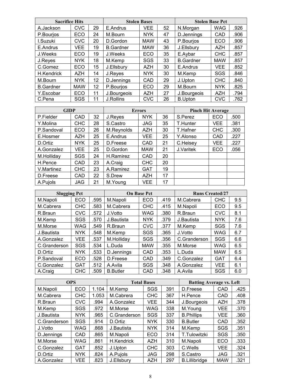| <b>Sacrifice Hits</b> |            |    |                  | <b>Stolen Bases</b> |    | <b>Stolen Base Pct</b> |            |      |  |
|-----------------------|------------|----|------------------|---------------------|----|------------------------|------------|------|--|
| A.Jackson             | <b>CVC</b> | 29 | E.Andrus         | VEE                 | 52 | N.Morgan               | <b>WAG</b> | .926 |  |
| P.Bourjos             | ECO        | 24 | M.Bourn          | <b>NYK</b>          | 47 | D.Jennings             | CAD        | .906 |  |
| I.Suzuki              | <b>CVC</b> | 20 | D.Gordon         | <b>MAW</b>          | 43 | P.Bourjos              | ECO        | .906 |  |
| E.Andrus              | VEE.       | 19 | <b>B.Gardner</b> | <b>MAW</b>          | 36 | J.Ellsbury             | <b>AZH</b> | .857 |  |
| J.Weeks               | ECO        | 19 | J.Weeks          | ECO                 | 35 | E.Aybar                | CHC        | .857 |  |
| J.Reyes               | <b>NYK</b> | 18 | M.Kemp           | SGS                 | 33 | <b>B.Gardner</b>       | <b>MAW</b> | .857 |  |
| C.Gomez               | ECO        | 15 | J.Ellsbury       | <b>AZH</b>          | 30 | E.Andrus               | <b>VEE</b> | .852 |  |
| <b>H.Kendrick</b>     | <b>AZH</b> | 14 | J.Reyes          | <b>NYK</b>          | 30 | M.Kemp                 | <b>SGS</b> | .846 |  |
| M.Bourn               | <b>NYK</b> | 12 | D.Jennings       | CAD                 | 29 | J.Upton                | <b>CHC</b> | .840 |  |
| <b>B.Gardner</b>      | <b>MAW</b> | 12 | P.Bourios        | ECO                 | 29 | M.Bourn                | <b>NYK</b> | .825 |  |
| Y.Escobar             | ECO        | 11 | J.Bourgeois      | <b>AZH</b>          | 27 | J.Bourgeois            | <b>AZH</b> | .794 |  |
| C.Pena                | SGS        | 11 | J.Rollins        | <b>CVC</b>          | 26 | <b>B.Upton</b>         | CVC        | .762 |  |

| <b>GIDP</b> |            |    |            | <b>Errors</b> |    | <b>Pinch Hit Average</b> |            |      |  |
|-------------|------------|----|------------|---------------|----|--------------------------|------------|------|--|
| P.Fielder   | CAD        | 32 | J.Reyes    | <b>NYK</b>    | 36 | S.Perez                  | ECO        | .500 |  |
| Y.Molina    | <b>CHC</b> | 28 | S.Castro   | <b>JAG</b>    | 35 | T.Hunter                 | VEE.       | .381 |  |
| P.Sandoval  | <b>ECO</b> | 26 | M.Reynolds | <b>AZH</b>    | 30 | T.Hafner                 | <b>CHC</b> | .300 |  |
| E.Hosmer    | <b>AZH</b> | 25 | E.Andrus   | VEE.          | 25 | Y.Alonso                 | CAD        | .227 |  |
| D.Ortiz     | <b>NYK</b> | 25 | D.Freese   | CAD           | 21 | C.Heisey                 | <b>VEE</b> | .227 |  |
| A.Gonzalez  | VEE.       | 25 | D.Gordon   | <b>MAW</b>    | 21 | J.Varitek                | ECO        | .056 |  |
| M.Holliday  | SGS        | 24 | H.Ramirez  | CAD           | 20 |                          |            |      |  |
| H.Pence     | CAD        | 23 | A.Craig    | <b>CHC</b>    | 20 |                          |            |      |  |
| V.Martinez  | <b>CHC</b> | 23 | A.Ramirez  | <b>GAT</b>    | 19 |                          |            |      |  |
| D.Freese    | CAD        | 22 | S.Drew     | <b>AZH</b>    | 17 |                          |            |      |  |
| A.Pujols    | JAG        | 21 | M.Young    | <b>VEE</b>    | 17 |                          |            |      |  |

| <b>Slugging Pct</b> |            |      |                 | <b>On Base Pct</b> |      | <b>Runs Created/27</b> |            |     |
|---------------------|------------|------|-----------------|--------------------|------|------------------------|------------|-----|
| M.Napoli            | ECO        | .595 | M.Napoli        | ECO                | .419 | M.Cabrera              | <b>CHC</b> | 9.5 |
| M.Cabrera           | <b>CHC</b> | .583 | M.Cabrera       | <b>CHC</b>         | .415 | M.Napoli               | ECO        | 9.5 |
| R.Braun             | <b>CVC</b> | 572  | J.Votto         | <b>WAG</b>         | .380 | R.Braun                | CVC        | 8.1 |
| M.Kemp              | SGS        | .570 | J.Bautista      | <b>NYK</b>         | .379 | J.Bautista             | <b>NYK</b> | 7.6 |
| M.Morse             | WAG        | .549 | R.Braun         | <b>CVC</b>         | .377 | M.Kemp                 | SGS        | 7.6 |
| J.Bautista          | <b>NYK</b> | .548 | M.Kemp          | SGS                | .365 | J.Votto                | <b>WAG</b> | 6.7 |
| A.Gonzalez          | VEE        | .537 | M.Holliday      | SGS                | .356 | C.Granderson           | SGS        | 6.6 |
| C.Granderson        | SGS        | .534 | L.Duda          | <b>MAW</b>         | .355 | M.Morse                | <b>WAG</b> | 6.5 |
| D.Ortiz             | <b>NYK</b> | .533 | D.Jennings      | CAD                | .353 | L.Duda                 | <b>MAW</b> | 6.5 |
| P.Sandoval          | ECO        | .528 | D.Freese        | CAD                | .349 | C.Gonzalez             | GAT        | 6.4 |
| C.Gonzalez          | GAT        | .512 | A.Avila         | SGS                | .348 | A.Gonzalez             | <b>VEE</b> | 6.1 |
| A.Craig             | <b>CHC</b> | .509 | <b>B.Butler</b> | CAD                | .348 | A.Avila                | SGS        | 6.0 |

| <b>OPS</b>   |            |       |              | <b>Total Bases</b> |     | <b>Batting Average vs. Left</b> |            |      |
|--------------|------------|-------|--------------|--------------------|-----|---------------------------------|------------|------|
| M.Napoli     | ECO        | 1.104 | M.Kemp       | SGS                | 391 | D.Freese                        | CAD        | .425 |
| M.Cabrera    | CHC        | 1.053 | M.Cabrera    | <b>CHC</b>         | 367 | H.Pence                         | CAD        | .408 |
| R.Braun      | <b>CVC</b> | .994  | A.Gonzalez   | VEE.               | 344 | J.Bourgeois                     | <b>AZH</b> | .378 |
| M.Kemp       | <b>SGS</b> | .972  | M.Morse      | <b>WAG</b>         | 338 | M.Young                         | VEE.       | .370 |
| J.Bautista   | <b>NYK</b> | .965  | C.Granderson | SGS                | 337 | <b>B.Phillips</b>               | VEE.       | .360 |
| C.Granderson | SGS        | .914  | D.Ortiz      | <b>NYK</b>         | 330 | <b>B.Butler</b>                 | <b>CAD</b> | .352 |
| J.Votto      | <b>WAG</b> | .868  | J.Bautista   | <b>NYK</b>         | 314 | M.Kemp                          | SGS        | .351 |
| D.Jennings   | CAD        | .865  | M.Napoli     | ECO                | 314 | T.Tulowitzki                    | SGS        | .350 |
| M.Morse      | <b>WAG</b> | .861  | H.Kendrick   | <b>AZH</b>         | 310 | M.Napoli                        | <b>ECO</b> | .333 |
| C.Gonzalez   | <b>GAT</b> | .852  | J.Upton      | <b>CHC</b>         | 303 | C.Wells                         | VEE.       | .324 |
| D.Ortiz      | <b>NYK</b> | .824  | A.Pujols     | JAG                | 298 | S.Castro                        | <b>JAG</b> | .321 |
| A.Gonzalez   | VEE        | .823  | J.Ellsbury   | AZH                | 297 | <b>B.Lillibridge</b>            | <b>MAW</b> | .321 |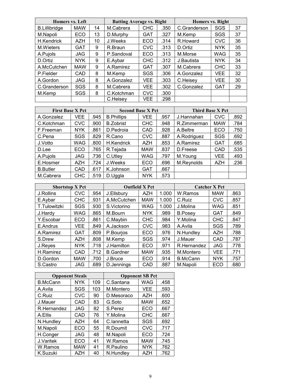| Homers vs. Left      |            |    | <b>Batting Average vs. Right</b> |            |      | <b>Homers vs. Right</b> |            |    |
|----------------------|------------|----|----------------------------------|------------|------|-------------------------|------------|----|
| <b>B.Lillibridge</b> | <b>MAW</b> | 14 | M.Cabrera                        | <b>CHC</b> | .350 | C.Granderson            | SGS        | 37 |
| M.Napoli             | ECO        | 13 | D.Murphy                         | <b>GAT</b> | .327 | M.Kemp                  | SGS        | 37 |
| <b>H.Kendrick</b>    | <b>AZH</b> | 10 | J.Weeks                          | ECO        | .314 | R.Howard                | <b>CVC</b> | 36 |
| M.Wieters            | GAT        | 9  | R.Braun                          | <b>CVC</b> | .313 | D.Ortiz                 | <b>NYK</b> | 35 |
| A.Pujols             | <b>JAG</b> | 9  | P.Sandoval                       | ECO        | .313 | M.Morse                 | WAG        | 35 |
| D.Ortiz              | <b>NYK</b> | 9  | E.Aybar                          | <b>CHC</b> | .312 | J.Bautista              | <b>NYK</b> | 34 |
| A.McCutchen          | <b>MAW</b> | 9  | A.Ramirez                        | <b>GAT</b> | .307 | M.Cabrera               | <b>CHC</b> | 33 |
| P.Fielder            | CAD        | 8  | M.Kemp                           | SGS        | .306 | A.Gonzalez              | <b>VEE</b> | 32 |
| A.Gordon             | <b>JAG</b> | 8  | A.Gonzalez                       | VEE.       | .303 | C.Heisey                | <b>VEE</b> | 30 |
| C.Granderson         | SGS        | 8  | M.Cabrera                        | <b>VEE</b> | .302 | C.Gonzalez              | <b>GAT</b> | 29 |
| M.Kemp               | <b>SGS</b> | 8  | C.Kotchman                       | <b>CVC</b> | .300 |                         |            |    |
|                      |            |    | C.Heisey                         | VEE        | .298 |                         |            |    |

| <b>First Base X Pct</b> |            |      | <b>Second Base X Pct</b> |            |      | <b>Third Base X Pct</b> |            |      |
|-------------------------|------------|------|--------------------------|------------|------|-------------------------|------------|------|
| A.Gonzalez              | <b>VEE</b> | .945 | <b>B.Phillips</b>        | VEE        | .957 | J.Hannahan              | <b>CVC</b> | .892 |
| C.Kotchman              | <b>CVC</b> | .900 | <b>B.Zobrist</b>         | <b>CHC</b> | .948 | R.Zimmerman             | <b>MAW</b> | .784 |
| F.Freeman               | <b>NYK</b> | .861 | D.Pedroia                | <b>CAD</b> | .928 | A.Beltre                | <b>ECO</b> | .750 |
| C.Pena                  | <b>SGS</b> | .829 | R.Cano                   | <b>CVC</b> | .887 | A.Rodriguez             | <b>SGS</b> | .692 |
| J.Votto                 | WAG        | .800 | H.Kendrick               | AZH        | .853 | A.Ramirez               | <b>GAT</b> | .685 |
| D.Lee                   | <b>ECO</b> | .765 | R.Tejada                 | <b>MAW</b> | .837 | D.Freese                | CAD        | .535 |
| A.Pujols                | <b>JAG</b> | .736 | C.Utley                  | <b>WAG</b> | .797 | M.Young                 | VEE        | .493 |
| E.Hosmer                | <b>AZH</b> | .724 | J.Weeks                  | <b>ECO</b> | .696 | M.Reynolds              | <b>AZH</b> | .236 |
| <b>B.Butler</b>         | CAD        | .617 | K.Johnson                | <b>GAT</b> | .667 |                         |            |      |
| M.Cabrera               | <b>CHC</b> | .519 | D.Uggla                  | <b>NYK</b> | .573 |                         |            |      |

| <b>Shortstop X Pct</b> |            |      |                  | <b>Outfield X Pct</b> |       |                 | <b>Catcher X Pct</b> |      |
|------------------------|------------|------|------------------|-----------------------|-------|-----------------|----------------------|------|
| J.Rollins              | <b>CVC</b> | .954 | J.Ellsbury       | AZH                   | 1.000 | W.Ramos         | <b>MAW</b>           | .863 |
| E.Avbar                | CHC        | .931 | A.McCutchen      | <b>MAW</b>            | 1.000 | C.Ruiz          | <b>CVC</b>           | .857 |
| T.Tulowitzki           | SGS        | .930 | S.Victorino      | <b>WAG</b>            | 1.000 | J.Molina        | <b>WAG</b>           | .851 |
| J.Hardv                | WAG        | .865 | M.Bourn          | <b>NYK</b>            | .989  | <b>B.Posev</b>  | <b>GAT</b>           | .849 |
| Y.Escobar              | ECO        | .861 | C.Maybin         | <b>CHC</b>            | .984  | Y.Molina        | <b>CHC</b>           | .847 |
| E.Andrus               | VEE        | .849 | A.Jackson        | <b>CVC</b>            | .983  | A.Avila         | SGS                  | .789 |
| A.Ramirez              | <b>GAT</b> | .809 | P.Bourjos        | ECO                   | .976  | N.Hundley       | <b>AZH</b>           | .788 |
| S.Drew                 | <b>AZH</b> | .808 | M.Kemp           | SGS                   | .974  | J.Mauer         | CAD                  | .787 |
| J.Reyes                | <b>NYK</b> | .718 | J.Hamilton       | ECO                   | .971  | R.Hernandez     | <b>JAG</b>           | .778 |
| H.Ramirez              | CAD        | .712 | <b>B.Gardner</b> | <b>MAW</b>            | .935  | M.Montero       | <b>VEE</b>           | .771 |
| D.Gordon               | <b>MAW</b> | .700 | J.Bruce          | ECO                   | .914  | <b>B.McCann</b> | <b>NYK</b>           | .757 |
| S.Castro               | JAG        | .689 | D.Jennings       | CAD                   | .887  | M.Napoli        | ECO                  | .680 |

| <b>Opponent Steals</b> |            |     |            | <b>Opponent SB Pct</b> |      |
|------------------------|------------|-----|------------|------------------------|------|
| <b>B.McCann</b>        | <b>NYK</b> | 109 | C.Santana  | <b>WAG</b>             | .458 |
| A.Avila                | <b>SGS</b> | 103 | M.Montero  | VEE                    | .593 |
| C.Ruiz                 | <b>CVC</b> | 90  | D.Mesoraco | <b>AZH</b>             | .600 |
| J.Mauer                | CAD        | 83  | G.Soto     | <b>MAW</b>             | .652 |
| R.Hernandez            | <b>JAG</b> | 82  | S.Perez    | ECO                    | .667 |
| A.Ellis                | CAD        | 76  | Y.Molina   | <b>CHC</b>             | .667 |
| N.Hundley              | <b>AZH</b> | 64  | C.lannetta | SGS                    | .692 |
| M.Napoli               | ECO        | 55  | R.Doumit   | <b>CVC</b>             | .717 |
| H.Conger               | JAG        | 48  | M.Napoli   | ECO                    | .724 |
| J.Varitek              | ECO        | 41  | W.Ramos    | <b>MAW</b>             | .745 |
| W.Ramos                | <b>MAW</b> | 41  | R.Paulino  | <b>NYK</b>             | .762 |
| K.Suzuki               | AZH        | 40  | N.Hundley  | <b>AZH</b>             | .762 |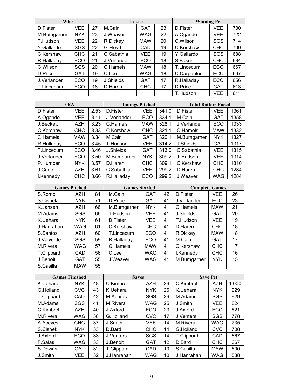| <b>Wins</b> |            |    |             | <b>Losses</b> |    | <b>Winning Pct</b> |            |      |
|-------------|------------|----|-------------|---------------|----|--------------------|------------|------|
| D.Fister    | <b>VEE</b> | 27 | M.Cain      | <b>GAT</b>    | 23 | D.Fister           | VEE.       | .730 |
| M.Bumgarner | <b>NYK</b> | 23 | J.Weaver    | WAG           | 22 | A.Ogando           | VEE        | .722 |
| T.Hudson    | <b>VEE</b> | 22 | R.Dickey    | <b>MAW</b>    | 20 | C.Wilson           | SGS        | .714 |
| Y.Gallardo  | SGS        | 22 | G.Floyd     | CAD           | 19 | C.Kershaw          | <b>CHC</b> | .700 |
| C.Kershaw   | <b>CHC</b> | 21 | C.Sabathia  | VEE.          | 19 | Y.Gallardo         | <b>SGS</b> | .688 |
| R.Halladay  | ECO        | 21 | J.Verlander | <b>ECO</b>    | 18 | S.Baker            | <b>CHC</b> | .684 |
| C.Wilson    | SGS        | 20 | C.Hamels    | <b>MAW</b>    | 18 | T.Lincecum         | <b>ECO</b> | .667 |
| D.Price     | <b>GAT</b> | 19 | C.Lee       | WAG           | 18 | C.Carpenter        | <b>ECO</b> | .667 |
| J.Verlander | <b>ECO</b> | 19 | J.Shields   | <b>GAT</b>    | 17 | R.Halladay         | <b>ECO</b> | .656 |
| T.Lincecum  | <b>ECO</b> | 18 | D.Haren     | <b>CHC</b>    | 17 | D.Price            | GAT        | .613 |
|             |            |    |             |               |    | T.Hudson           | VEE        | .611 |

| <b>ERA</b>  |            |      |             | <b>Innings Pitched</b> |       | <b>Total Batters Faced</b> |            |      |
|-------------|------------|------|-------------|------------------------|-------|----------------------------|------------|------|
| D.Fister    | <b>VEE</b> | 2.53 | D.Fister    | <b>VEE</b>             | 341.0 | D.Fister                   | VEE        | 1361 |
| A.Ogando    | <b>VEE</b> | 3.11 | J.Verlander | ECO                    | 334.1 | M.Cain                     | GAT        | 1358 |
| J.Beckett   | <b>AZH</b> | 3.23 | C.Hamels    | <b>MAW</b>             | 328.1 | J.Verlander                | <b>ECO</b> | 1333 |
| C.Kershaw   | <b>CHC</b> | 3.33 | C.Kershaw   | <b>CHC</b>             | 321.1 | C.Hamels                   | <b>MAW</b> | 1332 |
| C.Hamels    | <b>MAW</b> | 3.34 | M.Cain      | GAT                    | 320.1 | M.Bumgarner                | <b>NYK</b> | 1327 |
| R.Halladay  | ECO        | 3.45 | T.Hudson    | VEE                    | 314.2 | J.Shields                  | <b>GAT</b> | 1317 |
| T.Lincecum  | ECO        | 3.46 | J.Shields   | <b>GAT</b>             | 313.0 | C.Sabathia                 | VEE        | 1315 |
| J.Verlander | <b>ECO</b> | 3.50 | M.Bumgarner | <b>NYK</b>             | 309.2 | T.Hudson                   | VEE        | 1314 |
| P.Humber    | <b>NYK</b> | 3.57 | D.Haren     | <b>CHC</b>             | 309.1 | C.Kershaw                  | <b>CHC</b> | 1310 |
| J.Cueto     | <b>AZH</b> | 3.61 | C.Sabathia  | <b>VEE</b>             | 299.2 | D.Haren                    | <b>CHC</b> | 1284 |
| I.Kennedy   | <b>CHC</b> | 3.66 | R.Halladay  | ECO                    | 299.2 | J.Weaver                   | <b>WAG</b> | 1284 |

|            | <b>Games Pitched</b> |    | <b>Games Started</b> |            |    | <b>Complete Games</b> |            |    |
|------------|----------------------|----|----------------------|------------|----|-----------------------|------------|----|
| S.Romo     | <b>AZH</b>           | 81 | M.Cain               | <b>GAT</b> | 42 | D.Fister              | VEE        | 26 |
| S.Cishek   | <b>NYK</b>           | 71 | D.Price              | <b>GAT</b> | 41 | J.Verlander           | ECO        | 23 |
| K.Jansen   | <b>AZH</b>           | 66 | M.Bumgarner          | <b>NYK</b> | 41 | C.Hamels              | <b>MAW</b> | 21 |
| M.Adams    | SGS                  | 66 | T.Hudson             | VEE.       | 41 | J.Shields             | <b>GAT</b> | 20 |
| K.Uehara   | <b>NYK</b>           | 61 | D.Fister             | <b>VFF</b> | 41 | T.Hudson              | VEF        | 19 |
| J.Hanrahan | <b>WAG</b>           | 61 | C.Kershaw            | <b>CHC</b> | 41 | D.Haren               | <b>CHC</b> | 18 |
| S.Santos   | <b>AZH</b>           | 60 | T.Lincecum           | ECO        | 41 | R.Dickey              | <b>MAW</b> | 18 |
| J.Valverde | SGS                  | 59 | R.Halladay           | ECO        | 41 | M.Cain                | <b>GAT</b> | 17 |
| M.Rivera   | <b>WAG</b>           | 57 | C.Hamels             | <b>MAW</b> | 41 | C.Kershaw             | <b>CHC</b> | 17 |
| T.Clippard | CAD                  | 56 | C.Lee                | <b>WAG</b> | 41 | I.Kennedy             | <b>CHC</b> | 16 |
| J.Benoit   | GAT                  | 55 | J.Weaver             | <b>WAG</b> | 41 | M.Bumgarner           | <b>NYK</b> | 15 |
| S.Casilla  | <b>MAW</b>           | 55 |                      |            |    |                       |            |    |

| <b>Games Finished</b> |            |    | <b>Saves</b> |            |    |            | <b>Save Pct</b> |       |
|-----------------------|------------|----|--------------|------------|----|------------|-----------------|-------|
| K.Uehara              | <b>NYK</b> | 48 | C.Kimbrel    | <b>AZH</b> | 26 | C.Kimbrel  | <b>AZH</b>      | 1.000 |
| G.Holland             | <b>CVC</b> | 43 | K.Uehara     | <b>NYK</b> | 26 | K.Uehara   | <b>NYK</b>      | .929  |
| T.Clippard            | CAD        | 42 | M.Adams      | SGS        | 26 | M.Adams    | SGS             | .929  |
| M.Adams               | SGS        | 41 | M.Rivera     | WAG        | 25 | J.Smith    | VEE.            | .824  |
| C.Kimbrel             | <b>AZH</b> | 40 | J.Axford     | ECO        | 23 | J.Axford   | ECO             | .821  |
| M.Rivera              | <b>WAG</b> | 38 | G.Holland    | <b>CVC</b> | 17 | J.Venters  | SGS             | .778  |
| A.Aceves              | <b>CHC</b> | 37 | J.Smith      | VEE.       | 14 | M.Rivera   | <b>WAG</b>      | .735  |
| S.Cishek              | <b>NYK</b> | 33 | D.Bard       | <b>CHC</b> | 14 | G.Holland  | <b>CVC</b>      | .708  |
| J.Axford              | ECO        | 33 | J.Venters    | SGS        | 14 | T.Clippard | CAD             | .667  |
| F.Salas               | WAG        | 33 | J.Benoit     | GAT        | 12 | D.Bard     | <b>CHC</b>      | .667  |
| S.Downs               | <b>GAT</b> | 32 | T.Clippard   | CAD        | 10 | S.Casilla  | <b>MAW</b>      | .600  |
| J.Smith               | VEE        | 32 | J.Hanrahan   | WAG        | 10 | J.Hanrahan | WAG             | .588  |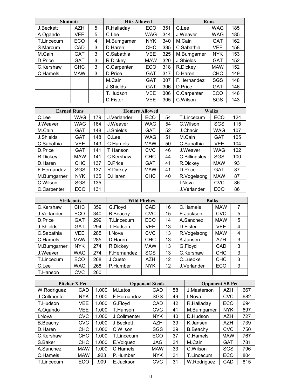| <b>Shutouts</b> |            |   | <b>Hits Allowed</b> |            |     |             | <b>Runs</b> |     |
|-----------------|------------|---|---------------------|------------|-----|-------------|-------------|-----|
| J.Beckett       | <b>AZH</b> | 5 | R.Halladay          | <b>ECO</b> | 351 | C.Lee       | <b>WAG</b>  | 185 |
| A.Ogando        | VEE        | 5 | C.Lee               | WAG        | 344 | J.Weaver    | <b>WAG</b>  | 185 |
| T.Lincecum      | ECO        | 4 | M.Bumgarner         | NYK.       | 340 | M.Cain      | <b>GAT</b>  | 162 |
| S.Marcum        | CAD        | 3 | D.Haren             | <b>CHC</b> | 335 | C.Sabathia  | VEE         | 158 |
| M.Cain          | GAT        | 3 | C.Sabathia          | VEE.       | 325 | M.Bumgarner | <b>NYK</b>  | 153 |
| D.Price         | <b>GAT</b> | 3 | R.Dickey            | <b>MAW</b> | 320 | J.Shields   | <b>GAT</b>  | 152 |
| C.Kershaw       | <b>CHC</b> | 3 | C.Carpenter         | ECO        | 318 | R.Dickey    | <b>MAW</b>  | 152 |
| C.Hamels        | <b>MAW</b> | 3 | D.Price             | <b>GAT</b> | 317 | D.Haren     | <b>CHC</b>  | 149 |
|                 |            |   | M.Cain              | <b>GAT</b> | 307 | F.Hernandez | SGS         | 148 |
|                 |            |   | J.Shields           | <b>GAT</b> | 306 | D.Price     | <b>GAT</b>  | 146 |
|                 |            |   | T.Hudson            | VEE.       | 306 | C.Carpenter | ECO         | 146 |
|                 |            |   | D.Fister            | <b>VEE</b> | 305 | C.Wilson    | SGS         | 143 |

| <b>Earned Runs</b> |            |     | <b>Homers Allowed</b> |            |    |               | <b>Walks</b> |     |
|--------------------|------------|-----|-----------------------|------------|----|---------------|--------------|-----|
| C.Lee              | <b>WAG</b> | 179 | J.Verlander           | <b>ECO</b> | 54 | T.Lincecum    | ECO          | 124 |
| J.Weaver           | <b>WAG</b> | 164 | J.Weaver              | <b>WAG</b> | 54 | C.Wilson      | SGS          | 115 |
| M.Cain             | GAT        | 148 | J.Shields             | <b>GAT</b> | 52 | J.Chacin      | <b>WAG</b>   | 107 |
| J.Shields          | <b>GAT</b> | 148 | C.Lee                 | <b>WAG</b> | 51 | M.Cain        | <b>GAT</b>   | 105 |
| C.Sabathia         | VEE        | 143 | C.Hamels              | <b>MAW</b> | 50 | C.Sabathia    | <b>VEE</b>   | 104 |
| D.Price            | GAT        | 141 | T.Hanson              | <b>CVC</b> | 46 | J.Weaver      | <b>WAG</b>   | 102 |
| R.Dickey           | <b>MAW</b> | 141 | C.Kershaw             | <b>CHC</b> | 44 | C.Billingsley | SGS          | 100 |
| D.Haren            | <b>CHC</b> | 137 | D.Price               | <b>GAT</b> | 41 | R.Dickey      | <b>MAW</b>   | 93  |
| F.Hernandez        | SGS        | 137 | R.Dickey              | <b>MAW</b> | 41 | D.Price       | <b>GAT</b>   | 87  |
| M.Bumgarner        | <b>NYK</b> | 135 | D.Haren               | <b>CHC</b> | 40 | R.Vogelsong   | <b>MAW</b>   | 87  |
| C.Wilson           | SGS        | 135 |                       |            |    | I.Nova        | <b>CVC</b>   | 86  |
| C.Carpenter        | ECO        | 131 |                       |            |    | J.Verlander   | ECO          | 86  |

|             | <b>Strikeouts</b> |     |             | <b>Wild Pitches</b> |    |             | <b>Balks</b> |   |
|-------------|-------------------|-----|-------------|---------------------|----|-------------|--------------|---|
| C.Kershaw   | <b>CHC</b>        | 359 | G.Floyd     | CAD                 | 16 | C.Hamels    | <b>MAW</b>   | 7 |
| J.Verlander | <b>ECO</b>        | 340 | B.Beachy    | <b>CVC</b>          | 15 | E.Jackson   | <b>CVC</b>   | 5 |
| D.Price     | <b>GAT</b>        | 299 | T.Lincecum  | <b>ECO</b>          | 14 | A.Sanchez   | <b>MAW</b>   | 5 |
| J.Shields   | GAT               | 294 | T.Hudson    | VEE.                | 13 | D.Fister    | VEE          | 4 |
| C.Sabathia  | VEE               | 285 | I.Nova      | <b>CVC</b>          | 13 | R.Vogelsong | <b>MAW</b>   | 4 |
| C.Hamels    | <b>MAW</b>        | 285 | D.Haren     | <b>CHC</b>          | 13 | K.Jansen    | <b>AZH</b>   | 3 |
| M.Bumgarner | <b>NYK</b>        | 274 | R.Dickey    | <b>MAW</b>          | 13 | G.Floyd     | CAD          | 3 |
| J.Weaver    | <b>WAG</b>        | 274 | F.Hernandez | <b>SGS</b>          | 13 | C.Kershaw   | <b>CHC</b>   | 3 |
| T.Lincecum  | <b>ECO</b>        | 268 | J.Cueto     | <b>AZH</b>          | 12 | C.Luebke    | <b>CHC</b>   | 3 |
| C.Lee       | WAG               | 268 | P.Humber    | <b>NYK</b>          | 12 | J.Verlander | <b>ECO</b>   | 3 |
| T.Hanson    | <b>CVC</b>        | 260 |             |                     |    |             |              |   |

| <b>Pitcher X Pct</b> |            |       | <b>Opponent Steals</b> |            |    | <b>Opponent SB Pct</b> |            |      |
|----------------------|------------|-------|------------------------|------------|----|------------------------|------------|------|
| W.Rodriguez          | CAD        | 1.000 | M.Latos                | CAD.       | 58 | J.Masterson            | AZH        | .667 |
| J.Collmenter         | <b>NYK</b> | 1.000 | F.Hernandez            | SGS        | 49 | I.Nova                 | <b>CVC</b> | .682 |
| T.Hudson             | VEE.       | 1.000 | G.Floyd                | CAD.       | 42 | R.Halladay             | ECO        | .694 |
| A.Ogando             | VEE        | 1.000 | T.Hanson               | <b>CVC</b> | 41 | M.Bumgarner            | <b>NYK</b> | .697 |
| I.Nova               | <b>CVC</b> | 1.000 | J.Collmenter           | <b>NYK</b> | 40 | D.Hudson               | <b>AZH</b> | .727 |
| B.Beachy             | <b>CVC</b> | 1.000 | J.Beckett              | <b>AZH</b> | 39 | K.Jansen               | <b>AZH</b> | .739 |
| D.Haren              | <b>CHC</b> | 1.000 | C.Wilson               | <b>SGS</b> | 39 | B.Beachy               | <b>CVC</b> | .750 |
| C.Kershaw            | <b>CHC</b> | 1.000 | T.Lincecum             | <b>ECO</b> | 37 | C.Hamels               | <b>MAW</b> | .767 |
| S.Baker              | <b>CHC</b> | 1.000 | E.Volguez              | <b>JAG</b> | 34 | M.Cain                 | <b>GAT</b> | .781 |
| A.Sanchez            | <b>MAW</b> | 1.000 | C.Hamels               | <b>MAW</b> | 33 | C.Wilson               | SGS        | .796 |
| C.Hamels             | <b>MAW</b> | .923  | P.Humber               | <b>NYK</b> | 31 | T.Lincecum             | ECO        | .804 |
| T.Lincecum           | ECO        | .909  | E.Jackson              | <b>CVC</b> | 31 | W.Rodriguez            | CAD        | .815 |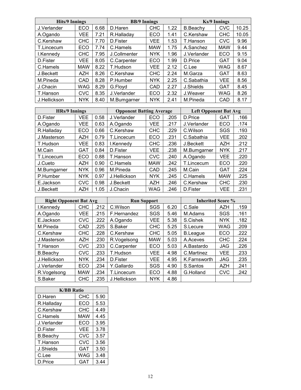| <b>Hits/9 Innings</b> |            |      | <b>BB/9 Innings</b> |            |      |             | <b>Ks/9 Innings</b> |       |
|-----------------------|------------|------|---------------------|------------|------|-------------|---------------------|-------|
| J.Verlander           | <b>ECO</b> | 6.68 | D.Haren             | <b>CHC</b> | 1.22 | B.Beachy    | <b>CVC</b>          | 10.25 |
| A.Ogando              | <b>VEE</b> | 7.21 | R.Halladay          | <b>ECO</b> | 1.41 | C.Kershaw   | <b>CHC</b>          | 10.05 |
| C.Kershaw             | <b>CHC</b> | 7.70 | D.Fister            | <b>VEE</b> | 1.53 | T.Hanson    | <b>CVC</b>          | 9.96  |
| T.Lincecum            | ECO        | 7.74 | C.Hamels            | <b>MAW</b> | 1.75 | A.Sanchez   | <b>MAW</b>          | 9.44  |
| I.Kennedy             | <b>CHC</b> | 7.95 | J.Collmenter        | <b>NYK</b> | 1.96 | J.Verlander | <b>ECO</b>          | 9.15  |
| D.Fister              | <b>VEE</b> | 8.05 | C.Carpenter         | <b>ECO</b> | 1.99 | D.Price     | <b>GAT</b>          | 9.04  |
| C.Hamels              | <b>MAW</b> | 8.22 | T.Hudson            | <b>VEE</b> | 2.12 | C.Lee       | WAG                 | 8.67  |
| J.Beckett             | <b>AZH</b> | 8.26 | C.Kershaw           | <b>CHC</b> | 2.24 | M.Garza     | <b>GAT</b>          | 8.63  |
| M.Pineda              | CAD        | 8.28 | P.Humber            | <b>NYK</b> | 2.25 | C.Sabathia  | <b>VEE</b>          | 8.56  |
| J.Chacin              | <b>WAG</b> | 8.29 | G.Flovd             | <b>CAD</b> | 2.27 | J.Shields   | <b>GAT</b>          | 8.45  |
| T.Hanson              | <b>CVC</b> | 8.35 | J.Verlander         | <b>ECO</b> | 2.32 | J.Weaver    | WAG                 | 8.26  |
| J.Hellickson          | <b>NYK</b> | 8.40 | M.Bumgarner         | <b>NYK</b> | 2.41 | M.Pineda    | CAD                 | 8.17  |

| <b>HRs/9 Innings</b> |            |      | <b>Opponent Batting Average</b> |            |      | <b>Left Opponent Bat Avg</b> |            |      |
|----------------------|------------|------|---------------------------------|------------|------|------------------------------|------------|------|
| D.Fister             | <b>VEE</b> | 0.58 | J.Verlander                     | <b>ECO</b> | .205 | D.Price                      | <b>GAT</b> | .166 |
| A.Ogando             | <b>VEE</b> | 0.63 | A.Ogando                        | VEE        | .217 | J.Verlander                  | ECO        | .174 |
| R.Halladay           | ECO        | 0.66 | C.Kershaw                       | <b>CHC</b> | .229 | C.Wilson                     | SGS        | .193 |
| J.Masterson          | <b>AZH</b> | 0.79 | T.Lincecum                      | ECO        | .231 | C.Sabathia                   | <b>VEE</b> | .202 |
| T.Hudson             | <b>VEE</b> | 0.83 | I.Kennedy                       | CHC        | .236 | J.Beckett                    | <b>AZH</b> | .212 |
| M.Cain               | <b>GAT</b> | 0.84 | D.Fister                        | VEE.       | .238 | M.Bumgarner                  | <b>NYK</b> | .217 |
| T.Lincecum           | ECO        | 0.88 | T.Hanson                        | <b>CVC</b> | .240 | A.Ogando                     | <b>VEE</b> | .220 |
| J.Cueto              | <b>AZH</b> | 0.90 | C.Hamels                        | <b>MAW</b> | .242 | T.Lincecum                   | ECO        | .220 |
| M.Bumgarner          | <b>NYK</b> | 0.96 | M.Pineda                        | CAD        | .245 | M.Cain                       | <b>GAT</b> | .224 |
| P.Humber             | <b>NYK</b> | 0.97 | J.Hellickson                    | <b>NYK</b> | .245 | C.Hamels                     | <b>MAW</b> | .225 |
| E.Jackson            | <b>CVC</b> | 0.98 | J.Beckett                       | <b>AZH</b> | .246 | C.Kershaw                    | <b>CHC</b> | .230 |
| J.Beckett            | <b>AZH</b> | 1.05 | J.Chacin                        | <b>WAG</b> | .246 | D.Fister                     | <b>VEE</b> | .231 |

|              | <b>Right Opponent Bat Avg</b> |      |              | <b>Run Support</b> |      |                 | <b>Inherited Score %</b> |      |  |
|--------------|-------------------------------|------|--------------|--------------------|------|-----------------|--------------------------|------|--|
| I.Kennedy    | <b>CHC</b>                    | .212 | C.Wilson     | SGS                | 6.20 | C.Sale          | <b>AZH</b>               | .159 |  |
| A.Ogando     | <b>VEE</b>                    | .215 | F.Hernandez  | SGS                | 5.46 | M.Adams         | SGS                      | .161 |  |
| E.Jackson    | <b>CVC</b>                    | .222 | A.Ogando     | <b>VEE</b>         | 5.38 | S.Cishek        | <b>NYK</b>               | .182 |  |
| M.Pineda     | CAD                           | .225 | S.Baker      | <b>CHC</b>         | 5.25 | S.Lecure        | WAG                      | .209 |  |
| C.Kershaw    | <b>CHC</b>                    | .228 | C.Kershaw    | <b>CHC</b>         | 5.05 | <b>B.League</b> | ECO                      | .222 |  |
| J.Masterson  | <b>AZH</b>                    | .230 | R.Vogelsong  | <b>MAW</b>         | 5.03 | A.Aceves        | <b>CHC</b>               | .224 |  |
| T.Hanson     | <b>CVC</b>                    | .233 | C.Carpenter  | ECO                | 5.03 | A.Bastardo      | JAG                      | .226 |  |
| B.Beachy     | <b>CVC</b>                    | .233 | T.Hudson     | <b>VEE</b>         | 4.98 | C.Martinez      | VEE                      | .233 |  |
| J.Hellickson | <b>NYK</b>                    | .234 | D.Fister     | <b>VEE</b>         | 4.95 | K.Farnsworth    | JAG                      | .235 |  |
| J.Verlander  | ECO                           | .234 | Y.Gallardo   | SGS                | 4.90 | S.Santos        | AZH                      | .241 |  |
| R.Vogelsong  | <b>MAW</b>                    | .234 | T.Lincecum   | ECO                | 4.88 | G.Holland       | <b>CVC</b>               | .242 |  |
| S.Baker      | <b>CHC</b>                    | .235 | J.Hellickson | <b>NYK</b>         | 4.86 |                 |                          |      |  |

| <b>K/BB Ratio</b> |            |      |  |  |  |  |  |  |
|-------------------|------------|------|--|--|--|--|--|--|
| D.Haren           | CHC        | 5.90 |  |  |  |  |  |  |
| R.Halladay        | <b>ECO</b> | 5.53 |  |  |  |  |  |  |
| C.Kershaw         | <b>CHC</b> | 4.49 |  |  |  |  |  |  |
| C.Hamels          | MAW        | 4.45 |  |  |  |  |  |  |
| J.Verlander       | ECO        | 3.95 |  |  |  |  |  |  |
| D.Fister          | <b>VEE</b> | 3.78 |  |  |  |  |  |  |
| <b>B.Beachy</b>   | CVC        | 3.57 |  |  |  |  |  |  |
| T.Hanson          | <b>CVC</b> | 3.56 |  |  |  |  |  |  |
| J.Shields         | <b>GAT</b> | 3.50 |  |  |  |  |  |  |
| C.Lee             | WAG        | 3.48 |  |  |  |  |  |  |
| D.Price           | GAT        | 3.44 |  |  |  |  |  |  |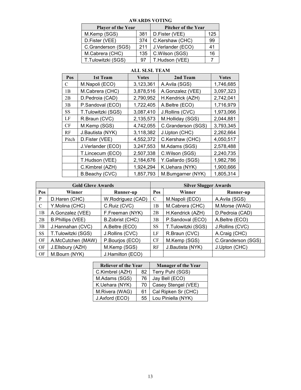| <b>AWARDS VOTING</b>      |     |                            |     |  |  |  |  |  |
|---------------------------|-----|----------------------------|-----|--|--|--|--|--|
| <b>Player of the Year</b> |     | <b>Pitcher of the Year</b> |     |  |  |  |  |  |
| M.Kemp (SGS)              | 381 | D.Fister (VEE)             | 125 |  |  |  |  |  |
| D.Fister (VEE)            | 374 | C.Kershaw (CHC)            | 99  |  |  |  |  |  |
| C.Granderson (SGS)        | 211 | J.Verlander (ECO)          | 41  |  |  |  |  |  |
| M.Cabrera (CHC)           | 135 | C.Wilson (SGS)             | 16  |  |  |  |  |  |
| T.Tulowitzki (SGS)        | 97  | T.Hudson (VEE)             |     |  |  |  |  |  |

#### **ALL SLSL TEAM**

| Pos       | 1st Team           | <b>Votes</b> | 2nd Team           | <b>Votes</b> |
|-----------|--------------------|--------------|--------------------|--------------|
| C         | M.Napoli (ECO)     | 3,123,361    | A.Avila (SGS)      | 1,746,685    |
| 1B        | M.Cabrera (CHC)    | 3,878,516    | A.Gonzalez (VEE)   | 3,097,323    |
| 2B        | D.Pedroia (CAD)    | 2,790,952    | H.Kendrick (AZH)   | 2,742,041    |
| 3B        | P.Sandoval (ECO)   | 1,722,405    | A.Beltre (ECO)     | 1,716,979    |
| <b>SS</b> | T.Tulowitzki (SGS) | 3,087,410    | J.Rollins (CVC)    | 1,973,066    |
| LF        | R.Braun (CVC)      | 2,135,573    | M.Holliday (SGS)   | 2,044,881    |
| <b>CF</b> | M.Kemp (SGS)       | 4,742,055    | C.Granderson (SGS) | 3,793,345    |
| RF        | J.Bautista (NYK)   | 3,118,382    | J.Upton (CHC)      | 2,262,664    |
| Pitch     | D.Fister (VEE)     | 4,552,372    | C.Kershaw (CHC)    | 4,050,517    |
|           | J.Verlander (ECO)  | 3,247,553    | M.Adams (SGS)      | 2,578,488    |
|           | T.Lincecum (ECO)   | 2,507,338    | C.Wilson (SGS)     | 2,240,735    |
|           | T.Hudson (VEE)     | 2,184,676    | Y.Gallardo (SGS)   | 1,982,786    |
|           | C.Kimbrel (AZH)    | 1,924,294    | K.Uehara (NYK)     | 1,900,666    |
|           | B.Beachy (CVC)     | 1,857,793    | M.Bumgarner (NYK)  | 1,805,314    |

|           | <b>Gold Glove Awards</b> |                   | <b>Silver Slugger Awards</b> |                    |                    |  |  |
|-----------|--------------------------|-------------------|------------------------------|--------------------|--------------------|--|--|
| Pos       | Winner                   | Runner-up         | Pos                          | Winner             | Runner-up          |  |  |
| P         | D.Haren (CHC)            | W.Rodriguez (CAD) | C                            | M.Napoli (ECO)     | A.Avila (SGS)      |  |  |
| C         | Y.Molina (CHC)           | C.Ruiz (CVC)      | 1B                           | M.Cabrera (CHC)    | M.Morse (WAG)      |  |  |
| 1B        | A.Gonzalez (VEE)         | F.Freeman (NYK)   | 2B                           | H.Kendrick (AZH)   | D.Pedroia (CAD)    |  |  |
| 2B        | <b>B.Phillips (VEE)</b>  | B.Zobrist (CHC)   | 3B                           | P.Sandoval (ECO)   | A.Beltre (ECO)     |  |  |
| 3B        | J.Hannahan (CVC)         | A.Beltre (ECO)    | <b>SS</b>                    | T.Tulowitzki (SGS) | J.Rollins (CVC)    |  |  |
| <b>SS</b> | T.Tulowitzki (SGS)       | J.Rollins (CVC)   | LF                           | R.Braun (CVC)      | A.Craig (CHC)      |  |  |
| OF        | A.McCutchen (MAW)        | P.Bourjos (ECO)   | <b>CF</b>                    | M.Kemp (SGS)       | C.Granderson (SGS) |  |  |
| OF        | J.Ellsbury (AZH)         | M.Kemp (SGS)      | RF                           | J.Bautista (NYK)   | J.Upton (CHC)      |  |  |
| OF        | M.Bourn (NYK)            | J.Hamilton (ECO)  |                              |                    |                    |  |  |

| <b>Reliever of the Year</b> |    | <b>Manager of the Year</b> |
|-----------------------------|----|----------------------------|
| C.Kimbrel (AZH)             | 82 | Terry Puhl (SGS)           |
| M.Adams (SGS)               | 76 | Jay Bell (ECO)             |
| K.Uehara (NYK)              | 70 | Casey Stengel (VEE)        |
| M.Rivera (WAG)              | 61 | Cal Ripken Sr (CHC)        |
| J.Axford (ECO)              | 55 | Lou Piniella (NYK)         |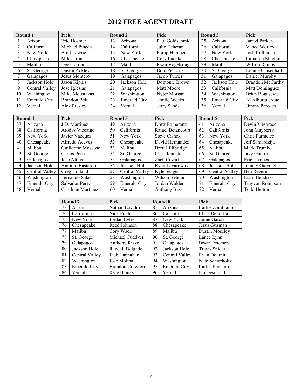# **2012 FREE AGENT DRAFT**

|    | Round 1             | <b>Pick</b>         |                | Round 2             | Pick                |    | Round 3             | <b>Pick</b>             |
|----|---------------------|---------------------|----------------|---------------------|---------------------|----|---------------------|-------------------------|
|    | Arizona             | Eric Hosmer         | 3              | Arizona             | Paul Goldschmidt    | 25 | Arizona             | Jarrod Parker           |
|    | California          | Michael Pineda      | $\overline{4}$ | California          | Julio Teheran       | 26 | California          | Vance Worley            |
| 3  | New York            | <b>Brett Lawrie</b> | 15             | New York            | Philip Humber       | 27 | New York            | Josh Collmenter         |
| 4  | Chesapeake          | Mike Trout          | 16             | Chesapeake          | Cory Luebke         | 28 | Chesapeake          | Cameron Maybin          |
|    | Malibu              | Dee Gordon          | 7              | Malibu              | Ryan Vogelsong      | 29 | Malibu              | Wilson Ramos            |
| 6  | St. George          | Dustin Ackley       | 18             | St. George          | <b>Brad Peacock</b> | 30 | St. George          | Lonnie Chisenhall       |
|    | Galapagos           | Jesus Montero       | 19             | Galapagos           | Jacob Turner        | 31 | Galapagos           | Daniel Murphy           |
| 8  | Jackson Hole        | Jason Kipnis        | 20             | Jackson Hole        | Domonic Brown       | 32 | Jackson Hole        | <b>Brandon McCarthy</b> |
| 9  | Central Valley      | Jose Iglesias       | 21             | Galapagos           | Matt Moore          | 33 | California          | Matt Dominguez          |
| 10 | Washington          | Mike Moustakas      | 22             | Washington          | Nyjer Morgan        | 34 | Washington          | Brian Bogusevic         |
| 11 | <b>Emerald City</b> | Brandon Belt        | 23             | <b>Emerald City</b> | Jemile Weeks        | 35 | <b>Emerald City</b> | Al Alburquerque         |
| 12 | Vernal              | Alex Presley        | 24             | Vernal              | Jerry Sands         | 36 | Vernal              | Jimmy Paredes           |

|    | Round 4             | Pick               |    | Round 5             | <b>Pick</b>              |    | Round 6             | Pick                    |
|----|---------------------|--------------------|----|---------------------|--------------------------|----|---------------------|-------------------------|
| 37 | Arizona             | J.D. Martinez      | 49 | Arizona             | Drew Pomeranz            | 61 | Arizona             | Devin Mesoraco          |
| 38 | California          | Arodys Vizcaino    | 50 | California          | Rafael Betancourt        | 62 | California          | John Mayberry           |
| 39 | New York            | Javier Vazquez     | 51 | New York            | <b>Steve Cishek</b>      | 63 | New York            | Chris Parmelee          |
| 40 | Chesapeake          | Alfredo Aceves     | 52 | Chesapeake          | David Hernandez          | 64 | Chesapeake          | Jeff Samardzija         |
| 41 | Malibu              | Guillermo Moscoso  | 53 | Malibu              | <b>Brett Lillibridge</b> | 65 | Malibu              | Mark Trumbo             |
| 42 | St. George          | Carlos Pena        | 54 | St. George          | Chris Iannetta           | 66 | St. George          | Javy Guerra             |
| 43 | Galapagos           | Jose Altuve        | 55 | Galapagos           | Zach Cozart              | 67 | Galapagos           | Eric Thames             |
| 44 | Jackson Hole        | Antonio Bastardo   | 56 | Jackson Hole        | Ryan Lavarnway           | 68 | Jackson Hole        | Johnny Giavotella       |
| 45 | Central Valley      | Greg Holland       | 57 | Central Valley      | Kyle Seager              | 69 | Central Valley      | Ben Revere              |
| 46 | Washington          | Fernando Salas     | 58 | Washington          | Wilson Betemit           | 70 | Washington          | Liam Hendriks           |
| 47 | <b>Emerald City</b> | Salvador Perez     | 59 | <b>Emerald City</b> | Jordan Walden            | 71 | <b>Emerald City</b> | <b>Trayvon Robinson</b> |
| 48 | Vernal              | Cristhian Martinez | 60 | Vernal              | <b>Anthony Bass</b>      | 72 | Vernal              | Todd Helton             |

|    | Round <sub>7</sub>  | Pick                    |    | Round 8             | Pick                  |
|----|---------------------|-------------------------|----|---------------------|-----------------------|
| 73 | Arizona             | Nathan Eovaldi          | 85 | Arizona             | Carlos Zambrano       |
| 74 | California          | Nick Punto              | 86 | California          | Chris Denorfia        |
| 75 | New York            | Jordan Lyles            | 87 | New York            | Jaime Garcia          |
| 76 | Chesapeake          | Reed Johnson            | 88 | Chesapeake          | Jesus Guzman          |
| 77 | Malibu              | Cory Wade               | 89 | Malibu              | <b>Dustin Moseley</b> |
| 78 | St. George          | Michael Cuddyer         | 90 | St. George          | Lance Lynn            |
| 79 | Galapagos           | <b>Anthony Rizzo</b>    | 91 | Galapagos           | Bryan Petersen        |
| 80 | Jackson Hole        | Randall Delgado         | 92 | Jackson Hole        | Travis Snider         |
| 81 | Central Valley      | Jack Hannahan           | 93 | Central Valley      | Ryan Doumit           |
| 82 | Washington          | Jose Molina             | 94 | Washington          | Nate Schierholtz      |
| 83 | <b>Emerald City</b> | <b>Brandon Crawford</b> | 95 | <b>Emerald City</b> | Carlos Peguero        |
| 84 | Vernal              | Kyle Blanks             | 96 | Vernal              | Ian Desmond           |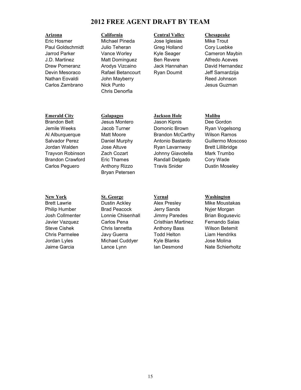### **2012 FREE AGENT DRAFT BY TEAM**

Eric Hosmer Michael Pineda Jose Iglesias Mike Trout Paul Goldschmidt Julio Teheran Greg Holland Cory Luebke Jarrod Parker Vance Worley Kyle Seager Cameron Maybin J.D. Martinez Matt Dominguez Ben Revere Alfredo Aceves Drew Pomeranz Arodys Vizcaino Jack Hannahan David Hernandez Devin Mesoraco Rafael Betancourt Ryan Doumit Jeff Samardzija Nathan Eovaldi John Mayberry Reed Johnson Carlos Zambrano Nick Punto Jesus Guzman

Chris Denorfia

#### **Arizona California Central Valley Chesapeake**

#### **Emerald City Galapagos Jackson Hole Malibu**

Jemile Weeks Jacob Turner Domonic Brown Ryan Vogelsong Al Alburquerque Matt Moore Brandon McCarthy Wilson Ramos Salvador Perez Daniel Murphy Antonio Bastardo Guillermo Moscoso Jordan Walden Jose Altuve Ryan Lavarnway Brett Lillibridge Trayvon Robinson Zach Cozart Johnny Giavotella Mark Trumbo Brandon Crawford Eric Thames Randall Delgado Cory Wade Carlos Peguero Anthony Rizzo Travis Snider Dustin Moseley

# Bryan Petersen

# Brandon Belt Jesus Montero Jason Kipnis Dee Gordon

### Brett Lawrie **Communist Clubstin Ackley** Alex Presley Mike Moustakas Philip Humber Brad Peacock Jerry Sands Nyjer Morgan Josh Collmenter Lonnie Chisenhall Jimmy Paredes Brian Bogusevic Javier Vazquez Carlos Pena Cristhian Martinez Fernando Salas Steve Cishek Chris Iannetta Anthony Bass Wilson Betemit Chris Parmelee Javy Guerra Todd Helton Liam Hendriks Jordan Lyles Michael Cuddyer Kyle Blanks Jose Molina

#### **New York St. George Vernal Washington**

Jaime Garcia **Lance Lynn** Ian Desmond Nate Schierholtz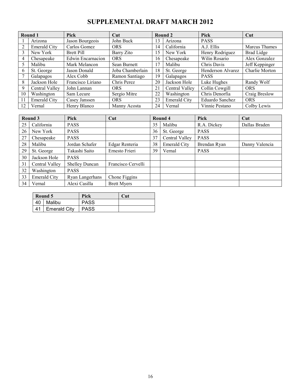# **SUPPLEMENTAL DRAFT MARCH 2012**

| Round 1 |                     | <b>Pick</b>       | Cut              |    | Round 2             | Pick              | Cut                  |
|---------|---------------------|-------------------|------------------|----|---------------------|-------------------|----------------------|
|         | Arizona             | Jason Bourgeois   | John Buck        | 13 | Arizona             | <b>PASS</b>       |                      |
|         | Emerald City        | Carlos Gomez      | <b>ORS</b>       | 14 | California          | A.J. Ellis        | <b>Marcus</b> Thames |
| 3       | New York            | <b>Brett Pill</b> | Barry Zito       | 15 | New York            | Henry Rodriguez   | <b>Brad Lidge</b>    |
| 4       | Chesapeake          | Edwin Encarnacion | <b>ORS</b>       | 16 | Chesapeake          | Wilin Rosario     | Alex Gonzalez        |
| 5       | Malibu              | Mark Melancon     | Sean Burnett     | 17 | Malibu              | Chris Davis       | Jeff Keppinger       |
| 6       | St. George          | Jason Donald      | Joba Chamberlain | 18 | St. George          | Henderson Alvarez | Charlie Morton       |
|         | <b>Galapagos</b>    | Alex Cobb         | Ramon Santiago   | 19 | Galapagos           | <b>PASS</b>       |                      |
| 8       | Jackson Hole        | Francisco Liriano | Chris Perez      | 20 | Jackson Hole        | Luke Hughes       | Randy Wolf           |
| 9       | Central Valley      | John Lannan       | <b>ORS</b>       | 21 | Central Valley      | Collin Cowgill    | <b>ORS</b>           |
| 10      | Washington          | Sam Lecure        | Sergio Mitre     | 22 | Washington          | Chris Denorfia    | Craig Breslow        |
| -11     | <b>Emerald City</b> | Casey Janssen     | <b>ORS</b>       | 23 | <b>Emerald City</b> | Eduardo Sanchez   | <b>ORS</b>           |
| 12      | Vernal              | Henry Blanco      | Manny Acosta     | 24 | Vernal              | Vinnie Pestano    | Colby Lewis          |

| Round 3 |                     | Pick                  | Cut                | Round 4 |                     | Pick         | Cut            |
|---------|---------------------|-----------------------|--------------------|---------|---------------------|--------------|----------------|
| 25      | California          | <b>PASS</b>           |                    | 35      | Malibu              | R.A. Dickey  | Dallas Braden  |
| 26      | New York            | <b>PASS</b>           |                    | 36      | St. George          | <b>PASS</b>  |                |
| 27      | Chesapeake          | <b>PASS</b>           |                    | 37      | Central Valley      | <b>PASS</b>  |                |
| 28      | Malibu              | Jordan Schafer        | Edgar Renteria     | 38      | <b>Emerald City</b> | Brendan Ryan | Danny Valencia |
| 29      | St. George          | Takashi Saito         | Ernesto Frieri     | 39      | Vernal              | <b>PASS</b>  |                |
| 30      | Jackson Hole        | <b>PASS</b>           |                    |         |                     |              |                |
| 31      | Central Valley      | <b>Shelley Duncan</b> | Francisco Cervelli |         |                     |              |                |
| 32      | Washington          | <b>PASS</b>           |                    |         |                     |              |                |
| 33      | <b>Emerald City</b> | Ryan Langerhans       | Chone Figgins      |         |                     |              |                |
| 34      | Vernal              | Alexi Casilla         | <b>Brett Myers</b> |         |                     |              |                |

|    | Round 5             | Pick        | $\bf{Cut}$ |
|----|---------------------|-------------|------------|
| 40 | Malibu              | <b>PASS</b> |            |
| 41 | <b>Emerald City</b> | <b>PASS</b> |            |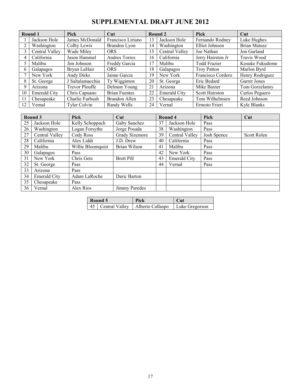# **SUPPLEMENTAL DRAFT JUNE 2012**

|    | Round 1             | Pick                  | Cut                  |    | Round 2             | Pick                  | Cut                 |
|----|---------------------|-----------------------|----------------------|----|---------------------|-----------------------|---------------------|
|    | Jackson Hole        | James McDonald        | Francisco Liriano    | 13 | Jackson Hole        | Fernando Rodney       | Luke Hughes         |
|    | Washington          | Colby Lewis           | Brandon Lyon         | 14 | Washington          | Elliot Johnson        | <b>Brian Matusz</b> |
| 3  | Central Valley      | Wade Miley            | <b>ORS</b>           | 15 | Central Valley      | Joe Nathan            | Jon Garland         |
| 4  | California          | Jason Hammel          | Andres Torres        | 16 | California          | Jerry Hairston Jr     | Travis Wood         |
|    | Malibu              | Jim Johnson           | Freddy Garcia        | 17 | Malibu              | <b>Todd Frazier</b>   | Kosuke Fukudome     |
| 6  | Galapagos           | Bryan LaHair          | <b>ORS</b>           | 18 | Galapagos           | <b>Troy Patton</b>    | Marlon Byrd         |
|    | New York            | <b>Andy Dirks</b>     | Jaime Garcia         | 19 | New York            | Francisco Cordero     | Henry Rodriguez     |
| 8  | St. George          | J Saltalamacchia      | Ty Wigginton         | 20 | St. George          | Eric Bedard           | Garret Jones        |
| 9  | Arizona             | <b>Trevor Plouffe</b> | Delmon Young         | 21 | Arizona             | Mike Baxter           | Tom Gorzelanny      |
| 10 | <b>Emerald City</b> | Chris Capuano         | <b>Brian Fuentes</b> | 22 | <b>Emerald City</b> | <b>Scott Hairston</b> | Carlos Peguero      |
| 11 | Chesapeake          | Charlie Furbush       | Brandon Allen        | 23 | Chesapeake          | Tom Wilhelmsen        | Reed Johnson        |
| 12 | Vernal              | Tyler Colvin          | Randy Wells          | 24 | Vernal              | Ernesto Frieri        | Kyle Blanks         |

|    | Round 3        | <b>Pick</b>       | Cut                  |    | Round 4             | Pick        | Cut         |
|----|----------------|-------------------|----------------------|----|---------------------|-------------|-------------|
| 25 | Jackson Hole   | Kelly Schoppach   | Gaby Sanchez         | 37 | Jackson Hole        | Pass        |             |
| 26 | Washington     | Logan Forsythe    | Jorge Posada         | 38 | Washington          | Pass        |             |
| 27 | Central Valley | Cody Ross         | Grady Sizemore       | 39 | Central Valley      | Josh Spence | Scott Rolen |
| 28 | California     | Alex Liddi        | J.D. Drew            | 40 | California          | Pass        |             |
| 29 | Malibu         | Willie Bloomquist | Brian Wilson         | 41 | Malibu              | Pass        |             |
| 30 | Galapagos      | Pass              |                      | 42 | New York            | Pass        |             |
| 31 | New York       | Chris Getz        | Brett Pill           | 43 | <b>Emerald City</b> | Pass        |             |
| 32 | St. George     | Pass              |                      | 44 | Vernal              | Pass        |             |
| 33 | Arizona        | Pass              |                      |    |                     |             |             |
| 34 | Emerald City   | Adam LaRoche      | Daric Barton         |    |                     |             |             |
| 35 | Chesapeake     | Pass              |                      |    |                     |             |             |
| 36 | Vernal         | Alex Rios         | <b>Jimmy Paredes</b> |    |                     |             |             |

| Round 5 | Pick                                   | Cut            |
|---------|----------------------------------------|----------------|
|         | 45   Central Valley   Alberto Callaspo | Luke Gregorson |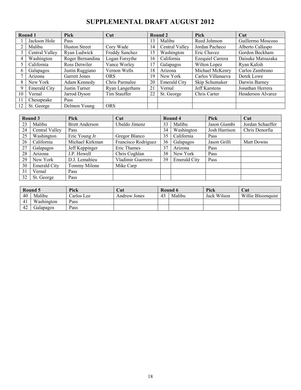# **SUPPLEMENTAL DRAFT AUGUST 2012**

|              | Round 1        | Pick                 | Cut             |    | Round 2             | Pick              | Cut               |
|--------------|----------------|----------------------|-----------------|----|---------------------|-------------------|-------------------|
|              | Jackson Hole   | Pass                 |                 | 3  | Malibu              | Reed Johnson      | Guillermo Moscoso |
|              | Malibu         | <b>Huston Street</b> | Cory Wade       | 14 | Central Valley      | Jordan Pacheco    | Alberto Callaspo  |
|              | Central Valley | Ryan Ludwick         | Freddy Sanchez  | 15 | Washington          | Eric Chavez       | Gordon Beckham    |
| 4            | Washington     | Roger Bernandina     | Logan Forsythe  | 16 | California          | Ezequiel Carrera  | Daisuke Matsuzaka |
|              | California     | Ross Detwiler        | Vance Worley    | 17 | Galapagos           | Wilton Lopez      | Ryan Kalish       |
| <sub>b</sub> | Galapagos      | Justin Ruggiano      | Vernon Wells    | 18 | Arizona             | Michael McKenry   | Carlos Zambrano   |
|              | Arizona        | Garrett Jones        | <b>ORS</b>      | 19 | New York            | Carlos Villanueva | Derek Lowe        |
| 8            | New York       | Adam Kennedy         | Chris Parmalee  | 20 | <b>Emerald City</b> | Skip Schumaker    | Darwin Barney     |
| 9            | Emerald City   | Justin Turner        | Ryan Langerhans | 21 | Vernal              | Jeff Karstens     | Jonathan Herrera  |
| 10           | Vernal         | Jarrod Dyson         | Tim Stauffer    | 22 | St. George          | Chris Carter      | Henderson Alvarez |
| 11           | Chesapeake     | Pass                 |                 |    |                     |                   |                   |
| 12           | St. George     | Delmon Young         | <b>ORS</b>      |    |                     |                   |                   |

|    | Round 3             | <b>Pick</b>           | Cut                 |    | Round 4             | Pick          | Cut               |
|----|---------------------|-----------------------|---------------------|----|---------------------|---------------|-------------------|
| 23 | Malibu              | <b>Brett Anderson</b> | Ubaldo Jimenz       | 33 | Malibu              | Jason Giambi  | Jordan Schaeffer  |
| 24 | Central Valley      | Pass                  |                     | 34 | Washington          | Josh Harrison | Chris Denorfia    |
| 25 | Washington          | Eric Young Jr         | Gregor Blanco       | 35 | California          | Pass          |                   |
| 26 | California          | Michael Kirkman       | Francisco Rodriguez | 36 | Galapagos           | Jason Grilli  | <b>Matt Downs</b> |
| 27 | Galapagos           | Jeff Keppinger        | Eric Thames         | 37 | Arizona             | Pass          |                   |
| 28 | Arizona             | J.P. Howell           | Chris Coghlan       | 38 | New York            | Pass          |                   |
| 29 | New York            | D.J. Lemahieu         | Vladimir Guerrero   | 39 | <b>Emerald City</b> | Pass          |                   |
| 30 | <b>Emerald City</b> | Tommy Milone          | Mike Carp           |    |                     |               |                   |
| 31 | Vernal              | Pass                  |                     |    |                     |               |                   |
| 32 | St. George          | Pass                  |                     |    |                     |               |                   |

|    | Round 5    | Pick       | $\bf Cut$    |    | Round 6 | Pick        | Cut               |
|----|------------|------------|--------------|----|---------|-------------|-------------------|
| 40 | Malibu     | Carlos Lee | Andruw Jones | 43 | Malibu  | Jack Wilson | Willie Bloomquist |
| 41 | Washington | Pass       |              |    |         |             |                   |
| 42 | Galapagos  | Pass       |              |    |         |             |                   |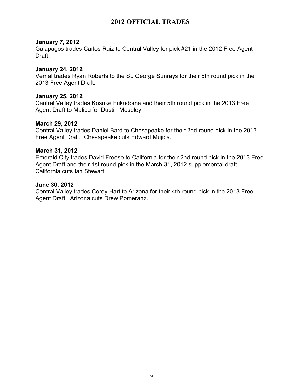## **2012 OFFICIAL TRADES**

#### **January 7, 2012**

Galapagos trades Carlos Ruiz to Central Valley for pick #21 in the 2012 Free Agent Draft.

#### **January 24, 2012**

Vernal trades Ryan Roberts to the St. George Sunrays for their 5th round pick in the 2013 Free Agent Draft.

#### **January 25, 2012**

Central Valley trades Kosuke Fukudome and their 5th round pick in the 2013 Free Agent Draft to Malibu for Dustin Moseley.

#### **March 29, 2012**

Central Valley trades Daniel Bard to Chesapeake for their 2nd round pick in the 2013 Free Agent Draft. Chesapeake cuts Edward Mujica.

#### **March 31, 2012**

Emerald City trades David Freese to California for their 2nd round pick in the 2013 Free Agent Draft and their 1st round pick in the March 31, 2012 supplemental draft. California cuts Ian Stewart.

#### **June 30, 2012**

Central Valley trades Corey Hart to Arizona for their 4th round pick in the 2013 Free Agent Draft. Arizona cuts Drew Pomeranz.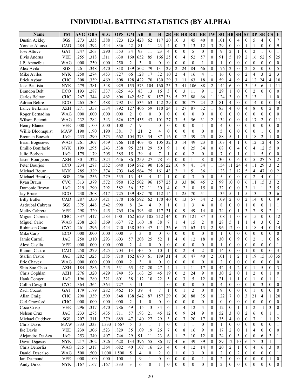# **INDIVIDUAL BATTING STATISTICS (BY ALPHA)**

| <b>Name</b>           | <b>TM</b>                 | <b>AVG</b> | <b>OBA</b> | <b>SLG</b> | <b>OPS</b> | <b>GM</b>      | AB             | R                        | H                | 2B                | 3B               | <b>HR</b>        | <b>RBI</b>              | <b>BB</b>        | IW               | SO <sub>1</sub>  | $\mathbf{H}\mathbf{B}$   | <b>SH</b>        | <b>SF DP</b>             |                  | <b>SB</b>               | $\mathbf{CS}$    | E                       |
|-----------------------|---------------------------|------------|------------|------------|------------|----------------|----------------|--------------------------|------------------|-------------------|------------------|------------------|-------------------------|------------------|------------------|------------------|--------------------------|------------------|--------------------------|------------------|-------------------------|------------------|-------------------------|
| Dustin Ackley         | SGS                       | .273       | 335        | .388       | .723       | 123            | 428            | 62                       | 117              | 20                | 10               | 3                | 45                      | 40               | $\mathbf{0}$     | 101              | $\overline{0}$           | 4                | $\theta$                 | 5                | $\overline{4}$          | $\theta$         | 7                       |
| Yonder Alonso         | CAD                       | .284       | 392        | .444       | .836       | 42             | 81             | 11                       | 23               | 4                 | $\theta$         | 3                | 13                      | 12               | 3                | 29               | $\overline{0}$           | $\mathbf{0}$     | 1                        | 1                | $\theta$                | $\theta$         | 9                       |
| Jose Altuve           | GAT                       | .247       | 263        | .290       | .553       | 34             | 93             | 11                       | 23               | 4                 | $\theta$         | $\Omega$         | 5                       | $\mathbf{0}$     | $\Omega$         | 9                | $\overline{2}$           | 1                | $\theta$                 | $\overline{2}$   | 1                       | $\theta$         |                         |
| <b>Elvis Andrus</b>   | <b>VEE</b>                | .255       | 318        | .311       | .630       | 160            | 652            | 85                       | 166              | 25                | $\theta$         | $\overline{4}$   | 52                      | 57               | $\Omega$         | 91               | 5                        | 19               | $\overline{2}$           | 16               | 52                      | 9                | 25                      |
| J.P. Arencibia        | WAG                       | .000       | 250        | .000       | .250       | $\overline{c}$ | 3              | $\Omega$                 | $\mathbf{0}$     | $\theta$          | $\theta$         | $\theta$         | $\theta$                | $\mathbf{1}$     | $\Omega$         |                  | $\theta$                 | $\theta$         | $\theta$                 | $\Omega$         | $\theta$                | $\theta$         | $\Omega$                |
| Alex Avila            | SGS                       | .261       | .348       | .470       | .818       | 139            | 502            | 79                       | 131              | 29                | $\overline{2}$   | 24               | 84                      | 66               | $\overline{0}$   | 176              | $\overline{c}$           | $\mathbf{0}$     | $\overline{2}$           | 8                | $\mathbf{0}$            | $\theta$         | 5                       |
| Mike Aviles           | <b>NYK</b>                | .250       | .274       | .453       | .727       | 66             | 128            | 17                       | 32               | 10                | $\overline{2}$   | $\overline{4}$   | 16                      | $\overline{4}$   | 1                | 16               | $\theta$                 | 6                | $\overline{2}$           | $\overline{4}$   | $\overline{\mathbf{3}}$ | $\overline{2}$   | $\mathfrak{Z}$          |
| Erick Aybar           | <b>CHC</b>                | .308       | .339       | .469       | .808       | 128            | 422            | 70                       | 130              | 29                | $\mathfrak{Z}$   | 11               | 63                      | 18               | $\theta$         | 59               | $\overline{\mathcal{L}}$ | 9                | $\overline{4}$           | 12               | 24                      | $\overline{4}$   | 10                      |
| Jose Bautista         | <b>NYK</b>                | .279       | .381       | .548       | .929       | 155            | 573            | 104                      | 160              | 25                | 3                | 41               | 106                     | 88               | $\overline{2}$   | 144              | 6                        | $\theta$         | 3                        | 15               | 6                       | $\mathbf{1}$     | 11                      |
| <b>Brandon Belt</b>   | ECO                       | .193       | .287       | .337       | .625       | 43             | 83             | 13                       | 16               | 3                 | $\mathbf{0}$     | 3                | 11                      | 9                |                  | 29               | 1                        | $\theta$         | $\theta$                 | $\overline{2}$   | $\Omega$                | $\theta$         | $\boldsymbol{0}$        |
| Carlos Beltran        | <b>CHC</b>                | .267       | 344        | .462       | .806       | 142            | 587            | 81                       | 157              | 38                | 5                | 22               | 88                      | 66               |                  | 124              | 3                        | $\theta$         | 3                        | 13               | $\mathbf{1}$            | 1                | $\overline{0}$          |
| <b>Adrian Beltre</b>  | ECO                       | .265       | .304       | .488       | .792       | 131            | 535            | 63                       | 142              | 29                | $\theta$         | 30               | 77                      | 24               | $\overline{2}$   | 81               | $\overline{4}$           | $\theta$         | $\theta$                 | 14               | $\theta$                | $\mathbf{0}$     | 14                      |
| Lance Berkman         | <b>AZH</b>                | .271       | 358        | .534       | .892       | 127            | 406            | 59                       | 110              | 24                |                  | 27               | 87                      | 52               |                  | 83               | $\overline{4}$           | $\theta$         | 4                        | 8                | $\theta$                | $\overline{2}$   | $\overline{0}$          |
| Roger Bernadina       | WAG                       | .000       | .000       | .000       | .000       | $\mathbf{2}$   | $\theta$       | $\Omega$                 | $\theta$         | $\theta$          | $\theta$         | $\mathbf{0}$     | $\theta$                | $\mathbf{0}$     | $\Omega$         | $\theta$         | $\overline{0}$           | $\theta$         | $\theta$                 | $\overline{0}$   | $\theta$                | $\theta$         | $\mathbf{0}$            |
| Wilson Betemit        | <b>WAG</b>                | .232       | 284        | .343       | .626       | 127            | 435            | 43                       | 101              | 27                | 3                | 5                | 56                      | 31               | $\overline{c}$   | 134              | $\overline{0}$           | $\theta$         | 4                        | 17               | $\mathfrak{2}$          | $\theta$         | 11                      |
| Henry Blanco          | <b>VEE</b>                | .000       | 100        | .000       | .100       | 7              | 9              | 1                        | $\theta$         | $\Omega$          | $\theta$         | $\mathbf{0}$     | $\theta$                | 1                | $\Omega$         | $\overline{4}$   | $\overline{0}$           | $\mathbf{0}$     | $\theta$                 | $\overline{0}$   | $\Omega$                | $\theta$         | $\overline{0}$          |
| Willie Bloomquist     | <b>MAW</b>                | .190       | 190        | .190       | .381       | $\overline{7}$ | 21             | $\overline{c}$           | $\overline{4}$   | $\theta$          | $\theta$         | $\Omega$         | $\Omega$                | $\theta$         | $\Omega$         | 5                | $\theta$                 | $\theta$         | $\theta$                 | $\theta$         | 1                       | $\theta$         | $\overline{0}$          |
| <b>Brennan Boesch</b> | <b>JAG</b>                | .233       | .290       | .373       | .662       | 104            | 373            | 34                       | 87               | 16                | $\theta$         | 12               | 39                      | 25               | $\theta$         | 88               | 5                        | $\mathbf{1}$     | $\mathbf{1}$             | 18               | $\overline{2}$          |                  | $\mathbf{0}$            |
| Brian Bogusevic       | WAG                       | .261       | 307        | 459        | .766       | 118            | 403            | 45                       | 105              | 32                | 3                | 14               | 49                      | 23               | $\Omega$         | 103              | $\overline{4}$           | $\mathbf{1}$     | $\theta$                 | 12               | 12                      | $\overline{4}$   | 5                       |
| Emilio Bonifacio      | <b>NYK</b>                | .199       | .295       | .243       | .538       | 95             | 251            | 29                       | 50               | 9                 | 1                | $\mathbf{0}$     | 25                      | 34               | $\overline{0}$   | 68               | $\mathbf{0}$             | $\overline{4}$   | $\theta$                 | $\overline{4}$   | 12                      | 5                | 9                       |
| Julio Borbon          | <b>JAG</b>                | .179       | .179       | .205       | .385       | 15             | 39             | $\overline{4}$           | $\tau$           |                   | $\theta$         | $\theta$         | $\overline{2}$          | $\mathbf{0}$     | $\theta$         | $\overline{7}$   | $\theta$                 | $\mathbf{1}$     | $\theta$                 | $\mathbf{1}$     | 5                       | $\theta$         | $\overline{0}$          |
| Jason Bourgeois       | <b>AZH</b>                | .301       | 322        | .324       | .646       | 86             | 259            | 27                       | 78               | 6                 | $\theta$         | $\theta$         | 11                      | 8                | $\theta$         | 30               | $\theta$                 | 6                | $\theta$                 | 5                | 27                      | $\overline{7}$   | $\overline{c}$          |
| Peter Bourjos         | ECO                       | .234       | .288       | .352       | .640       | 159            | 582            | 90                       | 136              | 22                | 10               | 9                | 41                      | 34               |                  | 154              | 11                       | 24               | $\overline{4}$           | 11               | 29                      | 3                | $\boldsymbol{2}$        |
| Michael Bourn         | <b>NYK</b>                | .285       | 329        | .374       | .703       | 145            | 564            | 75                       | 161              | 43                | $\overline{c}$   |                  | 51                      | 36               |                  | 123              | $\overline{2}$           | 12               | 5                        | $\overline{4}$   | 47                      | 10               | $\overline{c}$          |
| Michael Brantley      | SGS                       | .256       | .256       | .279       | .535       | 13             | 43             | 4                        | 11               | 1                 | $\theta$         | $\mathbf{0}$     | 3                       | $\mathbf{0}$     | $\Omega$         | 5                | $\theta$                 | $\theta$         | $\theta$                 | $\overline{c}$   | $\overline{4}$          | $\theta$         | $\mathbf{1}$            |
| Ryan Braun            | <b>CVC</b>                | .313       | .379       | .572       | .950       | 132            | 502            | 96                       | 157              | 25                | 3                | 33               | 86                      | 45               | $\overline{2}$   | 99               | 10                       | $\mathbf{0}$     | 6                        | 11               | 15                      | 3                | $\overline{2}$          |
| Domonic Brown         | <b>JAG</b>                | .219       | .290       | .292       | .582       | 36             | 137            | 11                       | 30               | 4                 | $\Omega$         | $\overline{2}$   | 8                       | 15               | $\Omega$         | 32               | $\overline{0}$           | $\theta$         | 3                        | 1                | 1                       | 3                | 5                       |
| Jay Bruce             | ECO                       | .230       | 308        | .417       | .725       | 139            | 487            | 70                       | 112              | 14                |                  | 25               | 70                      | 51               |                  | 135              | 5                        | $\mathbf{1}$     | 5                        | 13               | 1                       | 3                | 6                       |
| <b>Billy Butler</b>   | CAD                       | .287       | .350       | .421       | .770       | 156            | 592            | 62                       | 170              | 40                | $\mathbf{0}$     | 13               | 57                      | 54               | $\overline{c}$   | 109              | $\overline{2}$           | $\mathbf{0}$     | $\overline{2}$           | 14               | $\mathbf{0}$            | $\mathbf{0}$     | 9                       |
| Asdrubal Cabrera      | SGS                       | .375       | .448       | .542       | .990       | 8              | 24             | $\overline{4}$           | 9                |                   | $\theta$         | 1                | 3                       | $\overline{4}$   | $\theta$         | 8                | $\theta$                 | $\theta$         | $\mathbf{1}$             | $\overline{0}$   | $\Omega$                |                  | 1                       |
| Melky Cabrera         | <b>VEE</b>                | .298       | .320       | .445       | .765       | 126            | 393            | 48                       | 117              | 31                | $\theta$         | 9                | 49                      | 14               | $\Omega$         | 74               | $\mathbf{0}$             | 1                | 3                        | 7                | 9                       | $\overline{2}$   | 1                       |
| Miguel Cabrera        | <b>CHC</b>                | .337       | .417       | .583       | 1.001      | 162            | 629            | 105                      | 212              | 44                | $\mathbf{0}$     | 37               | 121                     | 87               | 3                | 108              | $\mathbf{1}$             | $\theta$         | 6                        | 15               | $\mathbf{0}$            | $\mathbf{0}$     | 12                      |
| Miguel Cairo          | WAG                       | .238       | 268        | .369       | .637       | 72             | 160            | 18                       | 38               | 7                 | 1                | $\overline{4}$   | 15                      | $\overline{2}$   | $\overline{0}$   | 28               | 5                        |                  | $\overline{\phantom{a}}$ | 4                | 3                       | $\mathbf{0}$     | $\boldsymbol{2}$        |
| Robinson Cano         | <b>CVC</b>                | .261       | .296       | .444       | .740       | 138            | 540            | 47                       | 141              | 36                | 6                | 17               | 63                      | 13               | $\overline{2}$   | 96               | 12                       | $\theta$         | $\mathbf{1}$             | 18               | $\overline{4}$          | $\mathbf{0}$     | 14                      |
| Mike Carp             | ECO                       | .000       | .000       | .000       | .000       | 3              | 3              | $\theta$                 | $\theta$         | $\theta$          | $\theta$         | $\theta$         | $\theta$                | $\mathbf{0}$     | $\theta$         | 1                | $\theta$                 | $\theta$         | $\theta$                 | $\theta$         | $\theta$                | $\theta$         | $\boldsymbol{0}$        |
| Jamie Carroll         | <b>JAG</b>                | .250       | 310        | .293       | .603       | 57             | 208            | 25                       | 52               |                   | $\overline{4}$   | $\mathbf{0}$     | 12                      | 18               | $\overline{0}$   | 30               | $\mathbf{0}$             | 9                | $\theta$                 | $\overline{2}$   | 1                       | $\mathbf{0}$     | 6                       |
| Alexi Casilla         | <b>VEE</b>                | .000       | .000       | .000       | .000       | $\overline{c}$ | $\overline{4}$ | $\theta$                 | $\overline{0}$   | $\theta$          | $\mathbf{0}$     | $\mathbf{0}$     | $\mathbf{0}$            | $\mathbf{0}$     | $\overline{0}$   |                  | $\overline{0}$           | $\mathbf{0}$     | $\mathbf{0}$             | $\overline{0}$   | $\mathbf{0}$            | $\mathbf{0}$     | $\mathbf{1}$            |
| Ramon Castro          | CAD                       | .250       | 279        | 425        | .704       | 13             | 40             | $\overline{\phantom{0}}$ | 10               |                   | $\Omega$         | $\mathcal{L}$    | $\overline{\mathbf{A}}$ | $\overline{2}$   | $\Omega$         | 14               | $\Omega$                 | $\Omega$         |                          | $\Omega$         | $\Omega$                | $\Omega$         | $\overline{\mathbf{3}}$ |
| <b>Starlin Castro</b> | JAG                       | .282       | 325        | .385       | .710       | 162            | 670            | 61                       | 189              | 31                | 4                | 10               | 47                      | 40               | $\overline{c}$   | 101              | $\mathbf{1}$             | $\mathbf{2}$     |                          | 19               | 15                      | 10               | 35                      |
| Eric Chavez           | WAG                       | .000       | .000       | .000       | .000       | 2              | 3              | $\theta$                 | $\boldsymbol{0}$ | $\boldsymbol{0}$  | $\mathbf{0}$     | $\boldsymbol{0}$ | 0                       | $\mathbf{0}$     | $\mathbf{0}$     | 2                | $\boldsymbol{0}$         | $\boldsymbol{0}$ | $\overline{0}$           | $\boldsymbol{0}$ | $\overline{0}$          | $\mathbf{0}$     | $\overline{0}$          |
| Shin-Soo Choo         | <b>AZH</b>                | .184       | .286       | .245       | .531       | 65             | 147            | 20                       | 27               | $\overline{4}$    | 1                | 1                | 11                      | 17               | $\overline{0}$   | 42               | 4                        | $\overline{c}$   | $\overline{0}$           | 1                | 5                       | $\theta$         | 3                       |
| Chris Coghlan         | <b>AZH</b>                | .276       | .320       | .429       | .749       | 53             | 163            | 25                       | 45               | 19                | $\boldsymbol{0}$ | $\overline{c}$   | 24                      | 9                | $\overline{0}$   | 30               | $\overline{c}$           | $\overline{0}$   | 1                        | $\sqrt{2}$       | $\mathbf{0}$            |                  | $\overline{0}$          |
| Hank Conger           | $\rm JAG$                 | .196       | .280       | .321       | .601       | 38             | 112            | 10                       | 22               | 5                 | $\overline{0}$   | $\mathfrak{Z}$   | 5                       | 12               | $\overline{0}$   | 21               | 1                        | -1               | $\overline{0}$           | -1               | $\overline{0}$          |                  | -1                      |
| Collin Cowgill        | $\ensuremath{\text{CVC}}$ | .364       | .364       | .364       | .727       | 3              | 11             | 1                        | $\overline{4}$   | $\mathbf{0}$      | $\overline{0}$   | $\mathbf{0}$     | $\mathbf{0}$            | $\mathbf{0}$     | $\overline{0}$   | 4                | $\boldsymbol{0}$         | $\boldsymbol{0}$ | $\overline{0}$           | $\overline{0}$   | 3                       | $\theta$         | $\overline{0}$          |
| Zach Cozart           | <b>GAT</b>                | .179       | .179       | .282       | .462       | 15             | 39             | $\overline{4}$           | $\tau$           |                   | $\mathbf{0}$     | 1                | $\overline{c}$          | $\mathbf{0}$     | $\theta$         | 9                | $\overline{0}$           | $\overline{0}$   | $\mathbf{0}$             | -1               | $\mathbf{0}$            | $\theta$         | $\theta$                |
| Allan Craig           | CHC                       | .290       | .339       | .509       | .848       | 138            | 542            | 87                       | 157              | 29                | $\mathbf{0}$     | 30               | 88                      | 35               | $\mathbf{0}$     | 122              | 7                        | $\boldsymbol{0}$ | 3                        | 21               | $\overline{4}$          |                  | 20                      |
| Carl Crawford         | <b>CHC</b>                | .000       | .000       | .000       | .000       | $\overline{c}$ | 1              | $\theta$                 | $\theta$         | $\mathbf{0}$      | $\overline{0}$   | $\mathbf{0}$     | $\mathbf{0}$            | $\mathbf{0}$     | $\overline{0}$   | $\boldsymbol{0}$ | $\overline{0}$           | $\overline{0}$   | $\overline{0}$           | $\mathbf{0}$     | $\mathbf{0}$            | $\theta$         | $\overline{0}$          |
| Coco Crisp            | <b>VEE</b>                | .296       | .317       | .470       | .786       | 49             | 115            | 13                       | 34               | 6                 | 1                | $\overline{4}$   | 12                      | $\overline{4}$   | $\mathbf{0}$     | 12               | $\overline{0}$           | -1               | $\mathbf{1}$             | $\sqrt{2}$       | 11                      | 3                | $\overline{0}$          |
| Nelson Cruz           | <b>JAG</b>                | .233       | .275       | .435       | .711       | 57             | 193            | 21                       | 45               | 12                | $\boldsymbol{0}$ | 9                | 24                      | 9                | $\mathbf{0}$     | 52               | 3                        | $\mathbf{0}$     | $\mathbf{2}$             | 6                | $\mathbf{0}$            | 1                | $\mathbf{1}$            |
| Michael Cuddyer       | SGS                       | .207       | .311       | .379       | .689       | 47             | 140            | 27                       | 29               |                   | $\boldsymbol{0}$ | $\boldsymbol{7}$ | $20\,$                  | 17               | $\boldsymbol{0}$ | 35               | $\overline{4}$           | $\overline{0}$   | $\boldsymbol{0}$         | $\boldsymbol{7}$ | 1                       | $\mathbf{1}$     | $\sqrt{2}$              |
| Chris Davis           | <b>MAW</b>                | .333       | .333       | 1.333      | 1.667      | 5              | 3              | 1                        | $\mathbf{1}$     | 3<br>$\mathbf{0}$ | $\boldsymbol{0}$ | 1                | 1                       | $\mathbf{0}$     | $\overline{0}$   | $\mathbf{1}$     | $\overline{0}$           | $\overline{0}$   | $\overline{0}$           | $\boldsymbol{0}$ | $\overline{0}$          | $\theta$         | $\mathbf{1}$            |
| Ike Davis             | <b>VEE</b>                | .239       | .306       | .523       | .829       | 35             | 109            | 19                       | 26               | 7                 | $\boldsymbol{0}$ | 8                | 16                      | 9                | $\overline{0}$   | 17               | $\overline{2}$           | $\overline{0}$   | 1                        | $\overline{4}$   | $\overline{0}$          | $\mathbf{0}$     | $\overline{0}$          |
|                       |                           |            |            |            |            |                |                |                          |                  |                   |                  |                  |                         |                  |                  |                  |                          |                  |                          |                  |                         |                  |                         |
| Alejandro De Aza      | JAG                       | .253       | .340       | .407       | .746       | 29             | 91             | 11                       | 23               | 6                 | 1                | $\overline{c}$   | 10                      | 12               | $\mathbf{0}$     | 24               | $\boldsymbol{0}$         | 3                | $\boldsymbol{0}$         | $\mathbf{0}$     | 6                       | 3                | 1                       |
| David Dejesus         | <b>NYK</b>                | .217       | .302       | .326       | .628       | 133            | 396            | 55                       | 86               | 17                | $\overline{4}$   | 6                | 39                      | 39               | $\overline{0}$   | 89               | 12                       | 10               | 6                        | $\tau$           | 3                       | 1                | 1                       |
| Chris Denorfia        | WAG                       | .215       | .317       | .364       | .682       | 40             | 107            | 16                       | 23               | 4                 | $\overline{0}$   | 4                | 12                      | 14               | $\overline{0}$   | 20               | 2                        |                  | $\overline{0}$           | 4                | 6                       | 3                | $\overline{0}$          |
| Daniel Descalso       | <b>WAG</b>                | .500       | .500       | 1.000      | 1.500      | 5              | 4              | $\mathbf{0}$             | $\sqrt{2}$       | $\theta$          | 1                | $\boldsymbol{0}$ | 3                       | $\mathbf{0}$     | $\overline{0}$   | 2                | $\mathbf{0}$             | $\overline{c}$   | $\overline{0}$           | $\overline{0}$   | $\overline{0}$          | $\mathbf{0}$     | 1                       |
| Ian Desmond           | <b>VEE</b>                | .000       | .100       | .000       | .100       | 4              | 9              | 1                        | $\boldsymbol{0}$ | $\mathbf{0}$      | $\overline{0}$   | $\mathbf{0}$     | $\mathbf{0}$            | 1                | $\mathbf{0}$     | $\boldsymbol{2}$ | $\mathbf{0}$             | $\mathbf{0}$     | $\overline{0}$           | $\mathbf{0}$     | $\overline{0}$          | 1                | $\overline{0}$          |
| <b>Andy Dirks</b>     | <b>NYK</b>                | .167       | .167       | .167       | .333       | 3              | 6              | $\mathbf{0}$             |                  | $\boldsymbol{0}$  | $\boldsymbol{0}$ | $\boldsymbol{0}$ | $\overline{0}$          | $\boldsymbol{0}$ | $\overline{0}$   | $\overline{c}$   | $\boldsymbol{0}$         | $\boldsymbol{0}$ | $\boldsymbol{0}$         | $\boldsymbol{0}$ | $\boldsymbol{0}$        | $\boldsymbol{0}$ | $\mathbf{0}$            |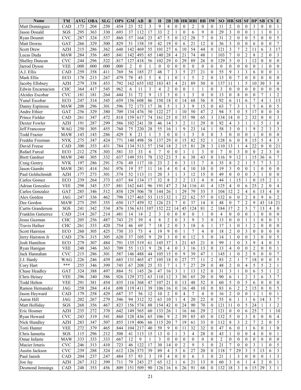| Name                  | <b>TM</b>                 | <b>AVG</b> | OBA  | <b>SLG</b> | OPS  | <b>GM</b>      | AВ       | R              | Н              | 2B             |                  | <b>3B HR</b>   | <b>RBI</b>     | <b>BB</b>                | IW               | <b>SO</b>      | $\mathbf{H}\mathbf{B}$ | <b>SH</b>        | <b>SF</b>        | <b>DP</b>        | SB               | $\mathbf{CS}$  | E                |
|-----------------------|---------------------------|------------|------|------------|------|----------------|----------|----------------|----------------|----------------|------------------|----------------|----------------|--------------------------|------------------|----------------|------------------------|------------------|------------------|------------------|------------------|----------------|------------------|
| Matt Dominguez        | CAD                       | .173       | .204 | .250       | 454  | 23             | 52       | 3              | $\mathbf Q$    | 4              | $\Omega$         | $\theta$       | $\overline{2}$ | $\Omega$                 | $\theta$         | 11             | $\overline{2}$         | $\theta$         | $\mathbf{0}$     | 3                | 0                | $\theta$       |                  |
| Jason Donald          | SGS                       | .295       | .363 | .330       | .693 | 37             | 112      | 17             | 33             | $\overline{2}$ | 1                | $\mathbf{0}$   | 6              | 9                        | $\mathbf{0}$     | 29             | 3                      | $\overline{0}$   | $\mathbf{0}$     | 1                | 1                | $\mathbf{0}$   | 1                |
| Ryan Doumit           | <b>CVC</b>                | .287       | .324 | .537       | .860 | 57             | 164      | 23             | 47             | 5              | $\overline{0}$   | 12             | 28             | 7                        | $\overline{0}$   | 31             | $\overline{2}$         | $\Omega$         | $\mathbf{0}$     | 5                | $\Omega$         | $\mathbf{0}$   | 5                |
| <b>Matt Downs</b>     | GAT                       | .266       | .329 | .500       | .829 | 51             | 158      | 19             | 42             | 19             | $\theta$         | 6              | 21             | 12                       | $\theta$         | 36             | 3                      | $\overline{0}$   | $\theta$         | 6                | $\overline{0}$   | $\theta$       | 7                |
| <b>Scott Drew</b>     | <b>AZH</b>                | .215       | 286  | .362       | .648 | 142            | 469      | 55             | 101            | 27             | 6                | 10             | 54             | 44                       | $\theta$         | 121            | 3                      | 7                | $\overline{2}$   | 11               | 6                | 3              | 17               |
| Lucas Duda            | <b>MAW</b>                | .284       | 356  | .485       | .841 | 142            | 493      | 65             | 140            | 28             | 4                | 21             | 74             | 48                       |                  | 103            | 7                      | $\mathbf{0}$     | $\overline{2}$   | 8                | $\overline{c}$   | $\mathbf{0}$   | 3                |
| <b>Shelley Duncan</b> | <b>CVC</b>                | .244       | .296 | .522       | .817 | 127            | 418      | 56             | 102            | 29             | $\mathbf{0}$     | 29             | 89             | 26                       | $\mathbf{0}$     | 129            | 5                      | $\theta$         | $\mathbf{1}$     | 12               | $\theta$         | $\theta$       | $\boldsymbol{0}$ |
| Jarrod Dyson          | <b>VEE</b>                | .000       | .000 | .000       | .000 | $\overline{2}$ | $\theta$ | 1              | $\theta$       | $\theta$       | $\theta$         | $\theta$       | $\theta$       | $\theta$                 | $\theta$         | $\theta$       | $\theta$               | $\theta$         | $\overline{0}$   | $\overline{0}$   | 1                | $\theta$       | $\mathbf{0}$     |
| A.J. Ellis            | CAD                       | .259       | .358 | .411       | .769 | 56             | 185      | 27             | 48             | $\overline{7}$ | 3                | 5              | 27             | 21                       | $\mathbf{0}$     | 55             | 9                      | $\mathbf{1}$     | 3                | 6                | $\overline{0}$   | $\theta$       | 1                |
| Mark Ellis            | ECO                       | .178       | .213 | .267       | .479 | 78             | 45       | 5              | 8              | $\mathbf{1}$   | $\theta$         | 1              | 5              | $\overline{2}$           | $\mathbf{0}$     | 13             | $\overline{0}$         | $\overline{7}$   | $\theta$         | $\overline{0}$   | $\overline{0}$   | $\theta$       | $\mathbf{0}$     |
| Jacoby Ellsbury       | <b>AZH</b>                | .279       | .338 | .453       | .792 | 162            | 655      | 102            | 183            | 43             | 4                | 21             | 89             | 50                       | $\mathbf{0}$     | 137            | 11                     | 1                | 5                | 10               | 30               | 5              | $\overline{0}$   |
| Edwin Encarnacion     | <b>CHC</b>                | .364       | .417 | .545       | .962 | 6              | 11       | 3              | 4              | $\overline{2}$ | $\overline{0}$   | $\mathbf{0}$   | 1              | 1                        | $\mathbf{0}$     | 3              | $\theta$               | $\theta$         | $\mathbf{0}$     | $\overline{0}$   | $\boldsymbol{0}$ | $\mathbf{0}$   | $\mathbf{0}$     |
| Alcides Escobar       | <b>CVC</b>                | .181       | .181 | .264       | 444. | 31             | 72       | 9              | 13             | 3              | $\theta$         | 1              | 3              | $\theta$                 | $\theta$         | 13             | $\theta$               | 8                | $\mathbf{0}$     | $\overline{0}$   | 7                | $\mathbf{1}$   | $\overline{2}$   |
| Yunel Escobar         | ECO                       | .247       | .314 | .345       | .659 | 156            | 608      | 86             | 150            | 18             | $\Omega$         | 14             | 68             | 56                       | $\mathbf{0}$     | 92             | 6                      | 11               | 6                | 7                | 4                | -1             | 13               |
| Danny Espinosa        | <b>MAW</b>                | .208       | .296 | .301       | 596  | 72             | 173      | 17             | 36             | 5              | 1                | 3              | 9              | 15                       | $\mathbf{0}$     | 63             | 7                      | 3                | 1                | 5                | 6                | $\theta$       | 5                |
| Andre Ethier          | GAT                       | .256       | .329 | .380       | .709 | 134            | 476      | 50             | 122            | 27             | -1               | 10             | 50             | 47                       | $\overline{2}$   | 94             | 5                      | $\mathbf{0}$     | 5                | 17               | $\overline{0}$   | $\mathbf{0}$   | $\mathbf{0}$     |
| Prince Fielder        | CAD                       | .261       | .347 | .472       | .818 | 159            | 617      | 74             | 161            | 25             | $\mathbf{0}$     | 35             | 98             | 65                       | 3                | 134            | 14                     | $\mathbf{0}$     | $\overline{2}$   | 32               | $\overline{0}$   | $\theta$       | 3                |
| Dexter Fowler         | <b>AZH</b>                | .191       | 287  | 299        | 586  | 102            | 241      | 38             | 46             | 14             | 3                | $\overline{c}$ | 11             | 29                       | $\theta$         | 92             | 4                      | 3                |                  |                  | 5                |                | 8                |
| Jeff Francoeur        | WAG                       | .250       | .305 | .455       | .760 | 75             | 220      | 28             | 55             | 16             | 1                | 9              | 23             | 14                       |                  | 58             | 3                      | $\mathbf{0}$     | 1                | 9                | $\overline{2}$   | 3              | 3                |
| <b>Todd Frazier</b>   | <b>MAW</b>                | .143       | .143 | .286       | 429  | 8              | 21       | 1              | 3              | $\theta$       | $\theta$         | 1              | $\overline{3}$ | $\theta$                 | $\theta$         | $\overline{3}$ | $\theta$               | $\theta$         | $\theta$         | 1                | $\theta$         | $\theta$       | $\mathbf{0}$     |
| Freddie Freeman       | <b>NYK</b>                | .275       | .347 | .424       | .771 | 140            | 498      | 58             | 137            | 29             | $\theta$         | 15             | 82             | 52                       | 1                | 128            | 6                      | $\mathbf{0}$     | 8                | 15               | 5                | $\overline{4}$ | 3                |
| David Freese          | CAD                       | .300       | .353 | .431       | .784 | 134            | 513      | 57             | 154            | 18             | $\overline{2}$   | 15             | 81             | 28                       | $\mathfrak{Z}$   | 110            | 13                     | 1                | $\overline{4}$   | 22               | $\overline{0}$   | $\theta$       | 21               |
| Rafael Furcal         | ECO                       | .212       | .278 | .303       | .581 | 33             | 33       | 6              | $\overline{7}$ | $\Omega$       | $\mathbf{0}$     | 1              | $\mathbf{1}$   | 3                        | $\mathbf{0}$     | $\overline{7}$ | $\theta$               | 3                | $\overline{0}$   | $\mathbf{0}$     | $\overline{2}$   | 3              | $\mathbf{0}$     |
| <b>Brett Gardner</b>  | MAW                       | .240       | .305 | .332       | .637 | 149            | 551      | 78             | 132            | 23             | 5                | 6              | 38             | 43                       | $\mathbf{0}$     | 116            | 9                      | 12               |                  | 15               | 36               | 6              | $\overline{7}$   |
| Craig Gentry          | <b>NYK</b>                | .197       | .286 | .291       | .576 | 49             | 117      | 10             | 23             | $\overline{2}$ | $\Omega$         | 3              | 13             | $\overline{7}$           | $\theta$         | 35             | 8                      | $\overline{2}$   | 1                | 5                | 7                | 3              | $\overline{c}$   |
| Jason Giambi          | <b>MAW</b>                | .281       | .414 | .561       | .976 | 19             | 57       | 11             | 16             | 4              | $\overline{0}$   | 4              | 10             | 10                       | $\mathbf{0}$     | 19             | 3                      | $\overline{0}$   | $\mathbf{0}$     | 1                | $\boldsymbol{0}$ | $\mathbf{0}$   | $\mathbf{0}$     |
| Paul Goldschmidt      | <b>AZH</b>                | .177       | .273 | .301       | 574  | 52             | 113      | 11             | 20             | 3              | 1                | 3              | 12             | 15                       | $\theta$         | 49             | $\mathbf{0}$           | $\mathbf{0}$     | $\mathbf{0}$     | 3                | 1                | $\mathbf{0}$   | $\overline{0}$   |
| Carlos Gomez          | ECO                       | .239       | .264 | .373       | .637 | 84             | 134      | 17             | 32             | 8              | $\overline{2}$   | $\mathfrak{2}$ | 13             | $\overline{4}$           | $\theta$         | 44             | 1                      | 15               | 1                | $\overline{0}$   | 15               | $\overline{2}$ | 1                |
| Adrian Gonzalez       | <b>VEE</b>                | .298       | .345 | .537       | .881 | 162            | 641      | 96             | 191            | 47             | $\overline{2}$   | 34             | 116            | 41                       | $\overline{4}$   | 125            | 4                      | $\overline{0}$   | 6                | 25               | $\overline{c}$   | $\theta$       | $\overline{4}$   |
| Carlos Gonzalez       | GAT                       | .285       | .346 | .512       | .858 | 129            | 506      | 78             | 144            | 26             | $\mathbf{1}$     | 29             | 79             | 33                       | 5                | 104            | 12                     | $\overline{2}$   | $\overline{4}$   | 6                | 13               | $\overline{4}$ | $\mathbf{0}$     |
| Alex Gordon           | <b>JAG</b>                | 247        | .336 | .462       | .798 | 127            | 465      | 53             | 115            | 32             |                  | 22             | 62             | 57                       | $\theta$         | 132            | 6                      | $\theta$         | $\overline{c}$   | 8                | 9                | 6              | $\overline{c}$   |
| Dee Gordon            | <b>MAW</b>                | .275       | .295 | .355       | .650 | 117            | 459      | 52             | 126            | 23             | 7                | $\mathbf{0}$   | 37             | 14                       | $\mathbf{0}$     | 48             | $\boldsymbol{0}$       | 7                | $\overline{2}$   | 9                | 43               | 14             | 21               |
| Curtis Granderson     | SGS                       | .241       | .342 | .534       | .876 | 156            | 631      | 107            | 152            | 22             | 14               | 45             | 124            | 81                       | $\overline{2}$   | 184            | 17                     | $\overline{2}$   | 5                | $\boldsymbol{7}$ | 13               | $\overline{4}$ | $\mathbf{0}$     |
| Franklin Gutierrez    | CAD                       | .214       | .267 | .214       | .481 | 14             | 14       | $\overline{2}$ | 3              | $\theta$       | $\theta$         | $\theta$       | $\theta$       | 1                        | $\theta$         | $\overline{4}$ | $\theta$               | $\theta$         | $\mathbf{0}$     | 1                | $\mathbf{0}$     | $\theta$       | $\bf{0}$         |
| Jesus Guzman          | <b>CHC</b>                | .205       | .256 | .487       | .743 | 25             | 39       | 4              | 8              | $\overline{2}$ | $\Omega$         | $\overline{3}$ | 9              | 3                        | $\mathbf{0}$     | 13             | $\mathbf{0}$           | $\mathbf{0}$     | 1                | 1                | $\mathbf{0}$     | $\theta$       | $\mathfrak{Z}$   |
| <b>Travis Hafner</b>  | <b>CHC</b>                | .261       | .333 | .420       | .754 | 46             | 69       | 7              | 18             | $\overline{2}$ | $\overline{0}$   | 3              | 18             | 6                        |                  | 17             | 1                      | $\theta$         | -1               | $\overline{c}$   | $\mathbf{0}$     | $\theta$       | $\mathbf{0}$     |
| <b>Scott Hairston</b> | ECO                       | 260        | .305 | .425       | .730 | 33             | 73       | $\overline{4}$ | 19             | 9              | $\mathbf{0}$     |                | $\overline{7}$ | 4                        | $\mathbf{0}$     | 18             | $\overline{c}$         | $\mathbf{0}$     | 3                | $\boldsymbol{0}$ | $\boldsymbol{0}$ | $\mathbf{0}$   | $\boldsymbol{0}$ |
| Jerry Hairston Jr     | CAD                       | 276        | 315  | 305        | 620  | 37             | 105      | $\mathbf Q$    | 29             | 3              | $\Omega$         | $\Omega$       | 12             | $\overline{\phantom{0}}$ | $\Omega$         | 14             |                        | $\Omega$         | $\Omega$         | 3                | $\Omega$         | $\Omega$       | 5                |
| Josh Hamilton         | ECO                       | .279       | .307 | .484       | .791 | 135            | 519      | 61             | 145            | 37             | 3                | 21             | 65             | 21                       | $\mathbf{0}$     | 99             | 1                      | $\boldsymbol{0}$ | 3                | 9                | 4                | $\overline{0}$ | 3                |
| Ryan Hanigan          | <b>VEE</b>                | .248       | .346 | .363       | .709 | 55             | 113      | 9              | 28             | 4              | $\overline{0}$   | 3              | 16             | 13                       | $\overline{0}$   | 13             | 4                      | $\mathbf{0}$     | $\boldsymbol{0}$ | 2                | $\overline{0}$   | $\theta$       | $\mathbf{1}$     |
| Jack Hannahan         | <b>CVC</b>                | .215       | .286 | .301       | .587 | 146            | 488      | 44             | 105            | 15             | $\overline{0}$   | 9              | 39             | 47                       |                  | 145            | 1                      | $\mathbf{0}$     | $\overline{c}$   | 9                | 0                | $\overline{0}$ | 7                |
| J.J. Hardy            | <b>WAG</b>                | .226       | .246 | .439       | .685 | 131            | 465      | 47             | 105            | 18             | $\bf{0}$         | 27             | 77             | 11                       | $\overline{c}$   | 83             | $\boldsymbol{2}$       | 1                | 7                | 18               | $\boldsymbol{0}$ | $\mathbf{0}$   | 5                |
| Cory Hart             | ***                       | .255       | .346 | .399       | .745 | 67             | 208      | 25             | 53             | $\overline{7}$ | 1                | $\tau$         | 27             | 29                       | $\overline{0}$   | 48             | $\overline{2}$         | $\mathbf{0}$     | $\overline{4}$   | 5                | 5                | $\overline{2}$ | $\mathbf{1}$     |
| Chase Headley         | <b>GAT</b>                | .324       | .388 | .497       | .884 | 51             | 145      | 26             | $47\,$         | 16             | 3                | 1              | 13             | 12                       | $\overline{0}$   | 31             | 3                      | 1                | $\boldsymbol{0}$ | 6                | 5                |                | 2                |
| Chris Heisey          | <b>VEE</b>                | .296       | .340 | .586       | .926 | 129            | 372      | 63             | 110            | 12             | 3                | 30             | 65             | 20                       | $\mathbf{0}$     | 90             | 6                      | 1                | $\overline{c}$   | 3                | 6                | 3              | $\tau$           |
| Todd Helton           | <b>VEE</b>                | .291       | .381 | .454       | .835 | 116            | 368      | 47             | 107            | 21             | $\mathbf{0}$     | 13             | 48             | 52                       | $\boldsymbol{0}$ | 60             | 5                      | $\mathbf{0}$     | 5                | 6                | $\overline{0}$   | $\mathbf{0}$   | $\overline{0}$   |
| Ramon Hernandez       | <b>JAG</b>                | .258       | .284 | .414       | .698 | 119            | 411      | 39             | 106            | 16             | $\mathbf{0}$     | 16             | 48             | 10                       | $\mathbf{0}$     | 83             | 6                      | $\overline{2}$   | $\overline{c}$   | 15               | $\overline{0}$   | $\overline{0}$ | 5                |
| Jason Heyward         | CAD                       | .179       | .258 | .429       | .687 | 37             | 56       | 12             | 10             | $\overline{2}$ | $\overline{0}$   | $\overline{4}$ | $\tau$         | $\overline{4}$           | $\mathbf{0}$     | 16             | $\mathbf 2$            | $\theta$         | $\boldsymbol{0}$ | 1                | 1                | $\theta$       | 1                |
| Aaron Hill            | <b>JAG</b>                | .202       | .267 | .279       | .546 | 94             | 312      | 32             | 63             | $10\,$         | 1                | $\overline{4}$ | 20             | 22                       | $\boldsymbol{0}$ | 55             | 6                      | 1                | 1                | 6                | 14               | 3              | $\tau$           |
| Matt Holliday         | SGS                       | .268       | .356 | .467       | .823 | 156            | 574      | 88             | 154            | 42             | $\boldsymbol{0}$ | 24             | 90             | 70                       | $\boldsymbol{0}$ | 121            | 11                     | $\overline{0}$   | 5                | 24               | $\mathbf{1}$     | $\overline{1}$ | $\overline{2}$   |
| Eric Hosmer           | <b>AZH</b>                | .235       | .272 | .370       | .642 | 149            | 565      | 60             | 133            | 26             | 1                | 16             | 66             | 29                       | $\mathfrak{2}$   | 121            | $\boldsymbol{0}$       | $\mathbf{0}$     | 6                | 25               | 7                | $\overline{1}$ | $10\,$           |
| Ryan Howard           | $\ensuremath{\text{CVC}}$ | .243       | .319 | .541       | .860 | 128            | 436      | 65             | 106            | 9              | 2                | 39             | 85             | 45                       | $\mathbf{0}$     | 132            | 5                      | $\boldsymbol{0}$ | 3                | 8                | 0                | $\mathbf{0}$   | $\overline{4}$   |
| Nick Hundley          | AZH                       | .283       | .347 | .507       | .855 | 119            | 406      | 66             | 115            | 20             | $\tau$           | 19             | 61             | 33                       | $\mathbf{0}$     | 112            | 8                      | 3                | 2                | $\tau$           | $\overline{c}$   | $\theta$       | 5                |
| Torii Hunter          | <b>VEE</b>                | .272       | .379 | .465       | .844 | 104            | 217      | 40             | 59             | 9              | $\overline{0}$   | 11             | 32             | 32                       | $\mathbf{0}$     | 47             | 6                      | $\overline{0}$   | 1                | 6                | 0                | 1              | $\overline{0}$   |
| Chris Iannetta        | SGS                       | .115       | .296 | .212       | .508 | 41             | 113      | 15             | 13             | $\bf{0}$       |                  | $\mathfrak{Z}$ | 4              | 28                       | $\mathbf{0}$     | 43             | 1                      | $\boldsymbol{0}$ | $\boldsymbol{0}$ | $\overline{4}$   | $\mathbf{0}$     | $\overline{0}$ | 1                |
| Omar Infante          | <b>MAW</b>                | .333       | .333 | .333       | .667 | 12             | 9        | 1              | $\mathfrak{Z}$ | $\theta$       | $\overline{0}$   | $\overline{0}$ | $\mathbf{0}$   | $\mathbf{0}$             | $\mathbf{0}$     | $\overline{2}$ | $\boldsymbol{0}$       | $\mathbf{0}$     | $\boldsymbol{0}$ | 0                | $\overline{0}$   | $\overline{0}$ | $\mathbf{0}$     |
| Macier Izturis        | $\ensuremath{\text{CVC}}$ | .246       | .313 | .410       | .723 | 46             | 122      | 17             | 30             | 14             | $\overline{0}$   | $\overline{2}$ | 9              | 5                        | $\overline{0}$   | 21             | 7                      | $\overline{0}$   | $\mathbf{0}$     | 3                | 1                | $\overline{0}$ | 5                |
| Austin Jackson        | <b>CVC</b>                | .239       | .288 | .324       | .612 | 126            | 373      | 39             | 89             | 4              | 5                | 6              | 27             | 20                       | $\overline{0}$   | 118            | $\tau$                 | 29               | 3                | 5                | 13               | 6              | $\mathfrak{Z}$   |
| Paul Janish           | CAD                       | .204       | .237 | .247       | .484 | 57             | 93       | 3              | 19             | $\overline{4}$ | $\overline{0}$   | $\mathbf{0}$   | 6              | 3                        | $\mathbf{0}$     | 21             | 1                      | 3                | $\boldsymbol{0}$ | $\boldsymbol{0}$ | $\mathbf{0}$     |                | $\mathfrak{Z}$   |
| Jon Jay               | AZH                       | .267       | .312 | .399       | .711 | 79             | 243      | 27             | 65             | 12             | 1                | 6              | 21             | 13                       | $\mathbf{0}$     | 60             | 3                      | 6                |                  | 4                | $\overline{c}$   | $\Omega$       | $\mathbf{1}$     |
| Desmond Jennings      | CAD                       | .248       | .353 | .456       | .809 | 151            | 509      | 90             | 126            | 16             | 6                | 26             | 91             | 68                       | $\boldsymbol{0}$ | 132            | 18                     | 3                | 6                | 15               | 29               | $\mathfrak{Z}$ | $\mathbf{1}$     |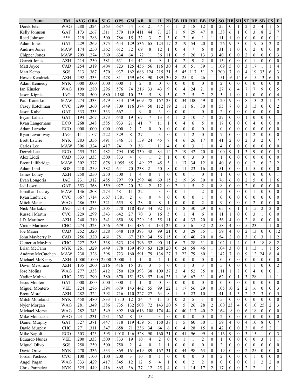| Name                                 | TM                | AVG          | <b>OBA</b>   | <b>SLG</b>   | OPS          | <b>GM</b>      | $\mathbf{A}\mathbf{B}$ | R                    | Н                       | 2B                 |                     | $3B$ HR            | <b>RBI</b>       | <b>BB</b>          | IW                  | <b>SO</b>      | $\mathbf{H}\mathbf{B}$ | <b>SH</b>           | <b>SF</b>                        | <b>DP</b>              | SB                    | $\mathbf{CS}$              | E                   |
|--------------------------------------|-------------------|--------------|--------------|--------------|--------------|----------------|------------------------|----------------------|-------------------------|--------------------|---------------------|--------------------|------------------|--------------------|---------------------|----------------|------------------------|---------------------|----------------------------------|------------------------|-----------------------|----------------------------|---------------------|
| Derek Jeter                          | WAG               | .280         | .324         | .363         | .687         | 54             | 168                    | 21                   | 47                      | 6                  |                     | $\overline{c}$     | 18               | 12                 | $\theta$            | 25             | $\theta$               | 1                   | $\overline{c}$                   | $\overline{c}$         | 4                     |                            | 5                   |
| Kelly Johnson                        | GAT               | .173         | .267         | .311         | 579          | 119            | 411                    | 44                   | 71                      | 28                 | 1                   | 9                  | 29               | 47                 | $\mathbf{0}$        | 138            | 6                      | 1                   | $\overline{0}$                   | 3                      | 8                     | $\overline{2}$             | $\overline{7}$      |
| Reed Johnson                         | $***$             | .219         | .286         | .500         | .786         | 15             | 32                     | 3                    | 7                       | 3                  | $\theta$            | $\overline{c}$     | 6                | 1                  |                     | 11             | 1                      | $\theta$            | $\mathbf{0}$                     | $\mathbf{0}$           | $\Omega$              | $\mathbf{0}$               | 1                   |
| Adam Jones                           | GAT               | .229         | .269         | .375         | 644          | 129            | 536                    | 65                   | 123                     | 17                 | $\overline{2}$      | 19                 | 54               | 20                 | $\mathbf{0}$        | 126            | 9                      | 3                   | $\theta$                         | 19                     | 5                     | $\overline{2}$             | 8                   |
| Andruw Jones                         | <b>MAW</b>        | .174         | 250          | .362         | .612         | 32             | 69                     | 8                    | 12                      |                    | $\theta$            | $\overline{4}$     | $\overline{7}$   | 6                  | $\theta$            | 31             | 1                      | $\theta$            | $\theta$                         | $\overline{2}$         | $\theta$              | $\theta$                   | $\mathbf{0}$        |
| Chipper Jones                        | MAW               | .209         | .274         | .360         | .634         | 64             | 172                    | 11                   | 36                      | 11                 | $\overline{0}$      | 5                  | 26               | 13                 | 3                   | 40             | $\theta$               | $\theta$            | $\overline{2}$                   | 6                      | $\boldsymbol{0}$      | $\mathbf{0}$               | 3                   |
| Garrett Jones                        | <b>AZH</b>        | .214         | .250         | .381         | .631         | 14             | 42                     | 4                    | 9                       |                    | $\theta$            | $\overline{2}$     | 9                | $\overline{2}$     | $\theta$            | 15             | $\mathbf{0}$           | $\theta$            | $\overline{0}$                   |                        | $\theta$              | $\mathbf{0}$               | $\boldsymbol{0}$    |
| Matt Joyce                           | CAD               | .254         | .319         | .404         | .723         | 125            | 456                    | 56                   | 116                     | 30                 | $\overline{4}$      | 10                 | 51               | 39                 | 1                   | 109            | 5                      | $\theta$            | 3                                | 17                     | 1                     | 1                          | $\overline{4}$      |
| Matt Kemp                            | SGS               | .313         | .367         | .570         | .937         | 162            | 686                    | 124                  | 215                     | 31                 | 5                   | 45                 | 117              | 51                 | $\overline{2}$      | 200            | 7                      | $\mathbf{0}$        | $\overline{4}$                   | 19                     | 33                    | 6                          | 3                   |
| Howie Kendrick                       | <b>AZH</b>        | .292         | .333         | .478         | .811         | 159            | 648                    | 90                   | 189                     | 30                 | 8                   | 25                 | 81               | 26                 |                     | 151            | 16                     | 14                  | 6                                | 15                     | 13                    | 6                          | 5                   |
| <b>Adam Kennedy</b>                  | <b>NYK</b>        | .000         | .000         | .000         | .000         |                | $\overline{2}$         | $\theta$             | $\theta$                | $\theta$           | $\overline{0}$      | $\mathbf{0}$       | $\theta$         | $\theta$           | $\theta$            | $\overline{2}$ | $\mathbf{0}$           | $\Omega$            | $\mathbf{0}$                     | $\overline{0}$         | $\theta$              | $\theta$                   | $\mathbf{0}$        |
| Ian Kinsler                          | WAG               | .199         | 280          | .296         | 576          | 74             | 216                    | 33                   | 43                      | 9                  | $\theta$            | 4                  | 24               | 21                 | $\mathbf{0}$        | 27             | 6                      | 4                   | 7                                | 7                      | 9                     | $\mathbf{0}$               | 5                   |
| Jason Kipnis                         | JAG               | .320         | .500         | .680         | 1.180        | 10             | 25                     | 5                    | 8                       | 3                  | $\theta$            | $\overline{2}$     | 5                | $\overline{7}$     | $\overline{2}$      | 5              | 1                      | $\Omega$            | 1                                | $\overline{0}$         | $\overline{0}$        | $\theta$                   | 4                   |
| Paul Konerko                         | <b>MAW</b>        | .274         | .333         | .479         | .813         | 159            | 609                    | 78                   | 167                     | 23                 | $\Omega$            | 34                 | 100              | 49                 | $\theta$            | 120            | 9                      | $\Omega$            | 8                                | 13                     | $\overline{c}$        | 1                          | $\tau$              |
| Casey Kotchman                       | <b>CVC</b>        | .299         | .360         | .449         | .809         | 116            | 374                    | 50                   | 112                     | 19                 | $\overline{2}$      | 11                 | 61               | 30                 | $\mathbf{0}$        | 55             | 7                      | $\mathbf{0}$        | 3                                | 13                     | $\overline{0}$        | $\theta$                   | $\overline{2}$      |
| Jason Kubel                          | GAT               | .333         | .333         | .333         | .667         | 4              | 9                      | $\theta$             | 3                       | $\mathbf{0}$       | $\overline{0}$      | $\mathbf{0}$       | $\mathbf{1}$     | $\theta$           | $\theta$            | $\overline{2}$ | $\overline{0}$         | $\overline{0}$      | $\theta$                         | $\overline{0}$         | $\mathbf{0}$          | $\mathbf{0}$               | $\mathbf{0}$        |
| Bryan Lahair                         | GAT               | .194         | .267         | .373         | 640          | 19             | 67                     | 7                    | 13                      | $\overline{4}$     | $\mathbf{1}$        | $\overline{2}$     | 10               | $\overline{7}$     | $\theta$            | 27             | $\mathbf{0}$           | $\Omega$            | $\mathbf{1}$                     | $\overline{0}$         | $\overline{0}$        | $\theta$                   | 1                   |
| Ryan Langerhans                      | ECO               | 268          | 348          | .585         | 933          | 21             | 41                     | 7                    | 11                      |                    | $\theta$            | $\overline{4}$     | 6                | 5                  | $\theta$            | 17             | $\mathbf{0}$           | $\theta$            | $\mathbf{0}$                     | 4                      | $\overline{0}$        | $\theta$                   | $\mathbf{0}$        |
| Adam Laroche                         | ECO               | .000         | .000         | .000         | .000         | $\overline{2}$ | $\overline{2}$         | $\Omega$             | $\overline{0}$          | $\mathbf{0}$       | $\overline{0}$      | $\mathbf{0}$       | $\theta$         | $\mathbf{0}$       | $\mathbf{0}$        | $\theta$       | $\theta$               | $\mathbf{0}$        | $\theta$                         | $\overline{0}$         | $\boldsymbol{0}$      | $\mathbf{0}$               | $\bf{0}$            |
| Ryan Lavarnway                       | JAG               | .111         | .107         | .222         | 329          | 8              | 27                     | 1                    | 3                       | $\theta$           | $\theta$            | 1                  | $\overline{2}$   | $\theta$           | $\theta$            | $\overline{7}$ | $\mathbf{0}$           | $\theta$            | $\mathbf{1}$                     | $\overline{c}$         | $\theta$              | $\theta$                   | $\mathbf{0}$        |
| <b>Brett Lawrie</b>                  | <b>NYK</b>        | .283         | .356         | .491         | 846          | 51             | 159                    | 24                   | 45                      | $\overline{7}$     | 4                   | 6                  | 26               | 17                 | $\mathbf{0}$        | 41             | $\overline{c}$         | $\theta$            | $\overline{c}$                   | 3                      | $\overline{2}$        | $\theta$                   | $\overline{7}$      |
| Carlos Lee                           | <b>MAW</b>        | .306         | .324         | .417         | 741          | 9              | 36                     | 1                    | 11                      | $\overline{4}$     | $\Omega$            | $\theta$           | 3                | 1                  | $\mathbf{0}$        | 4              | $\mathbf{0}$           | $\mathbf{0}$        | $\boldsymbol{0}$                 | $\overline{0}$         | $\theta$              | $\mathbf{0}$               | $\boldsymbol{0}$    |
| Derrek Lee                           | ECO               | .255         | .312         | .482         | .794         | 108            | 330                    | 48                   | 84                      | 14                 | $\overline{2}$      | 19                 | 42               | 20                 | $\mathbf{0}$        | 100            | 9                      | $\mathbf{1}$        | 3                                | 9                      | $\Omega$              | $\theta$                   | 5                   |
| Alex Liddi                           | CAD               | .333         | .333         | .500         | .833         | 4              | 6                      | 1                    | $\overline{c}$          | 1                  | $\mathbf{0}$        | $\mathbf{0}$       | 3                | $\mathbf{0}$       | $\theta$            |                | $\mathbf{0}$           | $\theta$            | $\mathbf{0}$                     | $\overline{0}$         | $\mathbf{0}$          | $\theta$                   | $\overline{0}$      |
| <b>Brent Lillibridge</b>             | <b>MAW</b>        | .302         | .377         | .678         | 1.055        | 85             | 149                    | 27                   | 45                      | 3                  | 1                   | 17                 | 34               | 12                 | $\theta$            | 40             | 6                      | $\theta$            | $\mathbf{0}$                     | $\overline{c}$         | 6                     | $\overline{2}$             | $\overline{c}$      |
| Adam Lind                            | SGS               | .210         | .259         | .382         | .641         | 70             | 238                    | 21                   | 50                      | 8                  | $\theta$            | 11                 | 23               | 16                 | $\mathbf{0}$        | 51             | $\theta$               | $\mathbf{0}$        | 1                                | 5                      | $\boldsymbol{0}$      | $\mathbf{0}$               | $\mathbf{0}$        |
| James Loney                          | <b>AZH</b>        | .250         | .250         | .250         | 500          |                | $\overline{4}$         | $\theta$             | 1                       | $\theta$           | $\Omega$            | $\theta$           | $\mathbf{1}$     | $\theta$           | $\theta$            |                | $\mathbf{0}$           | $\theta$            | $\mathbf{0}$                     | $\overline{0}$         | $\boldsymbol{0}$      | $\theta$                   | 1                   |
| Evan Longoria                        | <b>JAG</b>        | .231         | .312         | .485         | .797         | 90             | 299                    | 40                   | 69                      | 15                 | $\overline{2}$      | 19                 | 39               | 30                 | $\mathbf{0}$        | 76             | 6                      | $\overline{0}$      | $\overline{2}$                   | 5                      | $\boldsymbol{0}$      | -1                         | 6                   |
| Jed Lowrie                           | GAT               | .353         | .368         | .559         | .927         | 20             | 34                     | $\overline{c}$       | 12                      | $\mathbf{0}$       | $\overline{2}$      | 1                  | 5                | $\overline{2}$     | $\mathbf{0}$        | 8              | $\mathbf{0}$           | $\mathbf{0}$        | $\overline{c}$                   | $\overline{0}$         | $\overline{0}$        | $\theta$                   | $\overline{0}$      |
| Jonathan Lucroy                      | <b>MAW</b>        | .136         | .208         | .273         | .481         | 11             | 22                     | 1                    | 3                       | $\theta$           | $\theta$            | 1                  | 1                | $\overline{2}$     | $\theta$            | 5              | $\mathbf{0}$           | $\Omega$            | $\mathbf{0}$                     | 1                      | $\Omega$              | $\mathbf{0}$               | $\mathbf{0}$        |
| Ryan Ludwick                         | <b>CVC</b>        | .667         | .714         | .667         | 1.381        | 2              | 6                      | $\theta$             | $\overline{4}$          | $\theta$           | $\theta$            | $\Omega$           | $\theta$         | 1                  | $\theta$            | $\theta$       | $\theta$               | $\theta$            | $\overline{0}$                   | $\overline{0}$         | $\boldsymbol{0}$      | $\theta$                   | $\mathbf{0}$        |
| Mitch Maier                          | WAG               | .286         | .333         | .321         | .655         | 8              | 28                     | $\overline{0}$       | 8                       |                    | $\mathbf{0}$        | $\mathbf{0}$       | $\theta$         | $\overline{2}$     | $\mathbf{0}$        | 9              | $\theta$               | $\mathbf{0}$        | $\mathbf{0}$                     | $\overline{2}$         | $\boldsymbol{0}$      | $\mathbf{0}$               | $\bf{0}$            |
| Nick Markakis                        | JAG               | .214         | .273         | .305         | 578          | 118            | 429                    | 44                   | 92                      | 13                 | $\mathbf{1}$        | 8                  | 30               | 29                 | $\theta$            | 65             | 6                      | $\mathbf{1}$        | $\mathbf{1}$                     | 15                     | $\overline{2}$        | $\overline{2}$             | $\mathbf{0}$        |
| Russell Martin                       | <b>CVC</b>        | .229         | .299         | .343         | .642         | 27             | 70                     | 3                    | 16                      | 5                  | $\theta$            | 1                  | $\overline{4}$   | 6                  | $\theta$            | 11             | 1                      | $\theta$            | $\overline{0}$                   | 3                      | $\mathbf{1}$          | $\theta$                   | $\bf{0}$            |
| J.D. Martinez                        | <b>AZH</b>        | .240         | .310         | .341         | .650         | 68             | 229                    | 15                   | 55                      | 11                 | $\theta$            | $\overline{4}$     | 33               | 20                 | $\mathbf{0}$        | 56             | 4                      | $\theta$            | $\overline{2}$                   | 8                      | $\mathbf{0}$          | $\theta$                   | $\mathbf{0}$        |
| Victor Martinez                      | <b>CHC</b>        | .274         | .323         | .356         | .679         | 131            | 486                    | 41                   | 133                     | 25                 | $\overline{0}$      | 5                  | 61               | 32                 | $\overline{2}$      | 58             | 4                      | $\mathbf{0}$        | 5                                | 23                     |                       | $\overline{\phantom{a}}$   | $\mathbf{0}$        |
| Joe Mauer                            | CAD               | 252          | .320         | .328         | .648         | 110            | 393                    | 43                   | 99                      | 21                 | $\overline{0}$      | 3                  | 28               | 35                 |                     | 59             | $\overline{4}$         | $\mathbf{0}$        | $\overline{c}$                   | 13                     | $\boldsymbol{0}$      | $\theta$                   | 12                  |
| John Mayberry Jr                     | CAD               | 256          | 320          | 461          | 781          | 67             | 219                    | 34                   | 56                      | 15                 | $\Omega$            | 10                 | 40               | 20                 | $\Omega$            | 54             | $\mathfrak{D}$         | $\theta$            | 3                                | 10                     | $\mathbf{3}$          | $\overline{1}$             | $\overline{2}$      |
| Cameron Maybin                       | <b>CHC</b>        | .227         | .285         | .338         | .623         | 124            | 396                    | 52                   | 90                      | 11                 | 6                   | 7                  | 28               | 31                 | $\boldsymbol{0}$    | 102            | 1                      | 4                   | $\boldsymbol{0}$                 | 5                      | $18\,$                | 8                          | $\overline{2}$      |
| Brian McCann                         | <b>NYK</b>        | .261         | .329         | .449         | .778         | 139            | 490                    | 63                   | 128                     | $20\,$             | $\overline{0}$      | 24                 | 58               | 46                 |                     | 104            | 3                      | $\mathbf{0}$        | 1                                | 13                     | 1                     | -1                         | 5                   |
| <b>Andrew McCutchen</b>              | <b>MAW</b>        | .230         | .326         | .398         | .723         | 160            | 591                    | 79                   | 136                     | 27                 | 3                   | 22                 | 79               | 80                 |                     | 142            | 7                      | $\boldsymbol{0}$    | 9                                | 12                     | 24                    | 8                          | 4                   |
| Michael McKenry                      | $\mathbf{AZH}$    | 1.000        | 1.000        | 2.000        | 3.000        | 1              | -1                     | $\overline{0}$       | 1                       | 1                  | $\boldsymbol{0}$    | $\mathbf{0}$       | $\mathbf{0}$     | $\mathbf{0}$       | $\boldsymbol{0}$    | $\overline{0}$ | $\boldsymbol{0}$       | $\boldsymbol{0}$    | $\boldsymbol{0}$                 | 0                      | $\overline{0}$        | $\overline{0}$             | $\overline{0}$      |
| Devin Mesoraco                       | $\mathbf{AZH}$    | .135         | .200         | .216         | .416         | 15             | 37                     | $\mathfrak{Z}$       | 5                       | $\mathbf{0}$       | $\overline{0}$      | 1                  | $\mathfrak{Z}$   | $\mathfrak{Z}$     | $\overline{0}$      | 5              | $\boldsymbol{0}$       | $\overline{0}$      | $\bf{0}$                         | 1                      | $\overline{0}$        | $\theta$                   | $\overline{2}$      |
| Jose Molina                          | WAG               | .277         | .338         | .412         | .750         | 120            | 393                    | 38                   | 109                     | 37                 | $\overline{c}$      | $\overline{4}$     | 52               | 35                 | $\overline{0}$      | 111            | 1                      | 8                   | $\mathbf{0}$                     | $\overline{4}$<br>28   | $\overline{0}$        | $\theta$                   | $\mathbf{1}$        |
| Yadier Molina                        | <b>CHC</b>        | .253         | .290         | .380         | .670         | 151            | 576                    | 57                   | 146                     | 23                 | 1                   | 16                 | 67               | 31                 | $\mathbf{0}$        | 62             | $\boldsymbol{0}$       | 1                   | 3                                |                        | 1                     | -1                         | $\mathbf{1}$        |
| Jesus Montero                        | <b>GAT</b>        | .000<br>.224 | .000         | .000         | .000         | 1              | -1                     | $\overline{0}$<br>55 | $\mathbf{0}$<br>99      | $\mathbf{0}$<br>22 | $\overline{0}$      | $\mathbf{0}$<br>17 | $\mathbf{0}$     | $\mathbf{0}$<br>29 | $\overline{0}$      | $\overline{0}$ | $\boldsymbol{0}$       | $\mathbf{0}$        | $\boldsymbol{0}$                 | $\boldsymbol{0}$<br>16 | 0                     | $\overline{0}$             | $\mathbf{0}$        |
| Miguel Montero<br><b>Brent Morel</b> | <b>VEE</b><br>AZH | .282         | .286<br>.324 | .394<br>.392 | .679<br>.716 | 143<br>110     | 442<br>227             | 27                   | 64                      | 8                  | $\mathbf{1}$        | 5                  | 56<br>23         | 10                 | $\mathbf{0}$        | 105<br>41      | 10<br>$\overline{4}$   | $\overline{2}$<br>3 | $\overline{2}$<br>$\overline{c}$ | $\overline{c}$         | $\boldsymbol{0}$<br>3 | $\overline{0}$<br>$\theta$ | $\mathfrak{Z}$<br>5 |
| Mitch Moreland                       | <b>NYK</b>        | .458         | .480         | .833         | 1.313        | 12             | 24                     | $\tau$               | 11                      | 3                  | 1<br>$\overline{0}$ | $\overline{c}$     | 5                | 1                  | 1<br>$\overline{0}$ | 5              | $\boldsymbol{0}$       | $\mathbf{0}$        | $\mathbf{0}$                     | $\overline{0}$         | $\overline{0}$        | $\theta$                   | $\mathbf{0}$        |
|                                      | <b>WAG</b>        | .281         | .349         | .386         | .735         | 132            | 508                    | 72                   | 143                     | 20                 | 9                   | 5                  | 26               | 28                 | $\overline{2}$      | 100            | 23                     | $\overline{4}$      | $\boldsymbol{0}$                 | 10                     | 25                    | $\overline{2}$             | $\mathfrak{Z}$      |
| Nyjer Morgan<br>Michael Morse        | WAG               | .282         | .343         | .549         | .892         | 160            | 616                    | 108                  | 174                     | 44                 | $\boldsymbol{0}$    | 40                 | 117              | 40                 | $\mathfrak{2}$      | 164            | 18                     | $\overline{0}$      | 6                                | $18\,$                 | $\mathbf{0}$          | $\Omega$                   | $\overline{0}$      |
| Mike Moustakas                       | WAG               | .231         | .231         | .231         | .462         | 8              | 13                     | 1                    | 3                       | $\bf{0}$           | $\boldsymbol{0}$    | $\boldsymbol{0}$   | $\boldsymbol{0}$ | $\mathbf{0}$       | $\boldsymbol{0}$    | $\overline{2}$ | $\boldsymbol{0}$       | $\boldsymbol{0}$    | $\boldsymbol{0}$                 | 0                      | 0                     | $\mathbf{0}$               | $\overline{0}$      |
| Daniel Murphy                        | <b>GAT</b>        | .327         | .371         | .447         | .818         | 119            | 459                    | 51                   | 150                     | 38                 | 1                   | 5                  | 60               | 30                 | 1                   | 59             | 4                      | $\mathbf{0}$        | 4                                | 10                     | 8                     | $\overline{0}$             | 7                   |
| David Murphy                         | <b>CHC</b>        | .271         | .311         | .347         | .658         | 71             | 236                    | 34                   | 64                      | 6                  | $\overline{0}$      | $\overline{4}$     | 28               | 15                 | $\mathbf{0}$        | 42             | $\boldsymbol{0}$       | $\overline{0}$      | 3                                | 8                      | 5                     | $\overline{2}$             | 1                   |
| Mike Napoli                          | ECO               | .303         | .423         | .595         | 1.018        | 146            | 528                    | 90                   | 160                     | 31                 | $\boldsymbol{0}$    | 41                 | 96               | 99                 | $\overline{4}$      | 116            | 9                      | $\boldsymbol{0}$    | 3                                | 15                     | 1                     | $\overline{0}$             | $\mathfrak{Z}$      |
| Eduardo Nunez                        | <b>VEE</b>        | .200         | .333         | .500         | .833         | 19             | 10                     | 4                    | $\mathbf{2}$            | $\theta$           | $\mathbf{0}$        | 1                  | -1               | $\sqrt{2}$         | $\mathbf{0}$        |                | $\boldsymbol{0}$       | $\boldsymbol{0}$    | $\boldsymbol{0}$                 | $\mathbf{0}$           | 3                     | 1                          | 1                   |
| Miguel Olivo                         | SGS               | .250         | .250         | .500         | .750         | 2              | $\overline{4}$         | $\mathbf{0}$         | 1                       | -1                 | $\overline{0}$      | $\overline{0}$     | $\mathbf{0}$     | $\mathbf{0}$       | $\theta$            | $\overline{c}$ | $\boldsymbol{0}$       | $\overline{0}$      | $\mathbf{0}$                     | $\mathbf{0}$           | $\overline{0}$        | $\theta$                   | $\overline{0}$      |
| David Ortiz                          | <b>NYK</b>        | .270         | .336         | .533         | .869         | 161            | 619                    | 89                   | 167                     | 31                 | $\overline{0}$      | 44                 | 98               | 63                 | $\mathbf{0}$        | 119            | $\boldsymbol{0}$       | $\mathbf{0}$        | $\overline{c}$                   | 25                     | $\mathbf{0}$          | $\theta$                   | $\overline{0}$      |
| Jordan Pacheco                       | <b>CVC</b>        | .100         | .100         | .100         | .200         | 3              | 10                     | $\mathbf{0}$         | 1                       | $\theta$           | $\overline{0}$      | $\mathbf{0}$       | $\mathbf{0}$     | $\mathbf{0}$       | $\mathbf{0}$        | $\overline{2}$ | $\boldsymbol{0}$       | $\mathbf{0}$        | $\boldsymbol{0}$                 | 1                      | $\overline{0}$        | $\mathbf{0}$               | $\overline{0}$      |
| Angel Pagan                          | WAG               | .333         | .429         | .417         | .845         | 12             | 12                     | 5                    | $\overline{\mathbf{4}}$ |                    | $\mathbf{0}$        | $\mathbf{0}$       | $\overline{c}$   | $\overline{2}$     | $\overline{0}$      | $\mathbf{0}$   | $\overline{0}$         | $\overline{0}$      | $\boldsymbol{0}$                 |                        | $\overline{c}$        | $\mathbf{2}$               | $\overline{0}$      |
| Chris Parmelee                       | ${\rm NYK}$       | .325         | .449         | .416         | .865         | 36             | $77\,$                 | 12                   | $25\,$                  | $\overline{4}$     | $\boldsymbol{0}$    |                    | 14               | 17                 | $\overline{c}$      | 17             | $\boldsymbol{0}$       | $\boldsymbol{0}$    | $\overline{c}$                   | $\overline{c}$         | 1                     | $\boldsymbol{0}$           | $\mathbf{1}$        |
|                                      |                   |              |              |              |              |                |                        |                      |                         |                    |                     |                    |                  |                    |                     |                |                        |                     |                                  |                        |                       |                            |                     |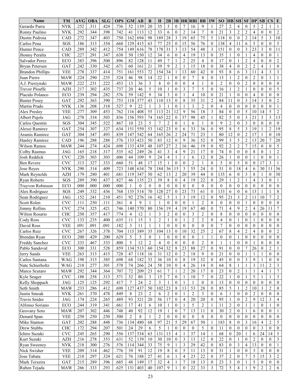| Name                       | TM                       | AVG          | <b>OBA</b>   | <b>SLG</b>   | <b>OPS</b>   | <b>GM</b>      | $\mathbf{A}\mathbf{B}$ | R                    | Н              | 2B               |                     | <b>3B HR</b>     | <b>RBI</b>       | <b>BB</b>            | IW                               | <b>SO</b>        | $\mathbf{H}\mathbf{B}$ | <b>SH</b>         | <b>SF</b>                      | <b>DP</b>               | SB               | $\mathbf{CS}$                  | ${\bf E}$                        |
|----------------------------|--------------------------|--------------|--------------|--------------|--------------|----------------|------------------------|----------------------|----------------|------------------|---------------------|------------------|------------------|----------------------|----------------------------------|------------------|------------------------|-------------------|--------------------------------|-------------------------|------------------|--------------------------------|----------------------------------|
| Gerardo Parra              | NYK                      | .252         | .311         | .424         | .736         | 52             | 139                    | 20                   | 35             | 3                | $\Omega$            | 7                | 16               | 9                    |                                  | 27               | $\overline{c}$         | 4                 | $\mathbf{0}$                   | 5                       | $\overline{c}$   |                                |                                  |
| Ronny Paulino              | <b>NYK</b>               | .292         | .344         | .398         | .742         | 41             | 113                    | 12                   | 33             | 6                | $\overline{0}$      | $\mathfrak{2}$   | 14               | $\overline{7}$       | $\mathbf{0}$                     | 21               | 3                      | $\overline{c}$    | $\overline{2}$                 | $\overline{4}$          | $\overline{0}$   | $\theta$                       | 2                                |
| Dustin Pedroia             | CAD                      | .272         | .347         | .403         | .750         | 162            | 694                    | 98                   | 189            | 28               | 3                   | 19               | 65               | 75                   | 5                                | 118              | $\overline{0}$         | $\mathbf{0}$      | $\overline{c}$                 | 14                      | 5                | 3                              | 10                               |
| Carlos Pena                | SGS                      | .186         | .313         | .354         | .668         | 129            | 415                    | 63                   | 77             | 25               | $\theta$            | 15               | 56               | 76                   | $\mathbf{0}$                     | 138              | $\overline{4}$         | 11                | 6                              | 5                       | $\overline{0}$   | $\theta$                       | 5                                |
| Hunter Pence               | CAD                      | .289         | 342          | .412         | .754         | 149            | 616                    | 78                   | 178            | 31               | 3                   | 13               | 54               | 48                   | 3                                | 151              | $\mathbf{0}$           | $\theta$          | 3                              | 23                      | 3                | $\theta$                       | 11                               |
| Jhonny Peralta             | <b>CHC</b>               | .227         | .291         | .347         | .638         | 50             | 150                    | 12                   | 34             | 6                | $\overline{0}$      | 4                | 19               | 13                   | $\mathbf{0}$                     | 35               | 1                      | $\mathbf{0}$      | 1                              | $\overline{4}$          | $\mathbf{0}$     | $\mathbf{0}$                   | 1                                |
| Salvador Perez             | ECO                      | .383         | 396          | .500         | .896         | 82             | 128                    | 11                   | 49             | $\overline{7}$   | $\mathbf{1}$        | $\overline{2}$   | 25               | $\overline{4}$       | $\theta$                         | 17               | $\mathbf{0}$           | $\mathbf{1}$      | $\overline{2}$                 | $\overline{4}$          | $\mathbf{0}$     | $\theta$                       | $\overline{c}$                   |
| <b>Bryan Petersen</b>      | GAT                      | .242         | .330         | .342         | .671         | 60             | 161                    | 21                   | 39             | 9                | $\overline{2}$      | 1                | 15               | 18                   | $\mathbf{0}$                     | 38               | 4                      | $\mathbf{0}$      | $\overline{2}$                 | $\overline{2}$          | $\overline{4}$   | $\mathbf{1}$                   | $\mathbf{0}$                     |
| <b>Brandon Phillips</b>    | <b>VEE</b>               | .278         | .337         | .414         | .751         | 161            | 553                    | 72                   | 154            | 34               | $\mathbf{1}$        | 13               | 60               | 42                   | $\mathbf{0}$                     | 93               | 8                      | 6                 | 3                              | 11                      | $\overline{4}$   | 3                              | 3                                |
| Juan Pierre                | <b>MAW</b>               | .224         | .290         | .235         | .524         | 46             | 98                     | 14                   | 22             |                  | $\mathbf{0}$        | $\mathbf{0}$     | $\overline{7}$   | 8                    | $\mathbf{0}$                     | 13               | 1                      | $\overline{2}$    | $\mathbf{0}$                   | $\overline{2}$          | $\overline{0}$   | $\overline{1}$                 | $\mathbf{1}$                     |
| A.J. Pierzynski            | <b>MAW</b>               | .222         | .231         | .222         | .453         | 13             | 36                     | 3                    | 8              | $\theta$         | $\Omega$            | $\theta$         | 4                | 1                    | $\theta$                         | $\overline{2}$   | $\theta$               | $\theta$          | $\overline{2}$                 | $\overline{0}$          | $\overline{0}$   | $\theta$                       | $\mathbf{0}$                     |
| <b>Trevor Plouffe</b>      | <b>AZH</b>               | .217         | .302         | .435         | .737         | 20             | 46                     | 5                    | 10             |                  | $\overline{0}$      | 3                | 7                | 5                    | $\mathbf{0}$                     | 16               | 1                      | $\overline{2}$    | 1                              | $\overline{0}$          | $\boldsymbol{0}$ | $\mathbf{0}$                   | 5                                |
| Placido Polanco            | ECO                      | .239         | .294         | .282         | 576          | 59             | 142                    | 9                    | 34             | 3                | $\theta$            | 1                | 4                | 10                   | $\mathbf{0}$                     | 21               | 1                      | $\Omega$          | $\overline{0}$                 | 4                       | $\boldsymbol{0}$ | $\theta$                       | $\mathbf{0}$                     |
| <b>Buster Posey</b>        | GAT                      | .292         | .363         | .390         | .753         | 118            | 377                    | 43                   | 110            | 13               | $\theta$            | $\,$ 8 $\,$      | 35               | 31                   | $\overline{2}$                   | 84               | 11                     | $\overline{0}$    | 3                              | 14                      | 3                | $\mathbf{0}$                   | $\sqrt{2}$                       |
| Martin Prado               | <b>NYK</b>               | .136         | .208         | .318         | 527          | 9              | 22                     | 1                    | 3              | -1               | $\theta$            | 1                | $\overline{3}$   | $\overline{2}$       | $\overline{0}$                   | 4                | $\mathbf{0}$           | $\overline{0}$    | $\overline{0}$                 | $\overline{0}$          | $\overline{0}$   | $\mathbf{0}$                   | 1                                |
| <b>Alex Preslev</b>        | <b>VEE</b>               | .277         | .309         | .453         | .762         | 116            | 408                    | 55                   | 113            | 21               | 12                  | 9                | 56               | 18                   | 3                                | 84               | $\boldsymbol{0}$       | $\overline{0}$    | 5                              | 10                      | 14               | 5                              | $\overline{c}$                   |
| <b>Albert Puiols</b>       | <b>JAG</b>               | .278         | .334         | .503         | .836         | 156            | 593                    | 74                   | 165            | 22               | $\theta$            | 37               | 98               | 45                   |                                  | 82               | 5                      | $\Omega$          | 3                              | 21                      | 3                | 3                              | 13                               |
| Carlos Quentin             | SGS                      | 304          | 345          | .522         | .867         | 10             | 23                     | 5                    | $\overline{7}$ | $\overline{2}$   | $\theta$            | 1                | 6                | 1                    | $\theta$                         | 9                | $\overline{c}$         | $\Omega$          | 3                              | $\overline{0}$          | $\theta$         | $\theta$                       | $\mathbf{0}$                     |
| Alexei Ramirez             | GAT                      | .254         | .307         | .327         | .634         | 151            | 559                    | 53                   | 142            | 23               | $\overline{0}$      | 6                | 33               | 36                   | $\mathbf{0}$                     | 95               | 8                      | 5                 | 3                              | 19                      | 1                | $\overline{2}$                 | 19                               |
| Aramis Ramirez             | GAT                      | .304         | .347         | .493         | .839         | 147            | 542                    | 64                   | 165            | 26               | $\overline{2}$      | 24               | 71               | 23                   | 1                                | 80               | 12                     | $\mathbf{0}$      | $\overline{c}$                 | 17                      | $\mathbf{1}$     | $\theta$                       | 10                               |
| <b>Hanley Ramirez</b>      | CAD                      | .196         | .288         | .288         | 576          | 133            | 423                    | 50                   | 83             | 12               | $\theta$            | 9                | 36               | 52                   | $\theta$                         | 99               | 3                      | 5                 | $\overline{c}$                 | 13                      | 20               | $\overline{7}$                 | 20                               |
| Wilson Ramos               | <b>MAW</b>               | .244         | .274         | .424         | .698         | 133            | 439                    | 48                   | 107            | 27               | $\overline{2}$      | 16               | 46               | 19                   | $\theta$                         | 92               | $\overline{c}$         | $\overline{2}$    | $\overline{7}$                 | 15                      | $\overline{0}$   | $\mathbf{0}$                   | 5                                |
| Colby Rasmus               | <b>JAG</b>               | .165         | .218         | .317         | .535         | 62             | 249                    | 26                   | 41             | 3                | 4                   | 9                | 21               | 17                   | $\mathbf{0}$                     | 74               | $\overline{0}$         | $\mathbf{0}$      | $\boldsymbol{0}$               | 8                       | $\Omega$         | $\overline{1}$                 | $\overline{2}$                   |
| Josh Reddick               | <b>CVC</b>               | .220         | .303         | .303         | .606         | 44             | 109                    | 9                    | 24             | $\overline{4}$   | 1                   | 1                | 6                | 12                   | $\mathbf{0}$                     | 26               | 1                      | $\mathbf{0}$      | $\mathbf{0}$                   | 1                       | $\overline{0}$   | $\theta$                       | $\mathbf{1}$                     |
| <b>Ben Revere</b>          | <b>CVC</b>               | .313         | .327         | .333         | .660         | 51             | 48                     | 17                   | 15             | 1                | $\theta$            | $\theta$         | $\overline{2}$   | $\mathbf{1}$         | $\theta$                         | 5                | $\mathbf{0}$           | 5                 | $\mathbf{0}$                   | $\overline{0}$          | 17               | 3                              | 1                                |
| <b>Jose Reves</b>          | <b>NYK</b>               | .290         | .314         | .409         | .723         | 148            | 634                    | 78                   | 184            | 36               | 15                  | 3                | 55               | 24                   | $\mathbf{0}$                     | 51               | 0                      | 18                | 4                              | 6                       | 30               | 11                             | 36                               |
| Mark Reynolds              | <b>AZH</b>               | .179         | .280         | .401         | .681         | 119            | 347                    | 50                   | 62             | 13               | $\overline{2}$      | 20               | 39               | 44                   | $\overline{0}$                   | 135              | 6                      | $\overline{0}$    | 3                              | 8                       | 1                | $\theta$                       | 30                               |
| <b>Ryan Roberts</b>        | SGS                      | .289         | .390         | .437         | .827         | 46             | 135                    | 23                   | 39             | 8                | $\theta$            | $\overline{4}$   | 19               | 22                   | $\mathbf{0}$                     | 29               | 1                      | $\overline{2}$    | 1                              | 4                       | 3                | $\mathbf{0}$                   | 1                                |
| Trayvon Robinson           | ECO                      | .000         | .000         | .000         | .000         | 1              | $\theta$               | $\theta$             | $\mathbf{0}$   | $\mathbf{0}$     | $\theta$            | $\mathbf{0}$     | $\theta$         | $\mathbf{0}$         | $\overline{0}$                   | $\overline{0}$   | $\mathbf{0}$           | $\overline{0}$    | $\mathbf{0}$                   | $\overline{0}$          | $\overline{0}$   | $\mathbf{0}$                   | $\overline{0}$                   |
| Alex Rodriguez             | SGS                      | .249         | .332         | .436         | .768         | 135            | 514                    | 70                   | 128            | 27               | $\theta$            | 23               | 73               | 61                   | $\overline{0}$                   | 133              | 6                      | $\overline{0}$    | 6                              | 13                      | 1                | 1                              | $\,8\,$                          |
| Sean Rodriguez             | <b>JAG</b>               | .152         | .241         | .210         | 451          | 92             | 276                    | 16                   | 42             | 5                | 1                   | 3                | 19               | 12                   | $\theta$                         | 95               | 21                     | 3                 | $\overline{2}$                 | 11                      | 10               | $\overline{7}$                 | $\overline{c}$                   |
| Scott Rolen                | <b>CVC</b>               | .111         | .250         | .111         | 361          | 4              | 9                      | 1                    |                | $\mathbf{0}$     | $\mathbf{0}$        | $\mathbf{0}$     | $\mathbf{1}$     | $\overline{2}$       | $\mathbf{0}$                     | $\mathbf{0}$     | $\theta$               | $\mathbf{0}$      | 1                              | $\overline{0}$          | $\overline{0}$   | $\mathbf{0}$                   | $\mathbf{0}$                     |
| Jimmy Rollins              | <b>CVC</b>               | .274         | .325         | .421         | .746         | 140            | 570                    | 80                   | 156            | 19               | $\overline{4}$      | 19               | 67               | 40                   | $\theta$                         | 71               | 4                      | 9                 | $\overline{c}$                 | $\overline{4}$          | 26               | 11                             | $\boldsymbol{7}$                 |
| Wilton Rosario             | <b>CHC</b>               | .250         | .357         | .417         | .774         | 4              | 12                     | 1                    | 3              | $\overline{2}$   | $\theta$            | $\theta$         | 3                | $\overline{2}$       | $\mathbf{0}$                     | 8                | $\mathbf{0}$           | $\theta$          | $\mathbf{0}$                   | $\overline{0}$          | $\overline{0}$   | $\theta$                       | $\mathbf{0}$                     |
| Cody Ross                  | <b>CVC</b>               | .133         | .235         | .400         | .635         | 11             | 15                     | 3                    | $\overline{2}$ |                  | $\overline{0}$      | 1                | $\overline{2}$   | $\overline{2}$       | $\mathbf{0}$                     | 4                | $\mathbf{0}$           | 1                 | $\theta$                       | 1                       | $\mathbf{0}$     | $\theta$                       | $\mathbf{0}$                     |
| David Ross                 | <b>VEE</b>               | .091         | .091         | .091         | 182          | 3              | 11                     | 1                    |                | $\theta$         | $\theta$            | $\mathbf{0}$     | $\mathbf{0}$     | $\mathbf{0}$         | $\mathbf{0}$                     | $\overline{7}$   | $\mathbf{0}$           | $\mathbf{0}$      | $\theta$                       | $\overline{0}$          | $\mathbf{0}$     | $\theta$                       | $\boldsymbol{0}$                 |
| Carlos Ruiz                | <b>CVC</b>               | .267         | .326         | .378         | .704         | 115            | 389                    | 35                   | 104            | 13               | $\overline{0}$      | 10               | 32               | 25                   | $\overline{c}$                   | 67               | 8                      | $\overline{4}$    | $\overline{c}$                 | 4                       | $\mathbf{0}$     | $\mathbf{0}$                   | $\overline{c}$                   |
| Brendan Ryan               | ECO                      | .200         | 429          | 200          | 629          | 5              | 5                      | $\Omega$             |                | $\theta$         | $\theta$            | $\Omega$         | $\theta$         |                      |                                  | $\Omega$         | $\Omega$               |                   | $\theta$                       | $\theta$                | $\Omega$         | $\Omega$                       | $\overline{0}$                   |
| Freddy Sanchez             | <b>CVC</b>               | .333         | .467         | .333         | .800         | 5              | 12                     | 2                    | 4              | $\boldsymbol{0}$ | $\overline{0}$      | $\boldsymbol{0}$ | $\theta$         | $\overline{2}$       | $\mathbf{0}$                     |                  | 1                      | $\boldsymbol{0}$  | $\boldsymbol{0}$               |                         | $\boldsymbol{0}$ | $\overline{0}$                 | $\mathbf{0}$                     |
| Pablo Sandoval             | ECO                      | .300         | .331         | .528         | .859         | 134            | 513                    | 60                   | 154            | 32               | 8                   | 23               | $\bf 88$         | 27                   | $\overline{0}$                   | 91               | $\boldsymbol{0}$       | $\boldsymbol{0}$  | 7                              | 26                      | $\bf{0}$         | 2                              |                                  |
| Jerry Sands                | <b>VEE</b>               | .263         | .313         | .415         | .728         | 47             | 118                    | 16                   | 31             | 12               | $\mathbf{0}$        | $\overline{c}$   | 18               | 9                    | $\mathbf{0}$                     | 21               | $\boldsymbol{0}$       | $\boldsymbol{0}$  |                                |                         | 1                | $\theta$                       | $\overline{0}$                   |
| Carlos Santana             | <b>WAG</b>               | .198         | .313         | .385         | .698         | 68             | 182                    | 33                   | 36             | 10               | $\mathbf{0}$        | 8                | 19               | 32                   | $\mathbf{0}$                     | 45               | $\boldsymbol{0}$       | $\boldsymbol{0}$  | 3                              | 9                       | 1                | $\overline{0}$                 | $\overline{0}$<br>$\mathfrak{Z}$ |
| Nate Schierholtz           | WAG                      | .218         | .277         | .301         | .578         | 74             | 266                    | 24                   | 58             | 10               | $\mathbf{0}$        | $\overline{4}$   | 26               | 14                   | $\overline{0}$                   | 64               | 8                      | 1                 | 1                              | 3                       | 11               | $\overline{2}$                 |                                  |
| Marco Scutaro              | <b>MAW</b>               | .292         | .344         | .364         | .707         | 72             | 209                    | 23                   | 61             | 7                | 1                   | $\overline{c}$   | 20               | 17                   | $\overline{0}$                   | 23<br>22         | $\boldsymbol{0}$       | 2                 | 1                              | 5                       | 4                | -1                             | $\tau$                           |
| Kyle Seager                | <b>CVC</b>               | .188         | .258         | .313         | .571         | 32             | 80                     | 3                    | 15             | 7                | $\boldsymbol{0}$    | 1                | 10               | $\tau$               | $\mathbf{0}$                     |                  | 1                      | $\mathbf{0}$      | 1                              |                         | 1                | -1                             | $\mathbf{3}$                     |
| Kelly Shoppach             | JAG                      | .125         | .125         | .292         | .417         | 7              | 24                     | $\overline{c}$       | 3<br>102       | 23               | $\mathbf{0}$        | 1<br>13          | -1<br>53         | $\mathbf{0}$         | $\mathbf{0}$                     | 13<br>85         | $\boldsymbol{0}$       | $\mathbf{0}$      | $\boldsymbol{0}$               | $\boldsymbol{0}$<br>10  | 0<br>3           | $\mathbf{0}$<br>$\overline{2}$ | $\boldsymbol{0}$                 |
| Seth Smith<br>Justin Smoak | <b>MAW</b><br><b>NYK</b> | .233<br>.261 | .286<br>.370 | .412<br>.478 | .698<br>.849 | 127<br>8       | 437<br>23              | 50<br>$\overline{c}$ | 6              | $\overline{2}$   | 8<br>$\overline{0}$ | 1                | $\overline{2}$   | 28<br>$\mathfrak{Z}$ | $\boldsymbol{0}$<br>$\mathbf{0}$ | 6                | 5<br>1                 | 1<br>$\mathbf{0}$ | $\overline{2}$<br>$\mathbf{0}$ | $\overline{2}$          | $\overline{0}$   | $\theta$                       | $\overline{0}$<br>$\overline{0}$ |
| Travis Snider              | <b>JAG</b>               | .174         | .224         | .265         | .489         | 93             | 321                    | 20                   | 56             | 17               | $\mathbf{0}$        | $\overline{4}$   | 20               | 20                   | $\mathbf{0}$                     | 95               | 1                      | $\overline{0}$    | $\overline{c}$                 | 9                       | 12               | 3                              | $\overline{4}$                   |
| Alfonso Soriano            | ECO                      | .244         | .319         | .341         | .661         | 17             | 41                     | 6                    | 10             |                  | $\boldsymbol{0}$    | 1                | 5                | 2                    | 1                                | 11               | $\overline{c}$         | $\mathbf{0}$      | $\mathbf{1}$                   | 1                       | $\overline{0}$   | $\overline{1}$                 | $\overline{0}$                   |
| Geovany Soto               | <b>MAW</b>               | .207         | .302         | .446         | .748         | 40             | 92                     | 12                   | 19             |                  | $\boldsymbol{0}$    | $\overline{7}$   | 13               | 11                   | $\mathbf{0}$                     | 30               | $\overline{c}$         | $\mathbf{0}$      | 1                              | 6                       | $\mathbf{0}$     | $\theta$                       | $\mathbf{1}$                     |
| Denard Span                | <b>VEE</b>               | .250         | .250         | .250         | .500         | $\overline{c}$ | 8                      | 1                    | 2              | $\bf{0}$         | $\mathbf{0}$        | $\boldsymbol{0}$ | $\boldsymbol{0}$ | $\mathbf{0}$         | $\boldsymbol{0}$                 | $\boldsymbol{0}$ | $\boldsymbol{0}$       | $\mathbf{0}$      | $\boldsymbol{0}$               | 0                       | 0                | $\overline{0}$                 | $\overline{0}$                   |
| Mike Stanton               | <b>GAT</b>               | .202         | .288         | .448         | .736         | 134            | 480                    | 68                   | 97             | 21               | 5                   | 29               | 67               | 50                   | 1                                | 183              | 8                      | $\mathbf{0}$      | 3                              | 16                      | 4                | $\overline{2}$                 | 5                                |
| Drew Stubbs                | CHC                      | .172         | .294         | .207         | .501         | 24             | 29                     | 6                    | 5              | -1               | $\boldsymbol{0}$    | $\bf{0}$         | $\mathbf{0}$     | $\sqrt{5}$           | $\mathbf{0}$                     | 11               | $\boldsymbol{0}$       | $\boldsymbol{0}$  | $\boldsymbol{0}$               | 0                       | 3                | $\overline{0}$                 | $\overline{0}$                   |
| Ichiro Suzuki              | <b>CVC</b>               | .245         | .265         | .290         | .556         | 137            | 534                    | 63                   | 131            | 13               | $\overline{4}$      | 1                | 37               | 14                   |                                  | 68               | $\boldsymbol{0}$       | 20                | 1                              | 6                       | 24               | 14                             | 5                                |
| Kurt Suzuki                | $\mathbf{AZH}$           | .216         | .278         | .353         | .631         | 52             | 139                    | 10                   | $30\,$         | 10               | $\mathbf{0}$        | $\mathfrak{Z}$   | 13               | 12                   | $\mathbf{0}$                     | 22               | $\boldsymbol{0}$       |                   | $\boldsymbol{0}$               | $\overline{\mathbf{c}}$ | 0                | $\overline{0}$                 | $\mathfrak{Z}$                   |
| Ryan Sweeney               | <b>NYK</b>               | .218         | .300         | .276         | .576         | 114            | 344                    | 33                   | 75             | 9                | 1                   | 3                | 29               | 42                   | $\overline{0}$                   | 83               | $\boldsymbol{0}$       | 3                 | $\overline{4}$                 | $\overline{13}$         | $\boldsymbol{0}$ | $\overline{0}$                 | 1                                |
| Nick Swisher               | <b>VEE</b>               | .209         | .314         | .462         | .776         | 39             | 91                     | 12                   | 19             | 8                | $\overline{0}$      | 5                | 11               | 13                   | $\mathbf{0}$                     | 31               | 1                      | $\mathbf{0}$      | $\boldsymbol{0}$               | 3                       | $\overline{0}$   | $\theta$                       | $\overline{0}$                   |
| Jose Tabata                | <b>VEE</b>               | .218         | .297         | .324         | .621         | 76             | 188                    | 27                   | 41             | 6                | 1                   | $\overline{4}$   | 23               | 22                   | $\boldsymbol{0}$                 | 37               | $\boldsymbol{2}$       | $\mathbf{0}$      | 7                              | 5                       | 15               | 3                              | $\overline{c}$                   |
| Mark Teixeira              | GAT                      | .215         | .289         | .396         | .685         | 48             | 149                    | 17                   | 32             | 4                | 1                   | $\tau$           | 18               | 13                   | $\overline{0}$                   | 23               | 3                      | $\mathbf{0}$      |                                | 5                       | $\overline{0}$   | $\theta$                       | $\overline{0}$                   |
| Ruben Tejada               | <b>MAW</b>               | .266         | .333         | .293         | .625         | 131            | 403                    | 40                   | 107            | $\overline{9}$   | 1                   | $\boldsymbol{0}$ | $22\,$           | 33                   | 3                                | 72               | 5                      | 4                 |                                | 9                       | $\overline{c}$   | $\sqrt{2}$                     | 6                                |
|                            |                          |              |              |              |              |                |                        |                      |                |                  |                     |                  |                  |                      |                                  |                  |                        |                   |                                |                         |                  |                                |                                  |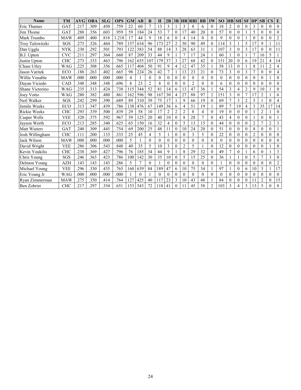| <b>Name</b>        | TM         | <b>AVG</b> | <b>OBA</b> | <b>SLG</b> | <b>OPS</b> | <b>GM</b> | $\mathbf{A}\mathbf{B}$ | R              | Н              | 2B             | 3B             | <b>HR</b>      | <b>RB</b>      | <b>BB</b>      | <b>IW</b>      | <b>SO</b> | H B            | <b>SH</b>      |                | <b>SF DP</b>   | SB               | <b>CS</b>      | ${\bf E}$        |
|--------------------|------------|------------|------------|------------|------------|-----------|------------------------|----------------|----------------|----------------|----------------|----------------|----------------|----------------|----------------|-----------|----------------|----------------|----------------|----------------|------------------|----------------|------------------|
| Eric Thames        | GAT        | .217       | .309       | .450       | .759       | 22        | 60                     | $\overline{7}$ | 13             | $\overline{3}$ |                | 3              | 8              | 6              | $\theta$       | 18        | $\overline{2}$ | $\mathbf{0}$   | $\theta$       | 3              | $\theta$         | $\theta$       | $\theta$         |
| Jim Thome          | GAT        | .288       | .356       | .603       | .959       | 59        | 184                    | 24             | 53             | $\overline{7}$ | $\Omega$       | 17             | 40             | 20             | $\theta$       | 57        | $\theta$       | $\theta$       |                | 5              | $\theta$         | $\theta$       | $\mathbf{0}$     |
| Mark Trumbo        | <b>MAW</b> | 409        | .400       | .818       | 1.218      | 17        | 44                     | 9              | 18             | 6              | $\Omega$       | 4              | 14             | $\theta$       | $\Omega$       | 9         | $\Omega$       | $\theta$       |                | $\theta$       | $\theta$         | $\theta$       | $\overline{2}$   |
| Troy Tulowitzki    | <b>SGS</b> | .273       | .326       | .464       | .789       | 157       | 634                    | 96             | 173            | 27             | $\overline{2}$ | 30             | 90             | 49             | $\theta$       | 114       | 3              | 1              | 5              | 17             | 9                | $\mathbf{1}$   | 11               |
| Dan Uggla          | <b>NYK</b> | .230       | .292       | .501       | .793       | 122       | 383                    | 54             | 88             | 14             | 3              | 28             | 63             | 31             |                | 107       | 3              | $\theta$       | 3              | 17             | $\theta$         | $\theta$       | 11               |
| B.J. Upton         | <b>CVC</b> | .211       | .297       | .364       | .660       | 87        | 209                    | 33             | 44             | 9              |                | $\overline{7}$ | 17             | 24             |                | 60        |                | $\theta$       |                | 7              | 16               | 5              |                  |
| Justin Upton       | <b>CHC</b> | .273       | .333       | .463       | .796       | 162       | 655                    | 107            | 179            | 37             | 3              | 27             | 68             | 42             | $\Omega$       | 151       | 20             | $\theta$       | 6              | 19             | 21               | $\overline{4}$ | 14               |
| Chase Utley        | <b>WAG</b> | .225       | .308       | .356       | .665       | 117       | 404                    | 50             | 91             | 9              | $\overline{4}$ | 12             | 47             | 35             |                | 58        | 13             | $\theta$       |                | 8              | 11               | $\overline{2}$ | 4                |
| Jason Varitek      | ECO        | .188       | .263       | .402       | .665       | 98        | 224                    | 26             | 42             | $\overline{7}$ |                | 13             | 23             | 21             | $\overline{0}$ | 73        | 3              | $\mathbf{0}$   | 3              | $\overline{7}$ | $\mathbf{0}$     | $\theta$       | $\overline{4}$   |
| Willie Venable     | <b>MAW</b> | .000       | .000       | .000       | .000       | 4         |                        | $\theta$       | $\theta$       | $\theta$       | $\Omega$       | $\Omega$       | $\theta$       | $\theta$       | $\theta$       | $\theta$  | $\mathbf{0}$   | $\theta$       | $\theta$       | $\overline{0}$ | $\boldsymbol{0}$ |                | $\boldsymbol{0}$ |
| Davan Viciedo      | CAD        | .348       | .348       | .348       | .696       | 8         | 23                     | $\overline{2}$ | 8              | $\Omega$       | $\Omega$       | $\Omega$       | $\overline{2}$ | $\theta$       | $\theta$       | 6         | $\theta$       | $\theta$       | $\theta$       | $\theta$       | $\theta$         | $\theta$       | $\theta$         |
| Shane Victorino    | WAG        | .235       | .313       | .424       | .738       | 115       | 344                    | 52             | 81             | 14             | 6              | 13             | 47             | 36             |                | 54        | 3              | 4              | $\overline{c}$ | 9              | 10               |                | $\overline{0}$   |
| Joey Votto         | <b>WAG</b> | .280       | .382       | .480       | .861       | 162       | 596                    | 98             | 167            | 30             | $\overline{4}$ | 27             | 88             | 97             | $\overline{2}$ | 151       | 3              | $\mathbf{0}$   | $\overline{7}$ | 17             | $\overline{2}$   |                | 6                |
| Neil Walker        | SGS        | .242       | .299       | .390       | .689       | 89        | 310                    | 39             | 75             | 17             |                | 9              | 66             | 19             | $\Omega$       | 69        | 7              | 3              | $\overline{2}$ | 5              |                  | $\theta$       | 4                |
| Jemile Weeks       | ECO        | .313       | 347        | .439       | .786       | 138       | 476                    | 67             | 149            | 36             | 6              | 4              | 51             | 19             |                | 89        | 7              | 19             | $\overline{4}$ | 3              | 35               | 17             | 14               |
| Rickie Weeks       | <b>CHC</b> | .293       | .339       | .500       | .839       | 29        | 58                     | 10             | 17             | $\overline{2}$ | $\overline{2}$ | $\overline{2}$ | 8              | $\overline{4}$ | $\Omega$       | 19        | $\overline{0}$ | $\theta$       | $\theta$       |                | $\overline{2}$   |                | $\overline{0}$   |
| Casper Wells       | <b>VEE</b> | .320       | .375       | .592       | .967       | 59        | 125                    | 20             | 40             | 10             | $\Omega$       | 8              | 28             | $\overline{7}$ | $\Omega$       | 43        | $\overline{4}$ | $\theta$       | $\Omega$       |                | $\theta$         | $\Omega$       |                  |
| Jayson Werth       | ECO        | .213       | .285       | .340       | .625       | 65        | 150                    | 16             | 32             | 4              | $\Omega$       | 5              | 13             | 15             | $\Omega$       | 44        | 0              | $\theta$       | $\theta$       | $\overline{2}$ | 7                | $\overline{2}$ | 3                |
| Matt Wieters       | GAT        | .240       | .309       | .445       | .754       | 69        | 200                    | 25             | 48             | 11             | $\theta$       | 10             | 24             | 20             | $\theta$       | 51        | $\mathbf{0}$   | $\theta$       | $\theta$       | 8              | $\theta$         | $\theta$       |                  |
| Josh Willingham    | <b>CHC</b> | <b>111</b> | .200       | .133       | .333       | 25        | 45                     | 4              | 5              |                | $\Omega$       | $\theta$       | 3              | 5              | $\Omega$       | 22        | $\overline{0}$ | $\theta$       | $\theta$       | $\overline{c}$ | $\boldsymbol{0}$ | $\theta$       | $\overline{0}$   |
| Jack Wilson        | <b>MAW</b> | .000       | .000       | .000       | .000       | 5         |                        | $\theta$       | $\overline{0}$ | $\theta$       | $\Omega$       | $\Omega$       | $\theta$       | $\theta$       | $\Omega$       | $\theta$  | $\mathbf{0}$   | $\theta$       | $\theta$       | $\theta$       | $\theta$         | $\theta$       | $\mathbf{0}$     |
| David Wright       | <b>VEE</b> | .286       | .306       | .543       | .848       | 40        | 35                     | 5              | 10             | $\overline{3}$ | $\Omega$       | $\overline{2}$ | 5              | 1              | $\Omega$       | 12        | 0              | $\theta$       | $\theta$       | $\Omega$       | $\theta$         |                | $\Omega$         |
| Kevin Youkilis     | <b>CHC</b> | .238       | .369       | .427       | .796       | 76        | 185                    | 34             | 44             | 9              |                | 8              | 29             | 32             | $\mathbf{0}$   | 49        | 7              | $\mathbf{0}$   |                | 6              | $\mathbf{0}$     |                | 3                |
| Chris Young        | SGS        | .246       | .363       | .423       | .786       | 100       | 142                    | 30             | 35             | 10             | $\theta$       | 5              | 15             | 25             | $\Omega$       | 36        |                |                | $\mathbf{0}$   | 5              | 7                | 3              | $\overline{0}$   |
| Delmon Young       | <b>AZH</b> | 143        | .143       | .143       | .286       | 5         | $\overline{7}$         | $\Omega$       |                | $\theta$       | $\Omega$       | $\theta$       | $\theta$       | $\theta$       | $\theta$       |           | $\theta$       | $\theta$       | $\theta$       | $\overline{0}$ | $\theta$         | $\theta$       | $\overline{c}$   |
| Michael Young      | <b>VEE</b> | .296       | .330       | .435       | .765       | 160       | 639                    | 84             | 189            | 47             | 6              | 10             | 75             | 34             |                | 97        |                | $\theta$       | 6              | 10             | 3                |                | 17               |
| Eric Young Jr      | WAG        | .000       | .000       | .000       | .000       |           | $\theta$               | $\mathbf{1}$   | $\theta$       | $\mathbf{0}$   | $\Omega$       | $\mathbf{0}$   | $\mathbf{0}$   | $\theta$       | $\overline{0}$ | $\theta$  | $\mathbf{0}$   | $\mathbf{0}$   | $\mathbf{0}$   | $\overline{0}$ | $\overline{0}$   | $\theta$       | $\mathbf{0}$     |
| Ryan Zimmerman     | <b>MAW</b> | .275       | .350       | .414       | .764       | 127       | 425                    | 40             | 117            | 23             | 3              | 10             | 43             | 48             |                | 84        | $\overline{0}$ | $\theta$       | $\theta$       | 11             | $\overline{c}$   | $\theta$       | 15               |
| <b>Ben Zobrist</b> | <b>CHC</b> | 217        | .297       | .354       | .651       | 153       | 543                    | 72             | 118            | 41             | $\Omega$       | 11             | 45             | 58             | $\overline{c}$ | 103       | 3              | $\overline{4}$ | 3              | 13             | 5                | $\mathbf{0}$   | 8                |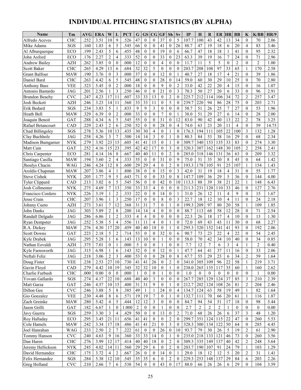# **INDIVIDUAL PITCHING STATISTICS (BY ALPHA)**

| <b>Name</b>                          | Тm                       | <b>AVG</b>   | <b>ERA</b>   | W                   | L                    | <b>PCT</b>   | G              | <b>GS</b>        | CG                               | <b>GF</b>            | Sh                                 | Sv                       | IP           | H              | $\bf R$        | ER             | <b>HR</b>               | <b>BB</b>      | K                   | K/BB           | HR/9         |
|--------------------------------------|--------------------------|--------------|--------------|---------------------|----------------------|--------------|----------------|------------------|----------------------------------|----------------------|------------------------------------|--------------------------|--------------|----------------|----------------|----------------|-------------------------|----------------|---------------------|----------------|--------------|
| Alfredo Aceves                       | <b>CHC</b>               | .252         | 3.51         | 10                  | 9                    | .526         | 47             | $\mathbf{0}$     | $\mathbf{0}$                     | 37                   | $\mathbf{0}$                       | 5                        | 107.7        | 100            | 43             | 42             | 13                      | 34             | $\theta$            | 70             | 2.06         |
| Mike Adams                           | <b>SGS</b>               | .160         | 1.83         | 6                   | 5                    | .545         | 66             | $\overline{0}$   | $\theta$                         | 41                   | $\mathbf{0}$                       | 26                       | 88.7         | 47             | 19             | 18             | 6                       | 20             | $\overline{4}$      | 83             | 3.46         |
| Al Alburquerque                      | ECO                      | .199         | 2.43         | 5                   | 6                    | 455          | 48             | $\theta$         | $\theta$                         | 19                   | $\theta$                           | 6                        | 66.7         | 47             | 18             | 18             |                         | 41             | $\Omega$            | 95             | 2.32         |
| John Axford                          | ECO                      | .176         | 2.27         | $\overline{2}$      | $\overline{4}$       | .333         | 52             | 0                | $\mathbf{0}$                     | 33                   | $\mathbf{0}$                       | 23                       | 63.3         | 39             | 19             | 16             | 7                       | 24             | $\theta$            | 71             | 2.96         |
| <b>Andrew Bailey</b>                 | <b>AZH</b>               | .262         | 3.85         | $\overline{0}$      | $\mathbf{0}$         | .000         | 12             | $\mathbf{0}$     | $\theta$                         | $\overline{4}$       | $\mathbf{0}$                       | $\mathbf{0}$             | 11.7         | 11             | 5              | 5              | $\theta$                | $\overline{2}$ | $\Omega$            | $\overline{2}$ | 1.00         |
| <b>Scott Baker</b>                   | <b>CHC</b>               | .265         | 4.29         | 13                  | 6                    | .684         | 32             | 32               | 5                                | $\Omega$             | $\overline{0}$                     | $\mathbf{0}$             | 203.7        | 208            | 108            | 97             | 33                      | 65             | 1                   | 170            | 2.58         |
| Grant Balfour                        | <b>MAW</b>               | .190         | 3.76         | $\mathbf{0}$        | 3                    | .000         | 37             | $\overline{0}$   | $\theta$                         | 12                   | $\theta$                           | $\mathbf{1}$             | 40.7         | 27             | 18             | 17             | $\overline{4}$          | 21             | $\theta$            | 39             | 1.86         |
|                                      | <b>CHC</b>               |              |              |                     |                      |              | 48             |                  |                                  | 28                   |                                    | 14                       |              |                |                | 29             | 10                      | 25             | $\theta$            | 70             |              |
| Daniel Bard                          |                          | .263         | 4.42<br>5.45 | 6<br>$\overline{0}$ | 5<br>$\overline{c}$  | .545         | 18             | 0<br>$\theta$    | $\mathbf{0}$<br>$\theta$         | 9                    | $\boldsymbol{0}$<br>$\overline{0}$ | $\overline{2}$           | 59.0<br>33.0 | 60<br>42       | 30<br>22       | 20             |                         | 15             | $\theta$            |                | 2.80         |
| <b>Anthony Bass</b>                  | <b>VEE</b>               | .323         | 2.56         |                     | 3                    | .000<br>.250 | 46             | $\mathbf{0}$     | $\mathbf{0}$                     | 21                   | $\overline{0}$                     | 3                        | 70.3         | 50             | 27             | 20             | 4<br>6                  | 33             | $\theta$            | 16<br>96       | 1.07<br>2.91 |
| Antonio Bastardo                     | <b>JAG</b>               | .201         |              |                     |                      |              | 33             | 33               |                                  |                      |                                    |                          |              |                |                |                |                         |                |                     |                |              |
| <b>Brandon Beachy</b>                | <b>CVC</b>               | .247         | 4.23         | 17                  | 11                   | .607         |                |                  | 13                               | $\mathbf{0}$         | $\overline{c}$                     | $\mathbf{0}$             | 225.7        | 212            | 114            | 106            | 34                      | 72             | $\overline{2}$      | 257            | 3.47         |
| Josh Beckett                         | <b>AZH</b>               | .246         | 3.23         | 14                  | 11                   | .560         | 33             | 33               | 11                               | $\mathbf{0}$         | 5                                  | $\mathbf{0}$             | 239.7        | 220            | 94             | 86             | 28                      | 75             | $\theta$            | 203            | 2.71         |
| Erik Bedard                          | SGS                      | .234         | 3.83         | 5                   |                      | .833         | 9              | 9                | 3                                | $\mathbf{0}$         | $\mathbf{0}$                       | $\mathbf{0}$             | 58.7         | 51             | 26             | 25             | $\overline{7}$          | 27             | $\theta$            | 53             | 1.96         |
| Heath Bell                           | <b>MAW</b>               | .329         | 6.39         | $\mathbf{0}$        | $\overline{c}$       | .000         | 33             | $\overline{0}$   | $\theta$                         | $\overline{7}$       | $\mathbf{0}$                       | $\mathbf{1}$             | 38.0         | 51             | 29             | 27             | 6                       | 14             | $\theta$            | 28             | 2.00         |
| Joaquin Benoit                       | GAT                      | .288         | 4.34         | 6                   | 5                    | 545          | 55             | $\overline{0}$   | $\mathbf{0}$                     | 31                   | $\mathbf{0}$                       | 12                       | 83.0         | 90             | 42             | 40             | 13                      | 22             | $\overline{c}$      | 78             | 3.25         |
| Rafael Betancourt                    | CAD                      | .229         | 2.43         | $\overline{2}$      | 6                    | .250         | 52             | $\theta$         | $\theta$                         | 28                   | $\mathbf{0}$                       | $\overline{4}$           | 74.0         | 63             | 23             | 20             | 11                      | $\overline{4}$ | $\Omega$            | 59             | 14.75        |
| Chad Billingsley                     | SGS                      | .278         | 5.36         | 10                  | 13                   | 435          | 30             | 30               | $\overline{4}$                   | $\Omega$             |                                    | $\mathbf{0}$             | 176.3        | 194            | 111            | 105            | 22                      | 100            | 3                   | 132            | 1.28         |
| Clay Buchholz                        | <b>JAG</b>               | .258         | 4.26         | 3                   | $\overline{7}$       | .300         | 14             | 14               | 3                                | $\mathbf{0}$         | 1                                  | $\mathbf{0}$             | 80.3         | 84             | 53             | 38             | 16                      | 29             | $\Omega$            | 68             | 2.34         |
| Madison Bumgarner                    | <b>NYK</b>               | .279         | 3.92         | 23                  | 15                   | .605         | 41             | 41               | 15                               | $\theta$             | 1                                  | $\mathbf{0}$             | 309.7        | 340            | 153            | 135            | 33                      | 83             | $\Omega$            | 274            | 3.30         |
| Matt Cain                            | GAT                      | .252         | 4.16         | 15                  | 23                   | 395          | 42             | 42               | 17                               | $\Omega$             | 3                                  | $\mathbf{0}$             | 320.3        | 307            | 162            | 148            | 30                      | 105            | $\overline{c}$      | 258            | 2.41         |
| Chris Carpenter                      | ECO                      | .281         | 4.14         | 16                  | $\,8\,$              | .667         | 40             | 40               | 11                               | $\theta$             | $\overline{c}$                     | $\mathbf{0}$             | 285.0        | 318            | 146            | 131            | 36                      | 63             | $\mathbf{0}$        | 209            | 3.32         |
| Santiago Casilla                     | <b>MAW</b>               | .194         | 3.60         | $\overline{2}$      | $\overline{4}$       | .333         | 55             | $\theta$         | $\theta$                         | 31                   | $\mathbf{0}$                       | 9                        | 75.0         | 51             | 35             | 30             | 8                       | 45             | $\theta$            | 64             | 1.42         |
| Jhoulys Chacin                       | <b>WAG</b>               | .246         | 4.24         | 12                  | 8                    | .600         | 29             | 29               | $\overline{4}$                   | $\theta$             | $\overline{c}$                     | $\mathbf{0}$             | 193.3        | 178            | 105            | 91             | 25                      | 107            | 1                   | 154            | 1.43         |
| Aroldis Chapman                      | <b>MAW</b>               | .207         | 3.86         | $\overline{4}$      | 1                    | .800         | 38             | $\mathbf{0}$     | $\theta$                         | 15                   | $\mathbf{0}$                       | 3                        | 42.0         | 31             | 19             | 18             | $\overline{4}$          | 31             | $\theta$            | 55             | 1.77         |
| <b>Steve Cishek</b>                  | <b>NYK</b>               | .205         | 1.77         | 9                   | 5                    | .643         | 71             | $\mathbf{0}$     | $\theta$                         | 33                   | $\overline{0}$                     | 8                        | 147.7        | 109            | 36             | 29             | 5                       | 36             | $\Omega$            | 144            | 4.00         |
| <b>Tyler Clippard</b>                | CAD                      | .213         | 3.02         | 6                   | 5                    | .545         | 56             | $\mathbf{0}$     | $\theta$                         | 42                   | $\overline{0}$                     | 10                       | 113.3        | 88             | 39             | 38             | 21                      | 22             | 1                   | 148            | 6.43         |
| Josh Collmenter                      | <b>NYK</b>               | .275         | 4.69         | $\overline{7}$      | 13                   | .350         | 33             | 33               | $\overline{4}$                   | $\theta$             | $\mathbf{0}$                       | $\theta$                 | 211.3        | 231            | 120            | 110            | 33                      | 46             | $\Omega$            | 127            | 2.76         |
| Francisco Cordero                    | <b>NYK</b>               | .226         | 3.19         |                     | $\overline{c}$       | .333         | 22             | 0                | $\overline{0}$                   | 14                   | $\boldsymbol{0}$                   | 1                        | 31.0         | 26             | 12             | 11             | $\overline{4}$          | 9              | $\theta$            | 15             | 1.67         |
| Jesse Crain                          | CHC                      | .207         | 3.96         |                     | 3                    | .250         | 17             | $\theta$         | $\theta$                         | 8                    | $\mathbf{0}$                       | 3                        | 22.7         | 18             | 12             | 10             | $\overline{4}$          | 11             | $\Omega$            | 24             | 2.18         |
| Johnny Cueto                         | AZH                      | .273         | 3.61         | $\overline{7}$      | 12                   | .368         | 31<br>14       | 31<br>14         | $\overline{7}$<br>$\overline{4}$ | $\theta$             | 1                                  | $\mathbf{0}$             | 199.3        | 209            | 97<br>68       | 80             | 20<br>12                | 58<br>28       | 1<br>$\Omega$       | 109<br>71      | 1.85         |
| John Danks                           | <b>JAG</b>               | .303         | 5.89         | $\overline{c}$      | 8<br>$\overline{c}$  | .200         | $\overline{4}$ | $\overline{4}$   | $\theta$                         | $\Omega$<br>$\theta$ | $\mathbf{0}$<br>$\theta$           | $\mathbf{0}$<br>$\theta$ | 88.7         | 113<br>26      | 18             | 58<br>17       | $\overline{4}$          | 10             | $\theta$            | 13             | 2.54         |
| Randall Delgado                      | <b>JAG</b><br><b>JAG</b> | .286<br>.252 | 6.86<br>5.38 | 1<br>5              | $\overline{4}$       | .333<br>.556 | 11             | 11               | $\overline{4}$                   | $\theta$             |                                    | $\mathbf{0}$             | 22.3<br>72.0 | 69             | 43             | 43             | 11                      | 30             | $\theta$            | 68             | 1.30<br>2.27 |
| <b>Ryan Dempster</b><br>R.A. Dickey  | <b>MAW</b>               | .276         | 4.30         | 17                  | 20                   | .459         | 40             | 40               | 18                               | $\theta$             |                                    | $\mathbf{0}$             | 295.3        | 320            | 152            | 141            | 41                      | 93             | $\theta$            | 192            | 2.06         |
| <b>Scott Downs</b>                   | GAT                      | .223         | 2.18         | 5                   | $\overline{2}$       | .714         | 53             | $\mathbf{0}$     | $\theta$                         | 32                   | $\mathbf{0}$                       | 6                        | 90.7         | 73             | 23             | 22             | $\overline{4}$          | 22             | $\theta$            | 54             | 2.45         |
| Kyle Drabek                          | <b>JAG</b>               | .295         | 5.28         | $\mathbf{1}$        | 6                    | .143         | 13             | 10               | $\theta$                         | 1                    | $\mathbf{0}$                       | $\mathbf{0}$             | 58.0         | 70             | 42             | 34             | 10                      | 40             | $\theta$            | 34             | 0.85         |
| Nathan Eovaldi                       | <b>AZH</b>               | .375         | 7.01         | $\mathbf{0}$        | 1                    | .000         | 5              | $\boldsymbol{0}$ | $\mathbf{0}$                     | 1                    | $\overline{0}$                     | $\mathbf{0}$             | 7.7          | 12             | $\overline{7}$ | 6              | $\overline{\mathbf{3}}$ | $\overline{4}$ | 1                   | $\overline{c}$ | 0.40         |
| Kyle Farnsworth                      | $\rm JAG$                | .315         | 6.98         | $\,1\,$             | 6                    | .143         | 32             | $\boldsymbol{0}$ | $\Omega$                         | 12                   | $\Omega$                           |                          | 47.7         | 64             | 41             | 37             | $1\,1$                  | 16             | $\Omega$            | 33             | 2.06         |
| Neftali Feliz                        | JAG                      | .218         | 3.06         | $\overline{2}$      | 3                    | .400         | 53             | $\mathbf{0}$     | ν<br>$\mathbf{0}$                | $\frac{1}{2}$<br>28  | v<br>$\boldsymbol{0}$              | -1<br>$\,$ 8 $\,$        | 67.7         | 55             | 29             | 23             | 6                       | 34             | v<br>$\overline{c}$ | 59             | 1.64         |
| Doug Fister                          | <b>VEE</b>               | .238         | 2.53         | 27                  | 10                   | .730         | 41             | 41               | 26                               | $\overline{0}$       | $\overline{c}$                     | $\mathbf{0}$             | 341.0        | 305            | 109            | 96             | 22                      | 58             |                     | 219            | 3.71         |
| Gavin Floyd                          | CAD                      | .279         | 4.42         | 10                  | 19                   | .345         | 32             | 32               | 10                               | $\boldsymbol{0}$     |                                    | $\boldsymbol{0}$         | 238.0        | 265            | 135            | 117            | 35                      | 60             | 1                   | 160            | 2.62         |
| Charlie Furbush                      | <b>CHC</b>               | .000         | 0.00         | $\overline{0}$      | $\theta$             | .000         |                | $\overline{0}$   | $\theta$                         | 1                    | $\boldsymbol{0}$                   | $\mathbf{0}$             | 1.0          | $\mathbf{0}$   | $\overline{0}$ | $\mathbf{0}$   | $\mathbf{0}$            | $\overline{0}$ | $\theta$            | 1              | 0.00         |
| Yovani Gallardo                      | SGS                      | .274         | 4.17         | 22                  | 10                   | .688         | 40             | 40               | 3                                | $\overline{0}$       | $\boldsymbol{0}$                   | $\overline{0}$           | 267.7        | 285            | 129            | 124            | 37                      | 85             | 3                   | 210            | 2.39         |
| Matt Garza                           | GAT                      | .246         | 4.57         | 10                  | 15                   | .400         | 31             | 31               | 9                                | $\mathbf{0}$         |                                    | $\mathbf{0}$             | 212.7        | 202            | 124            | 108            | 26                      | 81             | $\overline{2}$      | 204            | 2.46         |
| Dillon Gee                           | <b>CVC</b>               | .246         | 3.88         | 5                   | 8                    | .385         | 49             | 1                | 1                                | 24                   | $\boldsymbol{0}$                   | 4                        | 134.7        | 124            | 63             | 58             | 19                      | 49             | 1                   | 82             | 1.64         |
| Gio Gonzalez                         | <b>VEE</b>               | .230         | 4.48         | 8                   | 6                    | .571         | 19             | 19               | $\overline{7}$                   | $\overline{0}$       | 1                                  | $\boldsymbol{0}$         | 132.7        | 111            | 70             | 66             | 20                      | 61             | 1                   | 116            | 1.87         |
| Zach Greinke                         | <b>MAW</b>               | .280         | 5.42         | $\overline{4}$      | 5                    | .444         | 12             | 12               | 3                                | $\overline{0}$       | $\mathbf{0}$                       | $\mathbf{0}$             | 84.7         | 94             | 54             | 51             | 17                      | 18             | $\mathbf{0}$        | 98             | 5.44         |
| Jason Grilli                         | <b>GAT</b>               | .182         | 6.67         |                     | $\boldsymbol{0}$     | 1.000        | $\overline{c}$ | $\boldsymbol{0}$ | $\mathbf{0}$                     |                      | $\boldsymbol{0}$                   | $\boldsymbol{0}$         | 2.7          | $\overline{c}$ | $\overline{2}$ | $\overline{2}$ |                         | $\mathbf{0}$   | $\mathbf{0}$        | $\mathbf{0}$   | 0.00         |
| Javy Guerra                          | SGS                      | .259         | 3.30         | $\mathfrak{Z}$      | $\overline{4}$       | .429         | 50             | $\mathbf{0}$     | $\mathbf{0}$                     | 13                   | $\boldsymbol{0}$                   | $\overline{2}$           | $71.0\,$     | 68             | 26             | 26             | 6                       | 37             | 3                   | 48             | 1.20         |
| Roy Halladay                         | ECO                      | .295         | 3.45         | 21                  | 11                   | .656         | 41             | 41               | 8                                | $\mathbf{0}$         | $\sqrt{2}$                         | $\mathbf{0}$             | 299.7        | 351            | 124            | 115            | 22                      | 47             | $\mathbf{0}$        | 260            | 5.53         |
| Cole Hamels                          | <b>MAW</b>               | .242         | 3.34         | 17                  | 18                   | .486         | 41             | 41               | 21                               | $\overline{0}$       | 3                                  | $\mathbf{0}$             | 328.3        | 300            | 134            | 122            | 50                      | 64             | $\overline{0}$      | 285            | 4.45         |
| Joel Hanrahan                        | WAG                      | .233         | 2.50         | $\overline{2}$      | 7                    | .222         | 61             | $\boldsymbol{0}$ | $\mathbf{0}$                     | $26\,$               | $\boldsymbol{0}$                   | 10                       | 93.7         | 79             | $30\,$         | 26             | 5                       | 19             | $\overline{2}$      | 61             | 2.90         |
| Tommy Hanson                         | <b>CVC</b>               | .240         | 4.63         | 9                   | 16                   | .360         | 33             | 33               | 14                               | $\boldsymbol{0}$     | 1                                  | $\mathbf{0}$             | 235.0        | 218            | 133            | 121            | 46                      | 73             | $\mathbf{0}$        | 260            | 3.56         |
| Dan Haren                            | ${\rm CHC}$              | .276         | 3.99         | 12                  | 17                   | .414         | 40             | 40               | 18                               | $\boldsymbol{0}$     | $\overline{c}$                     | $\mathbf{0}$             | 309.3        | 335            | 149            | 137            | 40                      | 42             | $\overline{c}$      | 248            | 5.64         |
|                                      |                          | .245         | 4.02         | 14                  | 11                   | .560         |                | 29               | 6                                |                      |                                    | $\boldsymbol{0}$         | 203.7        |                |                | 91             | 24                      | 79             | 1                   |                |              |
| Jeremy Hellickson<br>David Hernandez | <b>NYK</b><br><b>CHC</b> | .175         | 3.72         | 4                   |                      | .667         | 29<br>26       | $\boldsymbol{0}$ | $\overline{0}$                   | 0<br>14              | 2<br>$\mathbf{0}$                  | 1                        | 29.0         | 190<br>18      | 107<br>12      | 12             | 5                       | 20             | $\overline{2}$      | 103<br>31      | 1.29<br>1.41 |
| Felix Hernandez                      | SGS                      | .284         | 5.38         | 12                  | $\overline{c}$<br>10 | .545         | 35             | 35               | 6                                | $\mathbf{0}$         | 2                                  | $\boldsymbol{0}$         | 229.3        | 253            | 148            | 137            | 29                      | 84             | 6                   | 203            | 2.26         |
| Greg Holland                         | <b>CVC</b>               | .210         | 2.66         | 7                   | 6                    | .538         | 54             | $\boldsymbol{0}$ | $\mathbf{0}$                     | 43                   | $\overline{0}$                     | 17                       | 88.0         | 66             | 26             | 26             | 6                       | 29             | $\mathbf{0}$        | 104            | 3.59         |
|                                      |                          |              |              |                     |                      |              |                |                  |                                  |                      |                                    |                          |              |                |                |                |                         |                |                     |                |              |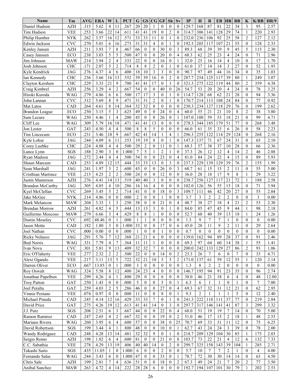| Name                  | Tm         | AVG  | ERA   | W                       | L                | <b>PCT</b> | G               | <b>GS</b>        | $_{\rm CG}$      | <b>GF</b>        | Sh               | Sv               | IP    | Н                | R              | ER                             | <b>HR</b>        | <b>BB</b>      | K              | K/BB                    | HR/9  |
|-----------------------|------------|------|-------|-------------------------|------------------|------------|-----------------|------------------|------------------|------------------|------------------|------------------|-------|------------------|----------------|--------------------------------|------------------|----------------|----------------|-------------------------|-------|
| Daniel Hudson         | <b>AZH</b> | .315 | 5.62  | 4                       | 11               | .267       | 20              | 20               | 1                | $\Omega$         | $\mathbf{0}$     | $\mathbf{0}$     | 129.7 | 168              | 87             | 81                             | 22               | 34             | 3              | 95                      | 2.57  |
| Tim Hudson            | <b>VEE</b> | .253 | 3.66  | 22                      | 14               | .611       | 41              | 41               | 19               | $\theta$         | $\sqrt{2}$       | $\mathbf{0}$     | 314.7 | 306              | 141            | 128                            | 29               | 74             | 1              | 220                     | 2.93  |
| Philip Humber         | <b>NYK</b> | .262 | 3.57  | 16                      | 12               | .571       | 33              | 33               | 11               | $\overline{0}$   | 1                | $\mathbf{0}$     | 232.0 | 236              | 106            | 92                             | 25               | 58             | $\overline{2}$ | 127                     | 2.12  |
| Edwin Jackson         | <b>CVC</b> | .270 | 5.01  | 6                       | 16               | .273       | 31              | 31               | $\overline{4}$   | $\overline{0}$   | 1                | $\mathbf{0}$     | 192.3 | 205              | 117            | 107                            | 21               | 55             | $\theta$       | 128                     | 2.33  |
| Kenley Jansen         | <b>AZH</b> | .211 | 3.93  | 7                       | 8                | .467       | 66              | $\mathbf{0}$     | $\theta$         | 30               | $\mathbf{0}$     | 3                | 89.3  | 68               | 39             | 39                             | 9                | 45             | 5              | 115                     | 2.30  |
| Casey Janssen         | ECO        | .238 | 3.03  | 5                       | 5                | .500       | 47              | $\mathbf{0}$     | $\theta$         | 20               | $\mathbf{0}$     | $\overline{4}$   | 68.3  | 62               | 25             | 23                             | $\overline{4}$   | 24             | $\theta$       | 71                      | 2.96  |
| Jim Johnson           | MAW        | .214 | 3.94  | $\overline{c}$          | 4                | 333        | 22              | $\mathbf{0}$     | $\theta$         | 16               | $\mathbf{0}$     | $\mathbf{1}$     | 32.0  | 25               | 16             | 14                             | $\overline{4}$   | 10             | $\mathbf{0}$   | 17                      | 1.70  |
| Josh Johnson          | <b>CHC</b> | .171 | 2.07  | 5                       | $\overline{c}$   | .714       | $\,8\,$         | 8                | $\overline{2}$   | $\overline{0}$   | 1                | $\mathbf{0}$     | 61.0  | 37               | 14             | 14                             | 3                | 27             | $\theta$       | 52                      | 1.93  |
| Kyle Kendrick         | <b>JAG</b> | .276 | 4.37  | $\overline{4}$          | 6                | .400       | 18              | 10               | 3                | 3                | $\theta$         | $\overline{0}$   | 90.7  | 97               | 49             | 44                             | 16               | 34             | $\theta$       | 35                      | 1.03  |
| Ian Kennedy           | <b>CHC</b> | .236 | 3.66  | 16                      | 13               | .552       | 39              | 39               | 16               | $\overline{0}$   | $\overline{c}$   | $\mathbf{0}$     | 287.7 | 254              | 125            | 117                            | 39               | 80             | 1              | 249                     | 3.07  |
| Clayton Kershaw       | <b>CHC</b> | .229 | 3.33  | 21                      | 9                | .700       | 41              | 41               | 17               | $\overline{0}$   | 3                | $\mathbf{0}$     | 321.3 | 275              | 122            | 119                            | 44               | 80             | $\overline{2}$ | 359                     | 4.38  |
| Craig Kimbrel         | <b>AZH</b> | .256 | 3.29  | $\overline{4}$          | $\overline{2}$   | .667       | 54              | $\Omega$         | $\theta$         | 40               | $\mathbf{0}$     | 26               | 54.7  | 53               | 20             | 20                             | $\overline{4}$   | 24             | $\Omega$       | 78                      | 3.25  |
| Hiroki Kuroda         | WAG        | .279 | 4.86  | 6                       | 6                | .500       | 17              | 17               | 3                | $\overline{0}$   | 1                | $\mathbf{0}$     | 114.7 | 128              | 68             | 62                             | 21               | 28             | $\theta$       | 94                      | 3.36  |
| John Lannan           | <b>CVC</b> | .312 | 5.69  | 8                       | 9                | .471       | 31              | 31               | $\overline{2}$   | $\overline{0}$   | 1                | $\mathbf{0}$     | 170.7 | 214              | 113            | 108                            | 24               | 84             | $\Omega$       | 77                      | 0.92  |
| Mat Latos             | CAD        | .264 | 4.61  | 8                       | 14               | 364        | 32              | 32               | 8                | $\theta$         | $\mathbf{0}$     | $\mathbf{0}$     | 230.3 | 234              | 127            | 118                            | 29               | 76             | $\theta$       | 199                     | 2.62  |
| Brandon League        | ECO        | .250 | 3.15  | 5                       | 3                | .625       | 49              | $\overline{0}$   | $\mathbf{0}$     | 24               | $\mathbf{0}$     | $\overline{4}$   | 60.0  | 55               | 21             | 21                             | 10               | 8              | $\overline{c}$ | 38                      | 3.80  |
| Sam Lecure            | <b>WAG</b> | .250 | 4.46  | $\mathbf{1}$            | $\overline{4}$   | .200       | 45              | $\theta$         | $\mathbf{0}$     | 26               | $\mathbf{0}$     | $\mathbf{1}$     | 107.0 | 100              | 59             | 53                             | 18               | 21             | $\Omega$       | 99                      | 4.71  |
| Cliff Lee             | WAG        | .309 | 5.79  | 16                      | 18               | .471       | 41              | 41               | 13               | $\theta$         | $\mathbf{0}$     | $\mathbf{0}$     | 278.3 | 344              | 185            | 179                            | 51               | 77             | $\Omega$       | 268                     | 3.48  |
| Jon Lester            | GAT        | .243 | 4.50  | $\overline{4}$          | $\overline{4}$   | .500       | 8               | 8                | 5                | $\Omega$         | $\mathbf{0}$     | $\mathbf{0}$     | 66.0  | 61               | 35             | 33                             | 6                | 26             | $\theta$       | 58                      | 2.23  |
| Tim Lincecum          | ECO        | .231 | 3.46  | 18                      | 9                | .667       | 42              | 41               | 14               |                  | 4                | 1                | 296.3 | 255              | 122            | 114                            | 29               | 124            | $\mathbf{0}$   | 268                     | 2.16  |
| Kyle Lohse            | <b>JAG</b> | .244 | 4.09  | 6                       | 11               | 353        | 19              | 19               | 8                | $\overline{0}$   | 1                | $\mathbf{0}$     | 147.3 | 137              | 71             | 67                             | 24               | 31             | $\theta$       | 65                      | 2.10  |
| Corey Luebke          | <b>CHC</b> | .224 | 4.88  | $\overline{4}$          | 4                | 500        | 29              | $\overline{c}$   | $\theta$         | 11               | $\mathbf{0}$     | 1                | 68.3  | 57               | 38             | 37                             | 10               | 28             | $\theta$       | 66                      | 2.36  |
| Lance Lynn            | SGS        | .188 | 2.90  | 3                       | $\mathbf{0}$     | 1.000      | $7\phantom{.0}$ | 5                | 1                | $\overline{2}$   | 1                | $\mathbf{0}$     | 37.3  | 26               | 12             | 12                             | $\overline{4}$   | 14             | $\overline{2}$ | 46                      | 2.88  |
| Ryan Madson           | <b>JAG</b> | .272 | 2.44  | $\overline{4}$          | $\overline{4}$   | .500       | 54              | $\theta$         | $\theta$         | 23               | $\mathbf{0}$     | $\overline{4}$   | 81.0  | 84               | 24             | 22                             | $\overline{4}$   | 15             | $\Omega$       | 89                      | 5.93  |
| Shaun Marcum          | CAD        | .253 | 4.89  | 12                      | 15               | .444       | 33              | 33               | 13               | $\overline{0}$   | 3                | $\mathbf{0}$     | 237.3 | 229              | 139            | 129                            | 39               | 76             | $\overline{2}$ | 155                     | 1.99  |
| Sean Marshall         | <b>JAG</b> | .241 | 1.97  | 3                       | $\overline{2}$   | .600       | 43              | $\overline{0}$   | $\theta$         | 26               | $\mathbf{0}$     | 3                | 68.7  | 61               | 15             | 15                             | $\overline{2}$   | 11             | $\theta$       | 55                      | 5.00  |
| Cristhian Martinez    | <b>VEE</b> | .215 | 4.25  | $\overline{2}$          | $\overline{2}$   | 500        | 24              | $\overline{0}$   | $\mathbf{0}$     | 12               | $\boldsymbol{0}$ | $\mathbf{0}$     | 36.0  | 28               | 18             | 17                             | 9                | 8              | 1              | 29                      | 3.22  |
| Justin Masterson      | <b>AZH</b> | .276 | 4.41  | 14                      | 13               | .519       | 40              | 40               | 3                | $\Omega$         | $\mathbf{0}$     | $\mathbf{0}$     | 238.7 | 256              | 127            | 117                            | 21               | 72             | 1              | 188                     | 2.58  |
| Brandon McCarthy      | <b>JAG</b> | .305 | 4.85  | 4                       | 10               | .286       | 16              | 16               | $\overline{4}$   | $\theta$         | $\mathbf{0}$     | $\mathbf{0}$     | 102.0 | 126              | 56             | 55                             | 15               | 18             | $\theta$       | 71                      | 3.94  |
| Kyel McClellan        | <b>CVC</b> | .269 | 3.45  | 5                       | $\overline{c}$   | .714       | 41              | $\theta$         | $\mathbf{0}$     | 18               | $\mathbf{0}$     | 3                | 109.7 | 111              | 46             | 42                             | 20               | 27             | $\theta$       | 55                      | 2.04  |
| Jake McGee            | <b>NYK</b> | .214 | 4.86  | $\theta$                | $\mathbf{0}$     | .000       | $\overline{2}$  | $\theta$         | $\theta$         | $\mathbf{1}$     | $\overline{0}$   | $\mathbf{0}$     | 3.7   | 3                | $\overline{2}$ | $\overline{c}$                 | $\overline{2}$   | $\theta$       | $\Omega$       | $\overline{\mathbf{3}}$ | 0.00  |
| Mark Melancon         | <b>MAW</b> | .204 | 3.33  | 1                       | 3                | 250        | 38              | $\Omega$         | $\theta$         | 21               | $\mathbf{0}$     | $\overline{4}$   | 48.7  | 38               | 27             | 18                             | $\overline{4}$   | 21             | $\overline{c}$ | 53                      | 2.30  |
| <b>Brendan Morrow</b> | <b>AZH</b> | .261 | 4.82  | $\overline{4}$          | 5                | .444       | 13              | 13               | 3                | $\overline{0}$   | 1                | $\mathbf{0}$     | 84.0  | 85               | 47             | 45                             | 9                | 44             | 1              | 98                      | 2.18  |
| Guillermo Moscoso     | <b>MAW</b> | .279 | 6.66  | 3                       | $\overline{4}$   | .429       | 8               | 8                | 1                | $\overline{0}$   | $\mathbf{0}$     | $\mathbf{0}$     | 52.7  | 60               | 40             | 39                             | 13               | 18             | 1              | 24                      | 1.26  |
| Dustin Moseley        | <b>CVC</b> | .692 | 48.46 | $\theta$                |                  | .000       | $\mathbf{1}$    | 1                | $\Omega$         | $\Omega$         | $\mathbf{0}$     | $\mathbf{0}$     | 1.3   | 9                | $\overline{7}$ | $\overline{7}$                 | 1                | $\theta$       | $\theta$       | $\theta$                | 0.00  |
| <b>Jason Motte</b>    | CAD        | .182 | 1.80  | 3                       | $\mathbf{0}$     | 1.000      | 33              | $\mathbf{0}$     | $\mathbf{0}$     | 17               | $\mathbf{0}$     | 6                | 45.0  | 28               | 11             | 9                              | $\overline{c}$   | 11             | $\theta$       | 29                      | 2.64  |
| Joel Nathan           | <b>CVC</b> | .000 | 0.00  | $\mathbf{0}$            | $\boldsymbol{0}$ | .000       | $\mathbf{1}$    | $\overline{0}$   | $\mathbf{0}$     | 1                | $\boldsymbol{0}$ | $\mathbf{0}$     | 0.7   | $\boldsymbol{0}$ | $\mathbf{0}$   | $\mathbf{0}$                   | $\boldsymbol{0}$ | $\mathbf{0}$   | $\theta$       | $\mathbf{0}$            | 0.00  |
| Ricky Nolasco         | $\rm JAG$  | .291 | 5.76  | $\overline{7}$          | 12               | .368       | 21              | 21               | 6                | $\Omega$         | $\boldsymbol{0}$ | $\Omega$         | 139.0 | 162              | 94             | $\overline{Q}$<br>$\mathbf{v}$ | 28               | 37             | $\Omega$       | 91                      | 2.46  |
| <b>Bud Norris</b>     | WAG        | .331 | 7.79  | 4                       | 7                | .364       | 11              | 11               | 1                | $\overline{0}$   | $\mathbf{0}$     | $\mathbf{0}$     | 69.3  | 97               | 64             | 60                             | 14               | 38             | 1              | 55                      | 1.41  |
| Ivan Nova             | <b>CVC</b> | .301 | 5.81  | 9                       | 13               | .409       | 32              | 32               | 7                | $\mathbf{0}$     | $\boldsymbol{0}$ | $\boldsymbol{0}$ | 200.0 | 242              | 133            | 129                            | 27               | 86             | 2              | 93                      | 1.06  |
| Eric O'Flaherty       | <b>VEE</b> | .277 | 2.32  | 2                       | 2                | .500       | $22\,$          | $\overline{0}$   | $\mathbf{0}$     | 14               | $\boldsymbol{0}$ | 2                | 23.3  | 26               | $\tau$         | 6                              | $\mathbf{0}$     | 7              | $\theta$       | 33                      | 4.71  |
| Alexi Ogando          | <b>VEE</b> | .217 | 3.11  | 13                      | 5                | .722       | 32              | 21               | 10               | 5                | 5                | $\overline{c}$   | 171.0 | 137              | 61             | 59                             | 12               | 55             | 1              | 120                     | 2.14  |
| Darren Oliver         | ECO        | .667 | 13.85 | $\boldsymbol{0}$        |                  | .000       | 3               | $\overline{0}$   | $\theta$         | $\overline{0}$   | $\boldsymbol{0}$ | $\mathbf{0}$     | 1.3   | 8                | $\overline{c}$ | $\overline{2}$                 | $\overline{0}$   | $\overline{0}$ | $\theta$       | $\overline{0}$          | 0.00  |
| Roy Oswalt            | WAG        | .324 | 5.58  | 8                       | 12               | .400       | 24              | 23               | $\overline{4}$   | $\overline{0}$   | $\boldsymbol{0}$ | $\overline{0}$   | 146.7 | 195              | 94             | 91                             | 23               | 35             | $\mathbf{0}$   | 96                      | 2.74  |
| Jonathan Papelbon     | <b>VEE</b> | .299 | 4.26  | 4                       |                  | .800       | 29              | $\overline{0}$   | $\mathbf{0}$     | 6                | $\boldsymbol{0}$ | $\boldsymbol{0}$ | 38.0  | 46               | 21             | 18                             | 6                | $\overline{4}$ | $\theta$       | 48                      | 12.00 |
| <b>Troy Patton</b>    | <b>GAT</b> | .250 | 1.43  | $\boldsymbol{0}$        | $\mathbf{0}$     | .000       | 5               | $\overline{0}$   | $\mathbf{0}$     | 5                | $\overline{0}$   | 1                | 6.3   | 6                | -1             | 1                              | $\mathbf{0}$     | $\mathbf{1}$   | $\mathbf{0}$   | $\tau$                  | 7.00  |
| Joel Peralta          | GAT        | .259 | 4.03  | $\overline{2}$          | 5                | .286       | 46              | $\boldsymbol{0}$ | $\boldsymbol{0}$ | 27               | $\boldsymbol{0}$ | 4                | 69.3  | 67               | 32             | 31                             | 12               | 21             | $\mathbf{0}$   | 62                      | 2.95  |
| Vinnie Pestano        | <b>VEE</b> | .074 | 0.97  | $\theta$                | $\mathbf{0}$     | .000       | 11              | $\overline{0}$   | $\mathbf{0}$     | 8                | $\boldsymbol{0}$ | 1                | 9.3   | $\overline{2}$   | $\mathbf{1}$   | 1                              | $\mathbf{1}$     | 5              | $\theta$       | 12                      | 2.40  |
| Michael Pineda        | CAD        | .245 | 4.14  | 12                      | 16               | .429       | 33              | 33               | $\tau$           | $\mathbf{0}$     | $\mathbf{1}$     | $\mathbf{0}$     | 241.3 | 222              | 118            | 111                            | 37               | 77             | $\mathbf{0}$   | 219                     | 2.84  |
| David Price           | GAT        | .275 | 4.26  | 19                      | 12               | .613       | 41              | 41               | 14               | $\overline{0}$   | $\mathfrak{Z}$   | $\mathbf{0}$     | 297.7 | 317              | 146            | 141                            | 41               | 87             | 3              | 299                     | 3.32  |
| J.J. Putz             | SGS        | .208 | 2.51  | 6                       | 3                | .667       | 44              | $\overline{0}$   | $\theta$         | 22               | $\mathbf{0}$     | $\overline{4}$   | 68.0  | 51               | 19             | 19                             | 7                | 14             | $\theta$       | 70                      | 5.00  |
| Ramon Ramirez         | CAD        | .247 | 2.65  | $\overline{4}$          | $\overline{2}$   | .667       | 32              | $\overline{0}$   | $\mathbf{0}$     | 19               | $\overline{0}$   | $\overline{2}$   | 51.0  | 46               | 17             | 15                             | $\overline{2}$   | 18             | 1              | 48                      | 2.53  |
| Mariano Rivera        | WAG        | .260 | 3.95  | 6                       | 4                | .600       | 57              | $\overline{0}$   | $\theta$         | 38               | $\boldsymbol{0}$ | 25               | 70.7  | 69               | 33             | 31                             | 11               | 12             | $\Omega$       | 75                      | 6.25  |
| David Robertson       | SGS        | .199 | 3.44  | 4                       |                  | .800       | $48\,$          | $\overline{0}$   | $\theta$         | 10               | $\boldsymbol{0}$ | 1                | 62.7  | 43               | 24             | 24                             | 3                | 39             | $\theta$       | 78                      | 2.00  |
| Wandy Rodriguez       | CAD        | .248 | 4.28  | 13                      | 14               | .481       | 32              | 32               | 9                | $\overline{0}$   | 1                | $\overline{0}$   | 218.7 | 209              | 129            | 104                            | 30               | 85             | 1              | 175                     | 2.03  |
| Sergio Romo           | AZH        | .198 | 1.82  | 6                       | 4                | .600       | 81              | $\overline{0}$   | $\theta$         | 21               | $\boldsymbol{0}$ | 8                | 103.7 | 73               | 22             | 21                             | 4                | 12             | 6              | 132                     | 7.33  |
| C.C. Sabathia         | <b>VEE</b> | .278 | 4.29  | 13                      | 19               | .406       | 40              | 40               | 14               | $\overline{0}$   | 2                | $\boldsymbol{0}$ | 299.7 | 325              | 158            | 143                            | 39               | 104            | 1              | 285                     | 2.71  |
| Takashi Saito         | SGS        | .435 | 11.05 | -1                      | $\mathbf{0}$     | 1.000      | 6               | $\theta$         | $\theta$         | $\overline{2}$   | $\mathbf{0}$     | $\overline{0}$   | 5.7   | 10               | 7              | 7                              | 2                |                | $\theta$       | 4                       | 4.00  |
| Fernando Salas        | WAG        | .244 | 3.43  | 6                       | $\bf{0}$         | 1.000      | 47              | $\overline{0}$   | $\mathbf{0}$     | 33               | $\mathbf{0}$     | 1                | 78.7  | 72               | 30             | 30                             | 14               | 14             | $\theta$       | 63                      | 4.50  |
| Chris Sale            | AZH        | .199 | 2.81  | 7                       | 4                | .636       | 51              | $\bf{0}$         | $\bf{0}$         | 18               | $\boldsymbol{0}$ | $\overline{c}$   | 67.3  | 49               | 24             | 21                             | 7                | 20             | $\overline{2}$ | 77                      | 3.50  |
| Anibal Sanchez        | <b>MAW</b> | .263 | 4.72  | $\overline{\mathbf{4}}$ | 14               | .222       | $28\,$          | 28               | 6                | $\boldsymbol{0}$ | $\boldsymbol{0}$ | $\boldsymbol{0}$ | 192.7 | 194              | 107            | 101                            | 30               | 79             | $\mathbf{1}$   | 202                     | 2.53  |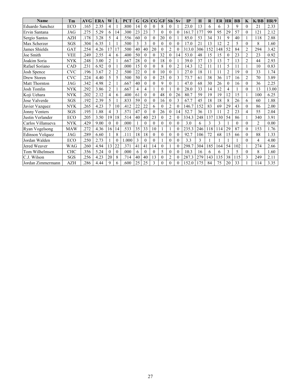| <b>Name</b>            | Tm         | AVG  | <b>ERA</b> | W              |          | <b>PCT</b> | G  | GS             | $\mathbf{C}\mathbf{G}$ | <b>GF</b> | <b>Sh</b>        | $S_{V}$        | <b>IP</b> | Н   | R   | ER  | <b>HR</b>      | <b>BB</b> | K              | K/BB | HR/9  |
|------------------------|------------|------|------------|----------------|----------|------------|----|----------------|------------------------|-----------|------------------|----------------|-----------|-----|-----|-----|----------------|-----------|----------------|------|-------|
| <b>Eduardo Sanchez</b> | ECO        | .165 | 2.35       | $\overline{4}$ |          | .800       | 14 | $\theta$       | $\Omega$               | 8         | $\theta$         |                | 23.0      | 13  | 6   | 6   | 3              | 9         | $\theta$       | 21   | 2.33  |
| Ervin Santana          | <b>JAG</b> | .275 | 5.29       | 6              | 14       | .300       | 23 | 23             | $\overline{7}$         | $\Omega$  | $\theta$         | $\theta$       | 161.7     | 177 | 99  | 95  | 29             | 57        | $\theta$       | 121  | 2.12  |
| Sergio Santos          | AZH        | .178 | 3.28       | 5              | 4        | .556       | 60 | $\overline{0}$ | $\mathbf{0}$           | 20        | $\overline{0}$   | 1              | 85.0      | 53  | 34  | 31  | 9              | 40        |                | 118  | 2.88  |
| Max Scherzer           | SGS        | 304  | 6.35       |                |          | .500       | 3  | 3              | $\theta$               | $\Omega$  | $\theta$         | $\theta$       | 17.0      | 21  | 13  | 12  | $\overline{2}$ | 5         | $\theta$       | 8    | 1.60  |
| James Shields          | GAT        | 254  | 4.26       | 17             | 17       | .500       | 40 | 40             | 20                     | $\Omega$  | $\overline{c}$   | $\theta$       | 313.0     | 306 | 152 | 148 | 52             | 84        | $\overline{2}$ | 294  | 3.42  |
| Joe Smith              | <b>VEE</b> | 249  | 2.55       | 4              | 6        | .400       | 50 | $\Omega$       | $\theta$               | 32        | $\mathbf{0}$     | 14             | 53.0      | 48  | 15  | 15  | 0              | 23        | $\overline{2}$ | 23   | 0.92  |
| Joakim Soria           | <b>NYK</b> | .248 | 3.00       | $\overline{2}$ |          | .667       | 28 | $\theta$       | $\theta$               | 18        | $\mathbf{0}$     |                | 39.0      | 37  | 13  | 13  | 7              | 13        | $\overline{2}$ | 44   | 2.93  |
| Rafael Soriano         | CAD        | 231  | 6.92       | $\theta$       |          | .000       | 15 | $\theta$       | $\theta$               | 8         | $\mathbf{0}$     | $\overline{2}$ | 14.3      | 12  | 11  | 11  | 5              | 11        |                | 10   | 0.83  |
| Josh Spence            | <b>CVC</b> | .196 | 3.67       | $\overline{2}$ | 2        | .500       | 22 | $\theta$       | $\theta$               | 10        | $\boldsymbol{0}$ | 1              | 27.0      | 18  | 11  | 11  | $\overline{2}$ | 19        | $\Omega$       | 33   | 1.74  |
| Drew Storen            | <b>CVC</b> | 224  | 4.40       | 5              | 5        | .500       | 50 | 0              | $\theta$               | 25        | $\boldsymbol{0}$ | 3              | 73.7      | 61  | 38  | 36  | 17             | 16        | $\overline{2}$ | 70   | 3.89  |
| <b>Matt Thornton</b>   | <b>JAG</b> | 342  | 4.98       | $\overline{2}$ |          | .667       | 40 | 0              | $\theta$               | 9         | $\theta$         |                | 47.0      | 68  | 30  | 26  | $\theta$       | 16        | $\theta$       | 36   | 2.25  |
| Josh Tomlin            | NYK        | .292 | 3.86       | $\overline{2}$ |          | .667       | 4  | 4              |                        | $\theta$  |                  | $\theta$       | 28.0      | 33  | 14  | 12  | 4              |           | $\theta$       | 13   | 13.00 |
| Koji Uehara            | NYK        | .202 | 2.12       | 4              | 6        | .400       | 61 | $\theta$       | $\mathbf{0}$           | 48        | $\boldsymbol{0}$ | 26             | 80.7      | 59  | 19  | 19  | 12             | 15        |                | 100  | 6.25  |
| Jose Valverde          | SGS        | .192 | 2.39       | 5              |          | .833       | 59 | $\theta$       | $\mathbf{0}$           | 16        | $\boldsymbol{0}$ | 3              | 67.7      | 45  | 18  | 18  | 8              | 26        | 6              | 60   | 1.88  |
| Javier Vazquez         | <b>NYK</b> | 265  | 4.23       | $\overline{7}$ | 10       | .412       | 22 | 22             | 6                      | $\Omega$  | $\overline{c}$   | $\theta$       | 146.7     | 152 | 83  | 69  | 29             | 43        | $\theta$       | 86   | 2.00  |
| <b>Jonny Venters</b>   | SGS        | 195  | 1.88       | $\overline{4}$ | 3        | .571       | 47 | 0              | $\theta$               | 26        | $\overline{0}$   | 14             | 52.7      | 36  | 13  | 11  | $\overline{2}$ | 23        | 4              | 55   | 2.04  |
| Justin Verlander       | ECO        | .205 | 3.50       | 19             | 18       | .514       | 40 | 40             | 23                     | $\theta$  | 2                | $\theta$       | 334.3     | 248 | 137 | 130 | 54             | 86        |                | 340  | 3.91  |
| Carlos Villanueva      | <b>NYK</b> | 429  | 9.00       | $\theta$       | $\Omega$ | .000       |    | $\theta$       | $\Omega$               | $\theta$  | $\theta$         | $\theta$       | 3.0       | 6   | 3   | 3   |                | $\theta$  | $\theta$       | 2    | 0.00  |
| Ryan Vogelsong         | <b>MAW</b> | 272  | 4.36       | 16             | 14       | .533       | 35 | 33             | 10                     |           |                  | $\Omega$       | 235.3     | 246 | 118 | 114 | 29             | 87        | $\theta$       | 153  | 1.76  |
| <b>Edinson Volquez</b> | JAG        | 289  | 6.60       |                | 8        | .111       | 18 | 18             | $\theta$               | $\theta$  | $\theta$         | $\theta$       | 92.7      | 106 | 72  | 68  | 15             | 66        | $\theta$       | 88   | 1.33  |
| Jordan Walden          | ECO        | 250  | 2.73       |                | $\theta$ | 1.000      | 3  | $\theta$       | $\theta$               |           | $\theta$         | $\theta$       | 3.3       | 3   |     |     |                |           | $\theta$       | 4    | 4.00  |
| Jered Weaver           | WAG        | 260  | 4.94       | 13             | 22       | .371       | 41 | 41             | 14                     | $\theta$  |                  | $\theta$       | 298.7     | 304 | 185 | 164 | 54             | 102       |                | 274  | 2.66  |
| Tom Wilhelmsen         | CHC        | .356 | 5.24       | $\theta$       | $\theta$ | .000       | 6  | 0              | $\theta$               | 5         | $\boldsymbol{0}$ | $\theta$       | 10.3      | 16  | 6   | 6   | 3              | 5         | $\theta$       | 8    | 1.60  |
| C.J. Wilson            | SGS        | .256 | 4.23       | 20             | 8        | .714       | 40 | 40             | 13                     | 0         | 2                | $\theta$       | 287.3     | 279 | 143 | 135 | 38             | 115       | 3              | 249  | 2.11  |
| Jordan Zimmermann      | AZH        | 286  | 4.44       | 9              | 6        | .600       | 25 | 25             | 3                      | $\theta$  | $\theta$         | $\Omega$       | 152.0     | 175 | 84  | 75  | 20             | 33        |                | 114  | 3.35  |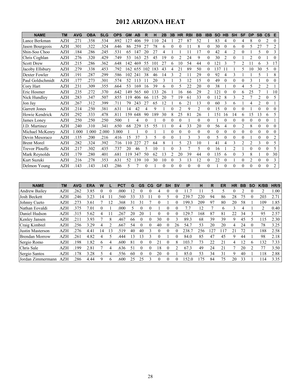# **2012 ARIZONA HEAT**

| <b>NAME</b>          | <b>TM</b>  | <b>AVG</b> | <b>OBA</b> | <b>SLG</b> | <b>OPS</b> | <b>GM</b> | AB  | R        |     | 2B       | 3B       | <b>HR</b> | <b>RBI</b> | BB             | <b>IBB</b>   | <b>SO</b> | HB             | <b>SH</b>      | <b>SF</b>        | <b>DP</b>      | <b>SB</b> | $\mathsf{cs}$  | E              |
|----------------------|------------|------------|------------|------------|------------|-----------|-----|----------|-----|----------|----------|-----------|------------|----------------|--------------|-----------|----------------|----------------|------------------|----------------|-----------|----------------|----------------|
| Lance Berkman        | <b>AZH</b> | 271        | .358       | .534       | .892       | 127       | 406 | 59       | 110 | 24       |          | 27        | 87         | 52             |              | 83        | 4              | $\Omega$       | 4                | 8              | $\theta$  | 2              | $\theta$       |
| Jason Bourgeois      | AZH        | 301        | 322        | 324        | .646       | 86        | 259 | 27       | 78  | 6        | $\Omega$ | $\theta$  | 11         | 8              | $\theta$     | 30        | $\theta$       | 6              | 0                | 5              | 27        |                | $\overline{2}$ |
| Shin-Soo Choo        | <b>AZH</b> | .184       | .286       | .245       | .531       | 65        | 147 | 20       | 27  | 4        |          |           | 11         | 17             | $\Omega$     | 42        | 4              | $\overline{2}$ | $\Omega$         |                | 5         | $\Omega$       | 3              |
| Chris Coghlan        | AZH        | .276       | .320       | .429       | .749       | 53        | 163 | 25       | 45  | 19       |          | 2         | 24         | 9              | $\Omega$     | 30        | $\overline{c}$ | $\Omega$       |                  | $\overline{c}$ | 0         |                | $\Omega$       |
| <b>Scott Drew</b>    | AZH        | .215       | .286       | .362       | .648       | 142       | 469 | 55       | 101 | 27       | 6        | 10        | 54         | 44             | $\theta$     | 121       | 3              |                | $\overline{2}$   | 11             | 6         | 3              | 17             |
| Jacoby Ellsbury      | AZH        | .279       | .338       | .453       | .792       | 162       | 655 | 102      | 183 | 43       | 4        | 21        | 89         | 50             | $\Omega$     | 137       | 11             |                | 5                | 10             | 30        | 5              | $\Omega$       |
| Dexter Fowler        | AZH        | .191       | .287       | .299       | .586       | 102       | 241 | 38       | 46  | 14       | 3        | 2         | 11         | 29             | $\theta$     | 92        | 4              | 3              |                  |                | 5         |                | 8              |
| Paul Goldschmidt     | <b>AZH</b> | .177       | .273       | .301       | .574       | 52        | 113 |          | 20  | 3        |          | 3         | 12         | 15             | $\theta$     | 49        | $\theta$       | $\theta$       | $\theta$         | 3              |           | $\Omega$       | $\Omega$       |
| Cory Hart            | <b>AZH</b> | 231        | .309       | .355       | .664       | 53        | 169 | 16       | 39  | 6        |          | 5         | 22         | 20             | $\theta$     | 38        |                | $\theta$       | 4                | 5              | 2         | $\overline{c}$ |                |
| Eric Hosmer          | AZH        | 235        | .272       | .370       | .642       | 149       | 565 | 60       | 133 | 26       |          | 16        | 66         | 29             | 2            | 121       | $\Omega$       | $\Omega$       | 6                | 25             |           |                | 10             |
| Nick Hundley         | AZH        | 283        | .347       | .507       | .855       | 119       | 406 | 66       | 115 | 20       |          | 19        | 61         | 33             | $\theta$     | 112       | 8              | 3              | 2                |                | 2         | $\theta$       | 5              |
| Jon Jay              | <b>AZH</b> | 267        | 312        | .399       | .711       | 79        | 243 | 27       | 65  | 12       |          | 6         | 21         | 13             | $\theta$     | 60        | 3              | 6              |                  | 4              | 2         | $\Omega$       |                |
| <b>Garrett Jones</b> | AZH        | .214       | .250       | .381       | .631       | 14        | 42  | 4        | 9   |          |          | 2         | 9          | $\overline{2}$ | $\Omega$     | 15        | $\Omega$       | $\theta$       | 0                |                | 0         | $\theta$       | $\Omega$       |
| Howie Kendrick       | AZH        | 292        | .333       | .478       | .811       | 159       | 648 | 90       | 189 | 30       | 8        | 25        | 81         | 26             |              | 151       | 16             | 14             | 6                | 15             | 13        | 6              | 5              |
| James Loney          | <b>AZH</b> | 250        | .250       | 250        | .500       |           | 4   | $\theta$ |     | $\theta$ | $\Omega$ | $\Omega$  |            | $\theta$       | $\theta$     |           | $\theta$       | $\Omega$       | 0                | $\theta$       | $\theta$  | $\theta$       |                |
| J.D. Martinez        | <b>AZH</b> | 240        | .310       | 341        | .650       | 68        | 229 | 15       | 55  | 11       | $\Omega$ | 4         | 33         | 20             | $\theta$     | 56        | 4              | $\theta$       | $\overline{2}$   | 8              | 0         | $\theta$       | $\Omega$       |
| Michael McKenry      | <b>AZH</b> | .000       | .000       | 2.000      | 3.000      |           |     | $\theta$ |     |          | $\Omega$ | 0         | $\theta$   | $\theta$       | $\theta$     | $\Omega$  | $\theta$       | $\theta$       | $\theta$         | $\theta$       | 0         | $\theta$       | $\Omega$       |
| Devin Mesoraco       | <b>AZH</b> | 135        | .200       | .216       | .416       | 15        | 37  | 3        | 5   | 0        | $\theta$ |           | 3          | 3              | 0            | 5         | $\theta$       | $\theta$       | $\theta$         |                | 0         | $\theta$       | $\overline{2}$ |
| <b>Brent Morel</b>   | <b>AZH</b> | 282        | 324        | .392       | .716       | 110       | 227 | 27       | 64  | 8        |          | 5         | 23         | 10             |              | 41        | 4              |                | $\overline{2}$   | $\overline{2}$ | 3         | $\theta$       | 5              |
| Trevor Plouffe       | AZH        | .217       | .302       | .435       | .737       | 20        | 46  | 5        | 10  |          | $\Omega$ | 3         |            | 5              | $\theta$     | 16        |                | 2              |                  | $\theta$       | 0         | $\theta$       | 5              |
| Mark Reynolds        | AZH        | .179       | .280       | .401       | .681       | 119       | 347 | 50       | 62  | 13       |          | 20        | 39         | 44             | $\theta$     | 135       | 6              | $\Omega$       | 3                | 8              |           | $\theta$       | 30             |
| Kurt Suzuki          | <b>AZH</b> | .216       | .278       | .353       | .631       | 52        | 139 | 10       | 30  | 10       | $\Omega$ | 3         | 13         | 12             | $\mathbf{0}$ | 22        | $\theta$       |                | $\boldsymbol{0}$ | $\overline{c}$ | 0         | $\Omega$       | 3              |
| Delmon Young         | <b>AZH</b> | 143        | .143       | 143        | .286       | 5         | 7   | $\theta$ |     | $\theta$ | $\Omega$ | $\Omega$  | $\theta$   | $\theta$       | $\theta$     |           | $\theta$       | $\Omega$       | $\theta$         | $\theta$       | $\theta$  | $\theta$       | $\overline{2}$ |

| <b>NAME</b>           | TМ         | <b>AVG</b> | <b>ERA</b> | W  |    | <b>PCT</b> | G  | GS | $_{\rm CG}$ | GF       | SΗ       | <b>SV</b> | IP         | н   | R   | ER           | ΗR | BB | SΟ       | K/BB | HR/9 |
|-----------------------|------------|------------|------------|----|----|------------|----|----|-------------|----------|----------|-----------|------------|-----|-----|--------------|----|----|----------|------|------|
| <b>Andrew Bailey</b>  | AZH        | 262        | 3.85       |    |    | .000       | 12 |    |             |          | 0        |           |            |     |     |              |    |    | $\theta$ |      | 1.00 |
| Josh Beckett          | AZH        | 246        | 3.23       | 14 |    | 560        | 33 | 33 |             |          |          |           | 239.       | 220 | 94  | 86           | 28 | 75 | $\theta$ | 203  | 2.71 |
| Johnny Cueto          | AZH        | 273        | 3.61       |    | 12 | 368        | 31 | 31 |             |          |          |           | 199.<br>.3 | 209 | 97  | 80           | 20 | 58 |          | 109  | 1.85 |
| Nathan Eovaldi        | AZH        | 375        | 7.01       |    |    | .000       |    |    |             |          | 0        |           | 7.7        | 2   |     | <sub>b</sub> | 3  | 4  |          | 2    | 0.40 |
| Daniel Hudson         | <b>AZH</b> | 315        | 5.62       |    |    | 267        | 20 | 20 |             |          | $_{0}$   |           | 129        | 168 | 87  | 81           | 22 | 34 | 3        | 95   | 2.57 |
| Kenley Jansen         | AZH        | 211        | 3.93       |    | 8  | .467       | 66 |    |             | 30       |          |           | 89.3       | 68  | 39  | 39           | Q  | 45 |          | 115  | 2.30 |
| Craig Kimbrel         | AZH        | 256        | 3.29       | 4  |    | .667       | 54 |    |             | 40       | 0        | 26        | 54.7       | 53  | 20  | 20           | 4  | 24 | $\theta$ | 78   | 3.25 |
| Justin Masterson      | <b>AZH</b> | 276        | 4.41       | 14 | 13 | 519        | 40 | 40 |             |          | $\Omega$ |           | 238.       | 256 | 127 | .17          | 21 | 72 |          | 188  | 2.58 |
| <b>Brendan Morrow</b> | AZH        | .261       | 4.82       | 4  |    | .444       | 3  | -1 |             |          |          |           | 84.0       | 85  | 47  | 45           |    | 44 |          | 98   | 2.18 |
| Sergio Romo           | AZH        | 198        | .82        | 6  | 4  | .600       | 81 |    | 0           | 21       | 0        | 8         | 103.7      | 73  | 22  | 21           | 4  | '2 | 6        | 132  | 7.33 |
| Chris Sale            | AZH        | 199        | 2.81       |    | 4  | .636       | 51 |    | $\Omega$    | 18       | $\Omega$ |           | 67.3       | 49  | 24  | 21           |    | 20 |          | 77   | 3.50 |
| Sergio Santos         | AZH        | 178        | 3.28       |    | 4  | 556        | 60 |    |             | 20       |          |           | 85.0       | 53  | 34  | 31           | q  | 40 |          | 118  | 2.88 |
| Jordan Zimmermann     | AZH        | 286        | 4.44       | 9  | 6  | .600       | 25 | 25 |             | $\Omega$ | $\Omega$ |           | 52.0       | 175 | 84  | 75           | 20 | 33 |          | 14   | 3.35 |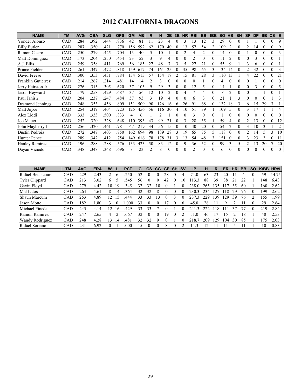# **2012 CALIFORNIA DRAGONS**

| <b>NAME</b>           | <b>TM</b>  | <b>AVG</b> | <b>OBA</b> | <b>SLG</b> | <b>OPS</b> | GΜ  | AB  | R  | н   | 2B | 3B       | HR | <b>RBI</b>     | <b>BB</b> | <b>IBB</b> | <b>SO</b>       | <b>HB</b> | <b>SH</b>        | <b>SF</b> | <b>DP</b>      | <b>SB</b>    | $\mathsf{cs}$ | Е              |
|-----------------------|------------|------------|------------|------------|------------|-----|-----|----|-----|----|----------|----|----------------|-----------|------------|-----------------|-----------|------------------|-----------|----------------|--------------|---------------|----------------|
| Yonder Alonso         | CAD        | 284        | .392       | .444       | .836       | 42  | 81  |    | 23  |    |          |    | 13             | 12        |            | 29              |           | $\theta$         |           |                | 0            |               | 9              |
| <b>Billy Butler</b>   | CAD        | 287        | 350        | .421       | .770       | 156 | 592 | 62 | 70  | 40 |          | 13 | 57             | 54        |            | 109             |           | $\theta$         |           | $\mathsf{I}4$  | $\theta$     | $\theta$      | 9              |
| Ramon Castro          | <b>CAD</b> | 250        | 279        | .425       | .704       | 13  | 40  | 5  | 10  |    |          | 2  | 4              | 2         | 0          | 14              |           | $\theta$         |           |                | $\theta$     | $\theta$      | 3              |
| Matt Dominguez        | <b>CAD</b> | .173       | 204        | .250       | .454       | 23  | 52  | 3  | 9   | 4  | $\theta$ | 0  | 2              | $\theta$  | 0          | 11              | 2         | $\theta$         | $_{0}$    | 3              | $\mathbf{0}$ | $\theta$      |                |
| A.J. Ellis            | CAD        | .259       | .358       | .411       | .769       | 56  | 185 | 27 | 48  |    |          |    | 27             | 21        |            | 55              |           |                  | 3         | 6              | 0            | $\mathbf{0}$  |                |
| Prince Fielder        | CAD        | .261       | 347        | .472       | .818       | 159 | 617 | 74 | 161 | 25 |          | 35 | 98             | 65        |            | 134             | 14        | $\Omega$         |           | 32             | $\Omega$     | 0             |                |
| David Freese          | <b>CAD</b> | 300        | 353        | .431       | .784       | 134 | 513 | 57 | 54  | 18 |          | 15 | 81             | 28        |            | $\overline{10}$ |           |                  | 4         | 22             | 0            | 0             | 21             |
| Franklin Gutierrez    | <b>CAD</b> | .214       | 267        | .214       | .481       | 14  | 14  | 2  | 3   | 0  |          | 0  | 0              |           | 0          | 4               | $\Omega$  | 0                |           |                | $\Omega$     | 0             | $\theta$       |
| Jerry Hairston Jr     | <b>CAD</b> | 276        | 315        | .305       | .620       | 37  | 105 | 9  | 29  | 3  |          | 0  | 12             | 5         | 0          | 14              |           | $\theta$         |           | 3              | $\theta$     | $\theta$      |                |
| Jason Heyward         | CAD        | .179       | .258       | .429       | .687       | 37  | 56  | 12 | 10  |    |          | 4  |                | 4         | 0          | 16              |           | $\theta$         |           |                |              | 0             |                |
| Paul Janish           | CAD        | 204        | 237        | .247       | .484       | 57  | 93  | 3  | 19  |    |          | 0  | 6              | 3         | 0          | 21              |           | 3                |           |                | $\theta$     |               | 3              |
| Desmond Jennings      | CAD        | 248        | 353        | .456       | .809       | 151 | 509 | 90 | 126 | 16 |          | 26 | 91             | 68        |            | 132             | 18        | 3                | 6         | 5              | 29           | 3             |                |
| Matt Joyce            | <b>CAD</b> | 254        | .319       | .404       | .723       | 125 | 456 | 56 | 116 | 30 |          | 10 | 51             | 39        |            | 109             | 5         | $\theta$         | 3         | 7              |              |               | 4              |
| Alex Liddi            | CAD        | 333        | 333        | .500       | .833       | 4   | 6   |    | 2   |    |          | 0  | 3              | 0         |            |                 |           | $\theta$         |           |                | 0            | 0             |                |
| Joe Mauer             | <b>CAD</b> | .252       | 320        | .328       | .648       | 110 | 393 | 43 | 99  | 21 |          | 3  | 28             | 35        |            | 59              |           | $\boldsymbol{0}$ |           | 3              | $\theta$     | $\theta$      | 12             |
| John Mayberry Jr      | CAD        | 256        | 320        | .461       | .781       | 67  | 219 | 34 | 56  | 15 |          | 10 | 40             | 20        |            | 54              | 2         | $\boldsymbol{0}$ | 3         | 10             | 3            |               | $\overline{c}$ |
| Dustin Pedroia        | <b>CAD</b> | 272        | 347        | .403       | .750       | 162 | 694 | 98 | 189 | 28 |          | 19 | 65             | 75        | 5.         | l 18            | $\Omega$  | 0                | っ         | $\overline{4}$ | 5            | 3             | 10             |
| <b>Hunter Pence</b>   | <b>CAD</b> | 289        | 342        | .412       | .754       | 149 | 616 | 78 | 78  | 31 |          | 13 | 54             | 48        | 3          | 151             | $\Omega$  | $\Omega$         | 3         | 23             | 3            | 0             |                |
| <b>Hanley Ramirez</b> | CAD        | .196       | .288       | .288       | .576       | 133 | 423 | 50 | 83  | 12 |          | 9  | 36             | 52        | 0          | 99              | ٩         | 5                |           | $\mathcal{E}$  | 20           |               | 20             |
| Dayan Viciedo         | CAD        | 348        | 348        | 348        | .696       | 8   | 23  | 2  | 8   |    |          | 0  | $\overline{c}$ | $\theta$  |            | 6               |           | $\theta$         |           |                | $\Omega$     | 0             | $\Omega$       |

| <b>NAME</b>            | ΤM         | <b>AVG</b> | <b>ERA</b> | W              | <b>PCT</b> | G   | GS | CG | GF. | <b>SH</b> | <b>SV</b> | IP    | н   | R   | ER  | НR | BB | SO | K/BB | HR/9  |
|------------------------|------------|------------|------------|----------------|------------|-----|----|----|-----|-----------|-----------|-------|-----|-----|-----|----|----|----|------|-------|
| Rafael Betancourt      | CAD        | 229        | 2.43       |                | 250        | 52  |    |    | 28  |           |           | 74.0  | 63  | 23  | 20  |    |    |    | 59   | 14.75 |
| <b>Tyler Clippard</b>  | CAD        | 213        | 3.02       | 6              | 545        | 56  |    |    | 42  |           |           |       | 88  | 39  | 38  |    |    |    | 148  | 6.43  |
| Gavin Floyd            | CAD        | 279        | 4.42       | 10<br>19       | 345        | 32  | 32 | 10 |     |           |           | 238.0 | 265 | 135 |     | 35 | 60 |    | 160  | 2.62  |
| Mat Latos              | CAD        | 264        | 4.61       | 8<br>4         | 364        | 32  | 32 | 8  |     |           |           | 230   | 234 |     | 18  | 29 | 76 |    | 199  | 2.62  |
| <b>Shaun Marcum</b>    | CAD        | 253        | 4.89       | $\overline{c}$ | 444        | 33  | 33 | 13 |     |           |           | 237.3 | 229 | 39  | 29  | 39 | 76 |    | 155  | .99   |
| Jason Motte            | CAD        | 182        | .80        |                | .000       | 33  |    |    |     |           |           | 45.0  | 28  |     | 9   |    |    |    | 29   | 2.64  |
| Michael Pineda         | CAD        | 245        | 4.14       | 2<br>. 6       | .429       | 33  | 33 |    |     |           |           | 241   |     | 18  |     |    |    |    | 219  | 2.84  |
| Ramon Ramirez          | <b>CAD</b> | 247        | 2.65       |                | .667       | 32  | 0  | 0  | 19  |           |           | 51.0  | 46  |     |     |    | 18 |    | 48   | 2.53  |
| <b>Wandy Rodriguez</b> | <b>CAD</b> | 248        | 4.28       | 3<br>4         | 481        | 32  | 32 | Q  |     |           |           | :18   | 209 | 29  | 104 | 30 | 85 |    | 75   | 2.03  |
| Rafael Soriano         | CAD        | .231       | 6.92       |                | .000       | l 5 |    |    | 8   |           |           | l 4.3 |     |     |     |    |    |    | 10   | 0.83  |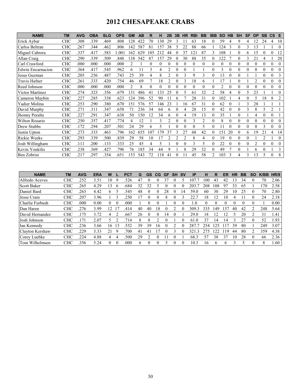# **2012 CHESAPEAKE CRABS**

| <b>NAME</b>              | <b>TM</b>  | <b>AVG</b> | <b>OBA</b> | <b>SLG</b> | <b>OPS</b> | GM  | <b>AB</b> | R              | н              | 2Β       | 3B       | <b>HR</b> | <b>RBI</b>   | <b>BB</b>      | <b>IBB</b>     | <b>SO</b>      | <b>HB</b> | SΗ               | SF       | DP             | <b>SB</b>      | $\mathsf{cs}$ | Е              |
|--------------------------|------------|------------|------------|------------|------------|-----|-----------|----------------|----------------|----------|----------|-----------|--------------|----------------|----------------|----------------|-----------|------------------|----------|----------------|----------------|---------------|----------------|
| Erick Aybar              | СНС        | .308       | .339       | .469       | .808       | 128 | 422       | 70             | 130            | 29       |          |           | 63           | 18             |                | 59             |           | 9                | 4        | 12             | 24             | 4             | 10             |
| Carlos Beltran           | CHC        | 267        | 344        | .462       | .806       | 142 | 587       | 81             | 57             | 38       |          | 22        | 88           | 66             |                | 124            | 3         | $\boldsymbol{0}$ | 3        | 3              |                |               | $\Omega$       |
| Miguel Cabrera           | <b>CHC</b> | 337        | .417       | .583       | .001       | 162 | 629       | 105            | 212            | 44       |          | 37        | $12^{\circ}$ | 87             | 3              | 108            |           | $\theta$         | 6        | 15             | $\Omega$       | $\theta$      | 12             |
| Allan Craig              | CHC        | .290       | 339        | .509       | .848       | 138 | 542       | 87             | 157            | 29       |          | 30        | 88           | 35             |                | 122            |           | $\theta$         | 3        | 21             | 4              |               | 20             |
| Carl Crawford            | CHC        | .000       | .000       | .000       | .000       | 2   |           | $\theta$       | $\theta$       | $\theta$ |          | 0         | $\theta$     | $\theta$       | 0              | $\theta$       | $\theta$  | $\theta$         | 0        |                | $\theta$       | 0             | $\theta$       |
| <b>Edwin Encarnacion</b> | <b>CHC</b> | 364        | .417       | .545       | .962       | 6   |           | 3              | 4              | 2        | $\Omega$ | 0         |              |                | 0              | 3              | $\Omega$  | $\boldsymbol{0}$ | 0        | 0              | 0              | $\theta$      | $\Omega$       |
| Jesus Guzman             | <b>CHC</b> | 205        | .256       | .487       | .743       | 25  | 39        | 4              | 8              |          |          | 3         | 9            | 3              | 0              | 13             |           | $\theta$         |          |                | $\theta$       | 0             |                |
| Travis Hafner            | CHC        | .261       | .333       | .420       | .754       | 46  | 69        | $\overline{7}$ | 18             |          |          | 3         | 18           | 6              |                | 17             |           | $\theta$         |          | $\overline{c}$ | $\theta$       | 0             | $\theta$       |
| Reed Johnson             | <b>CHC</b> | .000       | .000       | .000       | .000       | 2   | 8         | $\Omega$       | $\overline{0}$ | 0        |          | 0         | $\theta$     | $\theta$       | U              | $\mathfrak{D}$ | 0         | 0                | 0        | 0              | $\Omega$       | $\theta$      | $\Omega$       |
| Victor Martinez          | <b>CHC</b> | 274        | 323        | .356       | .679       | 131 | 486       | 41             | 133            | 25       |          | 5         | 61           | 32             | 2              | 58             |           | $\theta$         |          | 23             |                |               |                |
| Cameron Maybin           | <b>CHC</b> | 227        | .285       | .338       | .623       | 124 | 396       | 52             | 90             |          |          |           | 28           | 31             |                | 102            |           | 4                |          | 5              | 18             | 8             | $\mathfrak{D}$ |
| Yadier Molina            | CHC        | 253        | 290        | .380       | .670       | 151 | 576       | 57             | l 46           | 23       |          | 16        | 67           | 31             | 0              | 62             | $\Omega$  |                  | 3        | 28             |                |               |                |
| David Murphy             | <b>CHC</b> | 271        | .311       | 347        | .658       | 71  | 236       | 34             | 64             | 6        |          | 4         | 28           | 15             | 0              | 42             |           | $\theta$         |          |                |                | 2             |                |
| Jhonny Peralta           | CHC        | 227        | .291       | .347       | .638       | 50  | 150       | 12             | 34             | 6        | $\theta$ | 4         | 19           | 13             | 0              | 35             |           | $\theta$         |          |                | $\theta$       | $\theta$      |                |
| Wilton Rosario           | CHC        | 250        | .357       | .417       | .774       | 4   | 12        |                | 3              | 2        |          | $\Omega$  | 3            | $\overline{2}$ |                | 8              | $\Omega$  | $\theta$         | $\Omega$ |                | $\theta$       | $\theta$      | $\Omega$       |
| Drew Stubbs              | <b>CHC</b> | 172        | .294       | .207       | .501       | 24  | 29        | 6              | 5              |          |          | 0         | $\theta$     | 5              | 0              | 11             |           | $\boldsymbol{0}$ | 0        |                |                | 0             |                |
| Justin Upton             | CHC        | .273       | .333       | .463       | .796       | 162 | 655       | 107            | 79             | 37       |          | 27        | 68           | 42             | 0              | 151            | 20        | $\theta$         | 6        | 19             | 21             | 4             | 14             |
| Rickie Weeks             | CHC        | 293        | 339        | .500       | .839       | 29  | 58        | 10             | 17             |          |          | 2         | 8            | 4              | 0              | 19             |           | $\theta$         |          |                | $\mathfrak{D}$ |               | $\theta$       |
| Josh Willingham          | CHC        | 111        | 200        | .133       | .333       | 25  | 45        | 4              | 5              |          |          | 0         | 3            | 5              |                | 22             |           | $\theta$         |          | $\overline{c}$ | $\theta$       | 0             | $\Omega$       |
| Kevin Youkilis           | <b>CHC</b> | .238       | .369       | .427       | .796       | 76  | 185       | 34             | 44             | q        |          | 8         | 29           | 32             | 0              | 49             |           | 0                |          | 6              | $\Omega$       |               | 3              |
| Ben Zobrist              | <b>CHC</b> | 217        | 297        | .354       | .651       | 153 | 543       | 72             | 118            | 41       |          |           | 45           | 58             | $\mathfrak{D}$ | 103            | 3         | 4                | ζ        | $\mathcal{E}$  | 5              | $\Omega$      | 8              |

| <b>NAME</b>        | <b>TM</b>  | <b>AVG</b> | <b>ERA</b> | w   |    | <b>PCT</b> | G            | <b>GS</b> | CG. | <b>GF</b> | <b>SH</b> | <b>SV</b> | IP        | н   | R            | ER             | <b>HR</b> | <b>BB</b> | <b>SO</b>                | K/BB | HR/9 |
|--------------------|------------|------------|------------|-----|----|------------|--------------|-----------|-----|-----------|-----------|-----------|-----------|-----|--------------|----------------|-----------|-----------|--------------------------|------|------|
| Alfredo Aceves     | <b>CHC</b> | 252        | 3.51       | 10  |    | 526        | 47           |           |     | 37        |           |           | 107       | 100 | 43           | 42             | 3         | 34        |                          | 70   | 2.06 |
| <b>Scott Baker</b> | <b>CHC</b> | 265        | 4.29       | 3   |    | .684       | 32           | 32        |     |           |           |           | 203.      | 208 | 08           | 97             | 33        | 65        |                          | 70   | 2.58 |
| Daniel Bard        | <b>CHC</b> | 263        | 4.42       | h.  |    | 545        | 48           |           |     | 28        |           | 14        | 59.0      | 60  | 30           | 29             | 10        | 25        |                          | 70   | 2.80 |
| Jesse Crain        | CHC        | 207        | 3.96       |     |    | 250        |              |           |     | 8         |           |           | 22.7      | 18  | 12           | 10             |           |           |                          | 24   | 2.18 |
| Charlie Furbush    | <b>CHC</b> | .000       | 0.00       |     |    | .000       |              |           |     |           | 0         |           | $\theta$  |     | $\Omega$     |                |           |           |                          |      | 0.00 |
| Dan Haren          | <b>CHC</b> | 276        | 3.99       | 12  |    | .414       | 40           | 40        | 18  | O         |           |           | 309.<br>3 | 335 | 49           | 137            | 40        | 42        |                          | 248  | 5.64 |
| David Hernandez    | <b>CHC</b> | 175        | 3.72       |     |    | .667       | 26           |           |     | 4         |           |           | 29.0      | 18  | 12           | 2              |           | 20        |                          | 31   | 1.41 |
| Josh Johnson       | <b>CHC</b> | 171        | 2.07       |     |    | 714        | 8            | 8         | ◠   |           |           |           | 61.0      | 37  | 14           | $\overline{4}$ |           | 27        | $\Omega$                 | 52   | 1.93 |
| Ian Kennedy        | CHC        | .236       | 3.66       | 16. | 13 | 552        | 39           | 39        | 16  | 0         |           |           | 287       | 254 | 25           |                | 39        | 80        |                          | 249  | 3.07 |
| Clayton Kershaw    | <b>CHC</b> | 229        | 3.33       | 21  | Q  | 700        | 41           | 41        |     |           | ÷.        |           | 321       |     | 22           | 19             | 44        | 80        | $\mathfrak{D}_{1}^{(1)}$ | 359  | 4.38 |
| Corey Luebke       | <b>CHC</b> | 224        | 4.88       | 4   |    | 500        | 29           |           |     |           |           |           | 68.3      | 57  | 38           | 37             | 10        | 28        |                          | 66   | 2.36 |
| Wilhelmsen<br>Tom  | <b>CHC</b> | 356        | 5.24       | 0   | 0  | .000       | <sub>6</sub> |           |     |           |           |           | 10.3      | 16  | <sub>0</sub> | h.             |           |           |                          | 8    | 1.60 |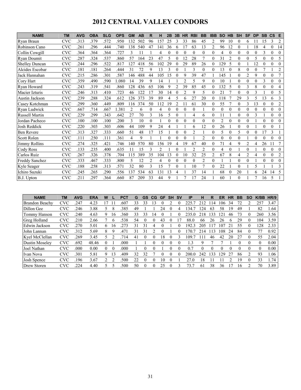# **2012 CENTRAL VALLEY CONDORS**

| <b>NAME</b>           | <b>TM</b>         | <b>AVG</b> | <b>OBA</b> | <b>SLG</b> | <b>OPS</b> | <b>GM</b>      | <b>AB</b> | R              | н              | 2B       | 3B       | <b>HR</b>      | <b>RBI</b>     | <b>BB</b>      | <b>IBB</b> | <b>SO</b>      | <b>HB</b>      | <b>SH</b>        | <b>SF</b>      | <b>DP</b> | <b>SB</b> | $\mathbf{c}\mathbf{s}$ | E              |
|-----------------------|-------------------|------------|------------|------------|------------|----------------|-----------|----------------|----------------|----------|----------|----------------|----------------|----------------|------------|----------------|----------------|------------------|----------------|-----------|-----------|------------------------|----------------|
| Ryan Braun            | CVC               | .313       | 379        | .572       | .950       | 132            | 502       | 96             | 157            | 25       | 3        | 33             | 86             | 45             | 2          | 99             | 10             | 0                | 6              | 11        | 15        | 3                      | $\overline{2}$ |
| Robinson Cano         | <b>CVC</b>        | .261       | .296       | .444       | .740       | 138            | 540       | 47             | 141            | 36       | 6        | 17             | 63             | 13             | 2          | 96             | 12             | $\theta$         |                | 18        | 4         | 0                      | 14             |
| Collin Cowgill        | <b>CVC</b>        | 364        | 364        | .364       | .727       | 3              | 11        |                | 4              | $\theta$ | $\theta$ | $\theta$       | $\theta$       | $\theta$       | 0          | 4              | $\Omega$       | $\boldsymbol{0}$ | $\theta$       | 0         | 3         | $\theta$               | $\theta$       |
| Ryan Doumit           | CVC               | 287        | 324        | .537       | .860       | 57             | 164       | 23             | 47             | 5        | $\theta$ | 12             | 28             | 7              | 0          | 31             | $\overline{c}$ | $\boldsymbol{0}$ | 0              | 5         | $\theta$  | $\theta$               | 5              |
| <b>Shelley Duncan</b> | CVC               | .244       | .296       | .522       | .817       | 127            | 418       | 56             | 102            | 29       |          | 29             | 89             | 26             | 0          | 129            | 5              | $\theta$         |                | 12        | 0         | 0                      | $\Omega$       |
| Alcides Escobar       | CVC               | .181       | .181       | 264        | .444       | 31             | 72        | 9              | 13             | 3        | $\theta$ |                | 3              | $\theta$       | $\theta$   | 13             | $\Omega$       | 8                | $\theta$       | 0         |           |                        | $\overline{c}$ |
| Jack Hannahan         | <b>CVC</b>        | 215        | .286       | .301       | .587       | 146            | 488       | 44             | 105            | 15       | $\Omega$ | 9              | 39             | 47             |            | 145            |                | $\theta$         | $\overline{2}$ | 9         | $\theta$  | $\theta$               | $\overline{7}$ |
| Cory Hart             | <b>CVC</b>        | 359        | .490       | .590       | 1.080      | 14             | 39        | 9              | 14             |          |          | $\overline{2}$ | 5              | 9              | 0          | 10             |                | $\theta$         | $\theta$       | 0         | 3         | $\theta$               | $\Omega$       |
| Ryan Howard           | <b>CVC</b>        | .243       | .319       | .541       | .860       | 128            | 436       | 65             | 106            | q        |          | 39             | 85             | 45             | 0          | 132            | 5              | $\theta$         | 3              | 8         | $\theta$  | 0                      | 4              |
| Macier Izturis        | <b>CVC</b>        | .246       | .313       | .410       | .723       | 46             | 122       | 17             | 30             | 14       | $\Omega$ | 2              | 9              | 5              | 0          | 21             |                | $\boldsymbol{0}$ | $\theta$       | 3         |           | $\theta$               | 5              |
| Austin Jackson        | <b>CVC</b>        | 239        | .288       | .324       | .612       | 126            | 373       | 39             | 89             |          |          | 6              | 27             | 20             | 0          | 118            |                | 29               |                | 5         | 13        | 6                      | 3              |
| Casey Kotchman        | $_{\mathrm{CVC}}$ | .299       | .360       | .449       | .809       | 116            | 374       | 50             | 112            | 19       |          |                | 61             | 30             | 0          | 55             |                | $\boldsymbol{0}$ | 3              | 13        | $\theta$  | $\theta$               | $\overline{2}$ |
| Ryan Ludwick          | <b>CVC</b>        | .667       | .714       | .667       | 1.381      | $\overline{2}$ | 6         | $\theta$       | $\overline{4}$ | $\Omega$ | $\theta$ | $\theta$       | $\theta$       |                | $\theta$   | $\mathbf{0}$   | $\theta$       | $\mathbf{0}$     | $\Omega$       | $\Omega$  | $\theta$  | $\theta$               | $\theta$       |
| Russell Martin        | <b>CVC</b>        | 229        | .299       | 343        | .642       | 27             | 70        | 3              | 16             | 5        | $\theta$ |                | 4              | 6              | 0          | 11             |                | $\theta$         | $\Omega$       | 3         |           | $\theta$               | $\Omega$       |
| Jordan Pacheco        | <b>CVC</b>        | .100       | .100       | .100       | .200       | 3              | 10        | $\theta$       | 1              | 0        | $\theta$ | $\theta$       | $\theta$       | $\theta$       | 0          | $\overline{2}$ | $\theta$       | $\boldsymbol{0}$ | $\Omega$       |           | $\theta$  | $\theta$               | $\Omega$       |
| <b>Josh Reddick</b>   | <b>CVC</b>        | .220       | .303       | .303       | .606       | 44             | 109       | 9              | 24             | 4        |          |                | 6              | 12             | 0          | 26             |                | $\boldsymbol{0}$ | $\theta$       |           | $\theta$  | $\theta$               |                |
| <b>Ben Revere</b>     | <b>CVC</b>        | .313       | 327        | .333       | .660       | 51             | 48        | 17             | 15             |          | $\Omega$ | $\theta$       | $\overline{2}$ |                | $\theta$   | 5              | $\Omega$       | 5                | $\theta$       | 0         | 17        | 3                      |                |
| Scott Rolen           | CVC               | .111       | .250       | .111       | .361       | 4              | 9         |                |                | 0        |          | $\theta$       |                | $\overline{2}$ | 0          | $\mathbf{0}$   | $\theta$       | $\boldsymbol{0}$ |                | 0         | $\theta$  | $\theta$               | $\Omega$       |
| Jimmy Rollins         | $_{\mathrm{CVC}}$ | .274       | .325       | .421       | .746       | 140            | 570       | 80             | 156            | 19       |          | 19             | 67             | 40             | 0          | 71             | 4              | 9                | 2              | 4         | 26        |                        |                |
| Cody Ross             | CVC               | .133       | .235       | .400       | .635       | 11             | 15        | 3              | $\mathfrak{D}$ |          | $\Omega$ |                | $\mathfrak{D}$ | $\overline{2}$ | $\theta$   | $\overline{4}$ | $\theta$       |                  | $\Omega$       |           | $\theta$  | $\theta$               | $\Omega$       |
| Carlos Ruiz           | <b>CVC</b>        | .267       | 326        | .378       | .704       | 115            | 389       | 35             | 104            | 13       |          | 10             | 32             | 25             | 2          | 67             | 8              | 4                | $\overline{c}$ | 4         | $\theta$  | $\mathbf{0}$           | 2              |
| Freddy Sanchez        | CVC               | .333       | .467       | .333       | .800       | 5              | 12        | $\overline{2}$ | 4              | $\theta$ | $\Omega$ | $\theta$       | $\theta$       | $\overline{2}$ | 0          |                |                | $\boldsymbol{0}$ | $\Omega$       |           | $\theta$  | $\theta$               | $\theta$       |
| Kyle Seager           | <b>CVC</b>        | .188       | .258       | .313       | .571       | 32             | 80        | 3              | 15             |          |          |                | 10             | 7              | 0          | 22             |                | $\boldsymbol{0}$ |                | 5         |           |                        | 3              |
| Ichiro Suzuki         | <b>CVC</b>        | 245        | 265        | .290       | .556       | 137            | 534       | 63             | 131            | 13       | 4        |                | 37             | 14             |            | 68             | $\Omega$       | 20               |                | 6         | 24        | 14                     | 5              |
| B.J. Upton            | CVC               | 211        | 297        | .364       | .660       | 87             | 209       | 33             | 44             | q        |          |                |                | 24             |            | 60             |                | $\theta$         |                |           | 16        | 5                      |                |

| <b>NAME</b>           | TМ         | <b>AVG</b> | <b>ERA</b> | W |          | <b>PCT</b> | G  | GS | CG.            | GF | <b>SH</b> | <b>SV</b> | ΙP    | н        | R               | ER | НR | BB | SO       | K/BB | HR/9 |
|-----------------------|------------|------------|------------|---|----------|------------|----|----|----------------|----|-----------|-----------|-------|----------|-----------------|----|----|----|----------|------|------|
| <b>Brandon Beachy</b> | <b>CVC</b> | .247       | 4.23       |   |          | .607       | 33 | 33 | 3              |    |           |           |       |          | 14              | 06 | 34 |    |          | 257  | 3.47 |
| Dillon Gee            | <b>CVC</b> | 246        | 3.88       |   | 8        | 385        | 49 |    |                | 24 |           |           | 34    | 124      | 63              | 58 | 19 | 49 |          | 82   | 1.64 |
| Tommy Hanson          | <b>CVC</b> | .240       | 4.63       | 9 | 16       | 360        | 33 | 33 | $\overline{4}$ |    |           |           | 235.0 | 218      | 133             | 21 | 46 | 73 | $\Omega$ | 260  | 3.56 |
| Greg Holland          | <b>CVC</b> | .210       | 2.66       |   | 6        | 538        | 54 |    | 0              | 43 |           |           | 88.0  | 66       | 26              | 26 | 6  | 29 | 0        | 104  | 3.59 |
| Edwin Jackson         | <b>CVC</b> | .270       | 5.01       | 6 | 16       | 273        | 31 | 31 |                |    |           |           | 192.3 | 205      | 17              | 07 | 21 | 55 | 0        | 128  | 2.33 |
| John Lannan           | <b>CVC</b> | 312        | 5.69       | 8 | 9        | .471       | 31 | 31 |                |    |           |           | 70    | 214      | 13              | 08 | 24 | 84 | $\theta$ | 77   | 0.92 |
| Kyel McClellan        | <b>CVC</b> | 269        | 3.45       |   |          | 714        | 41 |    |                | 8  |           |           | 109.  | 11       | 46              | 42 | 20 | 27 | 0        | 55   | 2.04 |
| Dustin Moselev        | <b>CVC</b> | .692       | 48.46      |   |          | .000       |    |    |                |    |           |           | .3    | 9        |                 |    |    |    | $\theta$ |      | 0.00 |
| Joel Nathan           | <b>CVC</b> | .000       | 0.00       | 0 | $\theta$ | .000       |    |    |                |    |           |           | 0.7   | $\Omega$ |                 |    |    |    | 0        |      | 0.00 |
| Ivan Nova             | <b>CVC</b> | 301        | 5.81       | 9 | 13       | .409       | 32 | 32 |                |    |           |           | 200.0 | 242      | $\overline{33}$ | 29 | 27 | 86 | 2        | 93   | 1.06 |
| Josh Spence           | <b>CVC</b> | 196        | 3.67       |   |          | .500       | 22 |    | $\Omega$       | 10 |           |           | 27.0  | 18       |                 |    |    | 19 | $\theta$ | 33   | 1.74 |
| Drew Storen           | <b>CVC</b> | 224        | 4.40       |   |          | 500        | 50 |    |                | 25 |           |           | 73.7  | 61       | 38              | 36 |    | 16 |          | 70   | 3.89 |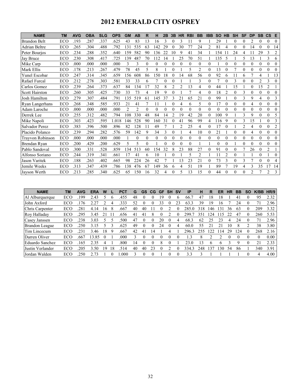# **2012 EMERALD CITY OSPREY**

| <b>NAME</b>             | <b>TM</b> | <b>AVG</b> | <b>OBA</b> | <b>SLG</b> | <b>OPS</b> | <b>GM</b> | <b>AB</b> | R              | н        | 2B       | 3B       | <b>HR</b>      | <b>RBI</b> | <b>BB</b>      | <b>IBB</b>     | <b>SO</b> | <b>HB</b>      | <b>SH</b> | <b>SF</b>      | <b>DP</b>      | <b>SB</b> | $\mathsf{cs}$  | E              |
|-------------------------|-----------|------------|------------|------------|------------|-----------|-----------|----------------|----------|----------|----------|----------------|------------|----------------|----------------|-----------|----------------|-----------|----------------|----------------|-----------|----------------|----------------|
| <b>Brandon Belt</b>     | ECO       | .193       | .287       | .337       | .625       | 43        | 83        | 13             | 16       | 3        | 0        | 3              | 11         | 9              |                | 29        |                | $\theta$  | $\theta$       | $\overline{2}$ | $\Omega$  | $\Omega$       | $\Omega$       |
| <b>Adrian Beltre</b>    | ECO       | .265       | .304       | .488       | .792       | 131       | 535       | 63             | 142      | 29       |          | 30             | 77         | 24             | $\overline{c}$ | 81        | 4              | 0         | $\Omega$       | 14             | 0         | $\Omega$       | 14             |
| Peter Bourjos           | ECO       | 234        | .288       | .352       | .640       | 159       | 582       | 90             | 136      | 22       | 10       | 9              | 41         | 34             |                | 154       |                | 24        | 4              | 11             | 29        | 3              | $\overline{2}$ |
| Jay Bruce               | ECO       | .230       | .308       | .417       | .725       | 139       | 487       | 70             | 112      | 14       |          | 25             | 70         | 51             |                | 135       | 5              |           | 5              | 13             |           | 3              | 6              |
| Mike Carp               | ECO       | .000       | .000       | .000       | .000       | 3         | 3         | $\theta$       | $\Omega$ | $\theta$ | 0        | $\theta$       | $\theta$   | $\theta$       | $\theta$       |           | $\theta$       | $\theta$  | $\theta$       | $\theta$       | $\theta$  | $\theta$       | $\theta$       |
| Mark Ellis              | ECO       | .178       | .213       | .267       | .479       | 78        | 45        | 5              | 8        |          | 0        |                | 5          | $\overline{c}$ | $\theta$       | 13        | $\theta$       |           | $\theta$       | $\Omega$       | 0         | $\theta$       | $\Omega$       |
| <b>Yunel Escobar</b>    | ECO       | .247       | .314       | .345       | .659       | 156       | 608       | 86             | 150      | 18       | 0        | 14             | 68         | 56             | $\theta$       | 92        | 6              | 11        | 6              |                | 4         |                | 13             |
| Rafael Furcal           | ECO       | 212        | .278       | .303       | .581       | 33        | 33        | 6              | 7        | $\Omega$ | 0        |                |            | 3              | $\theta$       |           | $\theta$       | 3         | $\Omega$       | $\Omega$       | 2         | 3              | $\Omega$       |
| Carlos Gomez            | ECO       | 239        | .264       | 373        | .637       | 84        | 134       | 17             | 32       | 8        | 2        | $\overline{c}$ | 13         | 4              | $\theta$       | 44        |                | 15        |                | $\theta$       | 15        | 2              |                |
| <b>Scott Hairston</b>   | ECO       | .260       | .305       | .425       | .730       | 33        | 73        | 4              | 19       | 9        | $\theta$ |                |            | 4              | $\theta$       | 18        | $\overline{c}$ | 0         | 3              | $\theta$       | $\Omega$  | $\Omega$       | $\Omega$       |
| Josh Hamilton           | ECO       | 279        | .307       | .484       | .791       | 135       | 519       | 61             | 145      | 37       |          | 21             | 65         | 21             | $\theta$       | 99        |                | 0         | 3              | 9              | 4         | $\theta$       | 3              |
| Ryan Langerhans         | ECO       | .268       | .348       | .585       | .933       | 21        | 41        | $\overline{7}$ | 11       |          | 0        | 4              | 6          | 5              | $\theta$       | 17        | $\theta$       | $\theta$  | $\theta$       | $\overline{4}$ | $\theta$  | $\theta$       | $\Omega$       |
| Adam Laroche            | ECO       | .000       | .000       | .000       | .000       | 2         | 2         | $\theta$       | $\theta$ | $\theta$ | 0        | $\theta$       | $\Omega$   | $\theta$       | $\theta$       | $\theta$  | $\theta$       |           | $\theta$       | $\Omega$       | $\Omega$  | $\theta$       | $\Omega$       |
| Derrek Lee              | ECO       | .255       | .312       | .482       | .794       | 108       | 330       | 48             | 84       | 14       | 2        | 19             | 42         | 20             | $\theta$       | 100       | 9              |           | 3              | 9              | $\Omega$  | $\theta$       | 5              |
| Mike Napoli             | ECO       | 303        | .423       | .595       | 1.018      | 146       | 528       | 90             | 160      | 31       |          | 41             | 96         | 99             | 4              | 116       | 9              | $\theta$  | 3              | 15             |           | $\theta$       | 3              |
| Salvador Perez          | ECO       | 383        | .396       | .500       | .896       | 82        | 128       | 11             | 49       | 7        |          | $\overline{2}$ | 25         | 4              | $\theta$       | 17        | $\theta$       |           | $\overline{2}$ | 4              | $\theta$  | $\theta$       | $\overline{2}$ |
| Placido Polanco         | ECO       | 239        | .294       | .282       | .576       | 59        | 142       | 9              | 34       | 3        | $\theta$ |                | 4          | 10             | $\theta$       | 21        |                | $\Omega$  | $\Omega$       | 4              | $\Omega$  | $\Omega$       | $\Omega$       |
| <b>Trayyon Robinson</b> | ECO       | .000       | .000       | .000       | .000       |           | $\Omega$  | $\theta$       | $\theta$ | $\theta$ | 0        | $\theta$       | $\Omega$   | $\Omega$       | $\theta$       | $\Omega$  | $\theta$       | $\Omega$  | $\Omega$       | $\theta$       | $\theta$  | $\theta$       | $\theta$       |
| Brendan Ryan            | ECO       | .200       | .429       | .200       | .629       | 5         | 5         | $\theta$       |          | $\theta$ | 0        | $\theta$       | $\Omega$   |                |                | $\theta$  | $\theta$       |           | $\Omega$       | $\Omega$       | 0         | $\Omega$       | $\Omega$       |
| Pablo Sandoval          | ECO       | 300        | .331       | .528       | .859       | 134       | 513       | 60             | 154      | 32       | 8        | 23             | 88         | 27             | $\theta$       | 91        | $\theta$       | $\theta$  |                | 26             | $\Omega$  | $\overline{2}$ |                |
| Alfonso Soriano         | ECO       | 244        | .319       | .341       | .661       | 17        | 41        | 6              | 10       |          | 0        |                | 5          | $\overline{2}$ |                | 11        | $\overline{2}$ | 0         |                |                | $\Omega$  |                | $\theta$       |
| Jason Varitek           | ECO       | .188       | .263       | .402       | .665       | 98        | 224       | 26             | 42       |          |          | 13             | 23         | 21             | $\theta$       | 73        | 3              | 0         | 3              |                | $\Omega$  | $\Omega$       | 4              |
| Jemile Weeks            | ECO       | .313       | .347       | .439       | .786       | 138       | 476       | 67             | 149      | 36       | 6        | 4              | 51         | 19             |                | 89        |                | 19        | 4              | 3              | 35        | 17             | 14             |
| Jayson Werth            | ECO       | 213        | .285       | 340        | .625       | 65        | 150       | 16             | 32       | 4        | 0        | 5              | 13         | 15             | $\theta$       | 44        | $\theta$       | $\theta$  | $\Omega$       | $\overline{2}$ | 7         | 2              | 3              |

| <b>NAME</b>           | ΤM  | <b>AVG</b> | <b>ERA</b>           | W  |    | PC1  | G              | <b>GS</b> | <b>CG</b> | <b>GF</b> | <b>SH</b> | <b>SV</b>    | <b>IP</b> | н   | R   | ER                       | НR | BВ  | <b>SO</b> | K/BB | HR/9 |
|-----------------------|-----|------------|----------------------|----|----|------|----------------|-----------|-----------|-----------|-----------|--------------|-----------|-----|-----|--------------------------|----|-----|-----------|------|------|
| Al Alburquerque       | ECO | 199        | 2.43                 |    | b  | 455  | 48             | $\theta$  | $\theta$  | 19        |           | h            | 66.7      | 47  | 18  | 18                       |    | 41  |           | 95   | 2.32 |
| John Axford           | ECO | 76         |                      |    |    | 333  | 52             | $\theta$  | 0         | 33        |           | 23           | 63.3      | 39  | 19  | 16                       |    | 24  | $\theta$  |      | 2.96 |
| Chris Carpenter       | ECO | 281        | 4.14                 | ۱6 |    | .667 | 40             | 40        |           |           |           |              | 285       | 318 | 46  | 31                       | 36 | 63  | $\theta$  | 209  | 3.32 |
| Roy Halladay          | ECO | 295        | 3.45                 |    |    | 656  | 41             | 41        | 8         |           |           |              | 299.      | 35  | 24  | $\overline{\phantom{a}}$ |    | 47  | 0         | 260  | 5.53 |
| Casey Janssen         | ECO | 238        | 3.03                 |    |    | 500  | 47             |           |           | 20        |           | 4            | 68.3      | 62  | 25  | 23                       | 4  | 24  |           |      | 2.96 |
| <b>Brandon League</b> | ECO | 250        | $\mathcal{E}$<br>، ج |    |    | 625  | 49             |           | 0         | 24        |           | Δ            | 60.0      | 55  |     |                          | 10 |     |           | 38   | 3.80 |
| Tim Lincecum          | ECO | .231       | 3.46                 | 18 | 9  | .667 | 42             | 41        | 14        |           |           |              | 296.      | 255 | 22  | 14                       | 29 | 124 | $\theta$  | 268  | 2.16 |
| Darren Oliver         | ECO | .667       | 13.85                |    |    | .000 |                | $\theta$  | 0         |           |           | $\theta$     | -3        | 8   |     |                          |    |     |           |      | 0.00 |
| Eduardo Sanchez       | ECO | 165        | 2.35                 | 4  |    | 800  | $\overline{4}$ |           | 0         | 8         |           |              | 23.0      | 3   | h   | h                        |    |     | $\Omega$  | 21   | 2.33 |
| Justin Verlander      | ECO | 205        | 3.50                 | ۱9 | 18 | 514  | 40             | 40        | 23        |           |           | $\mathbf{0}$ | 334.3     | 248 | .37 | 30                       | 54 | 86  |           | 340  | 3.91 |
| Jordan Walden         | ECO | 250        | 2.73                 |    |    | .000 |                | $\theta$  | 0         |           |           | $\Omega$     | 33        |     |     |                          |    |     | 0         | 4    | 4.00 |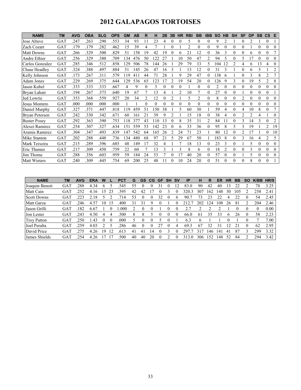# **2012 GALAPAGOS TORTOISES**

| <b>NAME</b>           | <b>TM</b>  | <b>AVG</b> | <b>OBA</b> | <b>SLG</b> | <b>OPS</b> | <b>GM</b> | AB              | R        | н   | 2B           | 3B       | <b>HR</b> | <b>RBI</b>     | <b>BB</b>      | <b>IBB</b>   | <b>SO</b> | HВ       | SH             | <b>SF</b> | <b>DP</b>      | <b>SB</b> | $\mathsf{cs}$  | E        |
|-----------------------|------------|------------|------------|------------|------------|-----------|-----------------|----------|-----|--------------|----------|-----------|----------------|----------------|--------------|-----------|----------|----------------|-----------|----------------|-----------|----------------|----------|
| Jose Altuve           | GAT        | .247       | .263       | 290        | .553       | 34        | 93              | 11       | 23  | 4            | $\theta$ | $\theta$  | 5              | $\theta$       | $\mathbf{0}$ | 9         | 2        |                | $\theta$  | 2              |           | $\theta$       |          |
| <b>Zach Cozart</b>    | GAT        | 179        | .179       | 282        | .462       | 15        | 39              | 4        |     |              | $\theta$ |           | $\overline{c}$ | $\theta$       | $\theta$     | 9         | $\Omega$ | $\Omega$       | $\Omega$  |                | 0         | $\theta$       | 0        |
| <b>Matt Downs</b>     | GAT        | .266       | 329        | .500       | .829       | 51        | 158             | 19       | 42  | 19           |          | 6         | 21             | 12             | $\Omega$     | 36        | 3        |                |           | 6              | 0         | $\Omega$       |          |
| Andre Ethier          | GAT        | .256       | 329        | .380       | .709       | 134       | 476             | 50       | 122 | 27           |          | 10        | 50             | 47             | 2            | 94        | 5        | $\theta$       | 5         |                | 0         | $\theta$       | $\theta$ |
| Carlos Gonzalez       | GAT        | 285        | .346       | .512       | .858       | 129       | 506             | 78       | 144 | 26           |          | 29        | 79             | 33             | 5            | 104       | 12       | 2              | 4         | 6              | 13        | 4              | $\Omega$ |
| Chase Headley         | GAT        | .324       | .388       | .497       | .884       | 51        | 145             | 26       | 47  | 16           |          |           | 13             | 12             | 0            | 31        | 3        |                | $\theta$  | 6              | 5         |                | 2        |
| Kelly Johnson         | GAT        | .173       | 267        | .311       | .579       | 119       | 41 <sup>1</sup> | 44       | 71  | 28           |          | 9         | 29             | 47             | $\theta$     | 138       | 6        |                | $\theta$  | 3              | 8         | $\overline{c}$ |          |
| Adam Jones            | GAT        | .229       | .269       | 375        | .644       | 129       | 536             | 65       | 123 |              |          | 19        | 54             | 20             | $\Omega$     | 126       | 9        |                | $\theta$  | 19             | 5         | $\overline{c}$ | 8        |
| Jason Kubel           | GAT        | .333       | 333        | .333       | .667       | 4         | 9               | $\theta$ | 3   | $\mathbf{0}$ | $\theta$ | 0         |                | $\theta$       | $\theta$     | 2         | $\theta$ | $\overline{0}$ | $\theta$  | $\theta$       | 0         | $\theta$       | 0        |
| Bryan Lahair          | GAT        | .194       | .267       | .373       | .640       | 19        | 67              |          | 13  | 4            |          | 2         | 10             |                | 0            | 27        | 0        | 0              |           | $\theta$       | 0         | $\theta$       |          |
| Jed Lowrie            | GAT        | .353       | .368       | .559       | .927       | 20        | 34              | 2        | 12  | 0            |          |           | 5              | $\overline{2}$ | 0            | 8         | $\Omega$ | 0              | 2         | $\theta$       | 0         | $\theta$       | 0        |
| Jesus Montero         | GAT        | .000       | .000       | .000       | .000       |           |                 | $\theta$ | 0   | 0            |          | 0         | $\theta$       | $\theta$       | $\theta$     |           | $\Omega$ |                | $\Omega$  | $\Omega$       | 0         | $\theta$       | 0        |
| Daniel Murphy         | GAT        | 327        | 371        | 447        | .818       | 119       | 459             | 51       | 150 | 38           |          | 5         | 60             | 30             |              | 59        | 4        | 0              | 4         | 10             | 8         | $\Omega$       |          |
| <b>Brvan Petersen</b> | GAT        | .242       | 330        | .342       | .671       | 60        | 16 <sup>1</sup> | 21       | 39  | 9            | 2        |           | 15             | 18             | $\theta$     | 38        | 4        | 0              | 2         | $\overline{c}$ | 4         |                | $\Omega$ |
| <b>Buster Posey</b>   | <b>GAT</b> | .292       | .363       | .390       | .753       | 118       | 377             | 43       | 110 | 13           |          | 8         | 35             | 31             | 2            | 84        |          | 0              | 3         | 14             | 3         | $\Omega$       | 2        |
| Alexei Ramirez        | GAT        | 254        | 307        | .327       | .634       | 151       | 559             | 53       | 142 | 23           |          | 6         | 33             | 36             | $\theta$     | 95        | 8        |                | 3         | 19             |           | $\overline{c}$ | 19       |
| Aramis Ramirez        | GAT        | .304       | 347        | 493        | .839       | 147       | 542             | 64       | 165 | 26           |          | 24        | 71             | 23             |              | 80        | 12       |                | 2         |                |           | $\Omega$       | 10       |
| <b>Mike Stanton</b>   | <b>GAT</b> | .202       | 288        | .448       | .736       | 134       | 480             | 68       | 97  | 21           |          | 29        | 67             | 50             |              | 183       | 8        | 0              | 3         | 16             | 4         | $\overline{c}$ | 5        |
| Mark Teixeira         | GAT        | .215       | .289       | .396       | .685       | 48        | 149             | 17       | 32  | 4            |          |           | 18             | 13             | 0            | 23        | 3        | $\mathbf{0}$   |           | 5              | 0         | $\theta$       | 0        |
| <b>Eric Thames</b>    | GAT        | .217       | 309        | .450       | .759       | 22        | 60              |          | 13  | 3            |          | 3         | 8              | 6              | $\theta$     | 18        | 2        | $\Omega$       | $\Omega$  | 3              | 0         | $\theta$       | $\theta$ |
| Jim Thome             | GAT        | .288       | .356       | .603       | .959       | 59        | 184             | 24       | 53  |              |          | 17        | 40             | 20             | 0            | 57        | $\Omega$ |                |           | 5              | 0         | $\theta$       | 0        |
| <b>Matt Wieters</b>   | GAT        | .240       | 309        | .445       | .754       | 69        | 200             | 25       | 48  |              |          | 10        | 24             | 20             | 0            | 51        | $\Omega$ |                |           | 8              | 0         | $\Omega$       |          |

| <b>NAME</b>        | TM         | <b>AVG</b> | ERA  | W   |    | PCT  | G  | GS | <b>CG</b> | GF | <b>SH</b> | .sv      | ΙP    | н   |     | ER  | HR           | BВ  | SO       | K/BB | HR/9 |
|--------------------|------------|------------|------|-----|----|------|----|----|-----------|----|-----------|----------|-------|-----|-----|-----|--------------|-----|----------|------|------|
| Joaquin Benoit     | GAT        | 288        | 4.34 |     |    | 545  | 55 |    |           | 31 |           |          | 83.0  | 90  | 42  | 40  |              |     |          | 78   | 3.25 |
| Matt Cain          | GAT        | 252        | 4.16 | .5  | 23 | 395  | 42 | 42 |           |    |           | $\theta$ | 320.3 | 307 | -62 | 148 | 30           | 105 |          | 258  | 2.41 |
| <b>Scott Downs</b> | GAT        | 223        | ' 18 |     |    | 714  | 53 |    |           | 32 |           | b        | 90.7  | 73  | 23  | 22  | 4            | 22  |          | 54   | 2.45 |
| Matt Garza         | GAT        | 246        | 4.57 | 0   |    | .400 | 31 |    |           |    |           |          |       | 202 | 24  | 108 | 26           | 81  |          | 204  | 2.46 |
| Jason Grilli       | GAT        | 182        | 6.67 |     |    | .000 |    |    |           |    |           |          | 2.1   |     |     |     |              |     |          |      | 0.00 |
| Jon Lester         | GAT        | 243        | 4.50 |     | 4  | .500 | 8  |    |           |    |           | 0        | 66.0  | 61  | 35  | 33  | <sub>b</sub> | 26  |          | 58   | 2.23 |
| <b>Troy Patton</b> | <b>GAT</b> | 250        | .43  |     |    | .000 |    |    |           |    |           |          | 6.3   |     |     |     |              |     | O        |      | 7.00 |
| Joel Peralta       | GAT        | 259        | 4.03 |     |    | 286  | 46 |    |           |    |           |          | 69.3  | 67  | 32  | 31  | ר ו          |     | $\theta$ | 62   | 2.95 |
| David Price        | GAT        | 275        | 4 26 | - 9 |    | .613 | 41 | 41 | 14        |    |           |          | 297   |     | 46  | 141 | 41           | 87  |          | 299  | 3.32 |
| James Shields      | GAT        | 254        | 4.26 |     |    | 500  | 40 | 40 | 20        |    |           |          | 313.0 | 306 | 152 | 148 | 52           | 84  |          | 294  | 3.42 |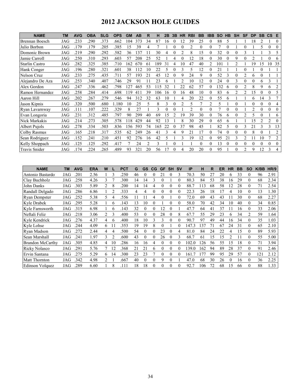# **2012 JACKSON HOLE GUIDES**

| <b>NAME</b>          | TM  | <b>AVG</b> | <b>OBA</b> | <b>SLG</b> | <b>OPS</b> | <b>GM</b> | AB  | R           | н   | 2B | 3B       | <b>HR</b>   | <b>RBI</b>     | <b>BB</b> | <b>IBB</b>     | <b>SO</b> | <b>HB</b> | <b>SH</b> | SF             | DP | <b>SB</b>      | $\mathsf{CS}$  | E        |
|----------------------|-----|------------|------------|------------|------------|-----------|-----|-------------|-----|----|----------|-------------|----------------|-----------|----------------|-----------|-----------|-----------|----------------|----|----------------|----------------|----------|
| Brennan Boesch       | JAG | .233       | .290       | 373        | .662       | 104       | 373 | 34          | 87  | 16 |          | 12          | 39             | 25        | $\theta$       | 88        | 5         |           |                | 18 |                |                | $\Omega$ |
| Julio Borbon         | JAG | 179        | 179        | .205       | 385        | 15        | 39  |             |     |    | $\theta$ | 0           | $\overline{c}$ | $\theta$  | $\theta$       | 7         | $\theta$  |           | 0              |    | 5              | $\theta$       | $\theta$ |
| Domonic Brown        | JAG | .219       | .290       | 292        | .582       | 36        | 137 |             | 30  |    |          | າ           | 8              | 15        | $\theta$       | 32        | 0         | 0         | 3              |    |                | $\mathcal{E}$  | 5        |
| Jamie Carroll        | JAG | .250       | .310       | 293        | .603       | 57        | 208 | 25          | 52  |    | 4        | $\Omega$    | 12             | 18        | $\Omega$       | 30        | $\theta$  | 9         | 0              |    |                | $\theta$       | 6        |
| Starlin Castro       | JAG | .282       | 325        | 385        | .710       | 162       | 670 | 61          | 189 | 31 |          | 10          | 47             | 40        | $\overline{c}$ | 101       |           |           |                | 19 | 15             | 10             | 35       |
| Hank Conger          | JAG | 196        | .280       | 321        | .601       | 38        | 112 | 0           | 22  |    |          | 3           | 5              | 12        | 0              | 21        |           |           | 0              |    | $\theta$       |                |          |
| <b>Nelson Cruz</b>   | JAG | .233       | .275       | 435        | .711       | 57        | 193 | $2^{\circ}$ | 45  | 12 |          | 9           | 24             | 9         | $\Omega$       | 52        | 3         | $\theta$  | $\mathfrak{D}$ | 6  |                |                |          |
| Alejandro De Aza     | JAG | .253       | 340        | .407       | 746        | 29        | 91  |             | 23  | 6  |          |             | 10             | 12        | 0              | 24        | 0         | 3         | 0              | 0  | 6              | 3              |          |
| Alex Gordon          | JAG | .247       | 336        | .462       | 798        | 127       | 465 | 53          | 15  | 32 |          | 22          | 62             | 57        | $\theta$       | 132       | 6         | 0         |                | 8  | 9              | 6              |          |
| Ramon Hernandez      | JAG | .258       | .284       | .414       | .698       | 119       | 411 | 39          | 106 | 16 |          | 16          | 48             | 10        | $\Omega$       | 83        | 6         |           |                | 15 |                | $\Omega$       |          |
| Aaron Hill           | JAG | .202       | .267       | 279        | .546       | 94        | 312 | 32          | 63  | 10 |          | 4           | 20             | 22        | $\theta$       | 55        | 6         |           |                | 6  | 14             | 3              |          |
| Jason Kipnis         | JAG | 320        | .500       | .680       | 1.180      | 10        | 25  |             | 8   | 3  | $\Omega$ | 2           | 5              | 7         | $\overline{c}$ | 5         |           | $\theta$  |                | 0  | $\theta$       | $\theta$       | 4        |
| Ryan Lavarnway       | JAG | .111       | .107       | 222        | 329        | 8         | 27  |             | 3   | 0  |          |             | 2              | 0         | $\Omega$       | 7         | $\theta$  | 0         |                | 2  | $\theta$       | $\theta$       | $\Omega$ |
| Evan Longoria        | JAG | .231       | .312       | .485       | .797       | 90        | 299 | 40          | 69  | 15 |          | 19          | 39             | 30        | $\Omega$       | 76        | 6         | 0         |                |    |                |                | 6        |
| Nick Markakis        | JAG | 214        | .273       | 305        | .578       | 118       | 429 | 44          | 92  | 13 |          | 8           | 30             | 29        | $\Omega$       | 65        | 6         |           |                | 15 | $\mathfrak{D}$ | $\mathfrak{D}$ | $\Omega$ |
| Albert Pujols        | JAG | .278       | 334        | 503        | .836       | 156       | 593 | 74          | 165 | 22 |          | 37          | 98             | 45        |                | 82        |           | 0         | 3              | 21 | $\mathbf{3}$   | 3              | 13       |
| Colby Rasmus         | JAG | .165       | .218       | 317        | .535       | 62        | 249 | 26          | 41  | 3  |          | $\mathbf Q$ | 21             | 17        | $\Omega$       | 74        | $\theta$  | $\theta$  | $\theta$       | 8  | $\Omega$       |                | 2        |
| Sean Rodriguez       | JAG | 152        | .241       | .210       | .451       | 92        | 276 | 16          | 42  | 5  |          | 3           | 19             | 12        | $\Omega$       | 95        | 21        | 3         | 2              |    | 10             |                |          |
| Kelly Shoppach       | JAG | 125        | .125       | .292       | .417       |           | 24  | 2           | 3   |    |          |             |                | $\theta$  | $\Omega$       | 13        | $\Omega$  | $\theta$  | 0              |    |                | $\Omega$       | $\Omega$ |
| <b>Travis Snider</b> | JAG | .174       | .224       | 265        | .489       | 93        | 321 | 20          | 56  |    |          |             | 20             | 20        | $\Omega$       | 95        |           | 0         | $\mathfrak{D}$ | 9  | 12             | 3              | 4        |

| <b>NAME</b>             | TМ  | <b>AVG</b> | <b>ERA</b> | W              |    | <b>PCT</b> | G   | GS             | CG       | <b>GF</b> | <b>SH</b> | <b>SV</b>     | IP                   | н   | R  | ER | <b>HR</b> | <b>BB</b> | <b>SO</b> | K/BB | HR/9 |
|-------------------------|-----|------------|------------|----------------|----|------------|-----|----------------|----------|-----------|-----------|---------------|----------------------|-----|----|----|-----------|-----------|-----------|------|------|
| Antonio Bastardo        | JAG | .201       | 2.56       |                |    | .250       | 46  |                | 0        | 21        |           |               | 70.3                 | 50  | 27 | 20 |           | 33        | $\theta$  | 96   | 2.91 |
| Clay Buchholz           | JAG | 258        | 4.26       | 3              |    | 300        | 14  | $\overline{4}$ |          |           |           |               | 80.3                 | 84  | 53 | 38 | 16        | 29        | $\theta$  | 68   | 2.34 |
| John Danks              | JAG | .303       | 5.89       | 2              | 8  | 200        | 14  | 14             |          | 0         | 0         |               | 88.7                 | 113 | 68 | 58 | 12        | 28        | $\theta$  | 71   | 2.54 |
| Randall Delgado         | JAG | .286       | 6.86       |                |    | 333        | 4   | 4              | $\Omega$ | 0         | $\Omega$  |               | 22.3                 | 26  | 18 | 17 | 4         | 10        | $\theta$  | 13   | 1.30 |
| <b>Ryan Dempster</b>    | JAG | .252       | 5.38       | 5              | 4  | .556       |     |                |          | 0         |           |               | 72.0                 | 69  | 43 | 43 |           | 30        | $\theta$  | 68   | 2.27 |
| Kyle Drabek             | JAG | .295       | 5.28       |                | 6  | 143        | 13  | 10             | 0        |           | $\Omega$  |               | 58.0                 | 70  | 42 | 34 | 10        | 40        | $\theta$  | 34   | 0.85 |
| Kyle Farnsworth         | JAG | .315       | 6.98       |                | 6  | 143        | 32  | 0              | 0        | 2         |           |               | 47.7                 | 64  | 41 | 37 |           | 16        | $\theta$  | 33   | 2.06 |
| Neftali Feliz           | JAG | .218       | 3.06       | 2              | 3  | .400       | 53  | 0              | 0        | 28        | $\theta$  |               | 67.7                 | 55  | 29 | 23 | h         | 34        | 2         | 59   | 1.64 |
| Kyle Kendrick           | JAG | .276       | 4.37       | 4              | 6  | .400       | 18  | 10             |          | 3.        | $\theta$  |               | 90.7                 | 97  | 49 | 44 | 16        | 34        | $\theta$  | 35   | 1.03 |
| Kyle Lohse              | JAG | .244       | 4.09       | 6              |    | 353        | 19  | 19             | 8        | 0         |           |               | 147<br>$\mathcal{R}$ | 137 | 71 | 67 | 24        | 31        | $\theta$  | 65   | 2.10 |
| Ryan Madson             | JAG | .272       | 2.44       | 4              | 4  | 500        | 54  | $^{(1)}$       | 0        | 23        | $\Omega$  | 4             | 81.0                 | 84  | 24 | 22 | 4         | 15        | $\theta$  | 89   | 5.93 |
| Sean Marshall           | JAG | .241       | 1.97       | 3              | 2  | .600       | 43  | 0              | 0        | 26        | $\Omega$  | $\mathcal{L}$ | 68.7                 | 61  | 15 | 15 | າ         |           | $\Omega$  | 55   | 5.00 |
| <b>Brandon McCarthy</b> | JAG | 305        | 4.85       | 4              | 10 | 286        | 16  | 16             | 4        | 0         | $\Omega$  |               | 102.0                | 126 | 56 | 55 | 15        | 18        | $\theta$  | 71   | 3.94 |
| Ricky Nolasco           | JAG | .291       | 5.76       |                | 12 | .368       | 2.1 | 21             | 6        | 0         | $\Omega$  |               | 139.0                | 162 | 94 | 89 | 28        | 37        | $\theta$  | 91   | 2.46 |
| Ervin Santana           | JAG | .275       | 5.29       | 6              | 14 | 300        | 23  | 23             |          | 0         | $\Omega$  |               | 161                  | 177 | 99 | 95 | 29        | 57        | $\Omega$  | 21   | 2.12 |
| <b>Matt Thornton</b>    | JAG | .342       | 4.98       | $\mathfrak{D}$ |    | .667       | 40  |                | 0        | 9         | $\theta$  |               | 47.0                 | 68  | 30 | 26 |           | 16        | $\theta$  | 36   | 2.25 |
| Edinson Volquez         | JAG | .289       | 6.60       |                | 8  | 111        | 18  | 18             |          |           |           |               | 92.7                 | 106 | 72 | 68 | 15        | 66        | $\Omega$  | 88   | 1.33 |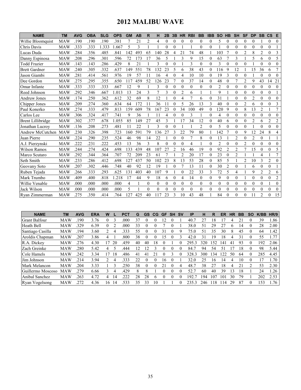# **2012 MALIBU WAVE**

| <b>NAME</b>              | <b>TM</b>  | <b>AVG</b> | <b>OBA</b> | <b>SLG</b> | <b>OPS</b> | <b>GM</b> | <b>AB</b> | R              | н              | 2B             | 3B             | <b>HR</b>      | <b>RBI</b>     | <b>BB</b>      | <b>IBB</b>     | <b>SO</b>      | <b>HB</b>      | <b>SH</b>      | <b>SF</b>      | <b>DP</b>      | <b>SB</b>      | $\mathsf{cs}$  | Е              |
|--------------------------|------------|------------|------------|------------|------------|-----------|-----------|----------------|----------------|----------------|----------------|----------------|----------------|----------------|----------------|----------------|----------------|----------------|----------------|----------------|----------------|----------------|----------------|
| Willie Bloomquist        | <b>MAW</b> | .190       | .190       | .190       | .381       | 7         | 21        | $\overline{c}$ | 4              | $\theta$       | $\theta$       | $\Omega$       | $\Omega$       | $\theta$       | $\theta$       | 5              | $\theta$       | $\theta$       | $\Omega$       | $\Omega$       |                | $\Omega$       | $\Omega$       |
| Chris Davis              | <b>MAW</b> | 333        | .333       | 1.333      | 1.667      | 5         | 3         |                |                | $\Omega$       | $\theta$       |                |                | $\theta$       | $\theta$       |                | $\theta$       | $\theta$       | $\mathbf{0}$   | $\Omega$       | $\theta$       | $\theta$       |                |
| Lucas Duda               | <b>MAW</b> | .284       | .356       | .485       | .841       | 142       | 493       | 65             | 140            | 28             | 4              | 21             | 74             | 48             |                | 103            | $\overline{7}$ | $\theta$       | $\overline{2}$ | 8              | $\overline{2}$ | $\theta$       | 3              |
| Danny Espinosa           | <b>MAW</b> | .208       | .296       | .301       | .596       | 72        | 173       | 17             | 36             | 5              |                | 3              | 9              | 15             | $\theta$       | 63             | 7              | 3              |                | 5              | 6              | $\theta$       | 5              |
| <b>Todd Frazier</b>      | <b>MAW</b> | .143       | .143       | .286       | .429       | 8         | 21        |                | 3              | 0              | $\theta$       |                | 3              | $\overline{0}$ | $\overline{0}$ | 3              | $\mathbf{0}$   | $\overline{0}$ | $\theta$       |                | $\theta$       | $\mathbf{0}$   | $\theta$       |
| <b>Brett Gardner</b>     | <b>MAW</b> | 240        | 305        | .332       | .637       | 149       | 551       | 78             | 132            | 23             | 5              | 6              | 38             | 43             | $\theta$       | 116            | 9              | 12             |                | 15             | 36             | 6              | 7              |
| Jason Giambi             | <b>MAW</b> | .281       | .414       | .561       | .976       | 19        | 57        | 11             | 16             | 4              | $\theta$       | 4              | 10             | 10             | $\theta$       | 19             | 3              | $\overline{0}$ | $\theta$       |                | $\theta$       | $\theta$       | 0              |
| Dee Gordon               | <b>MAW</b> | .275       | .295       | 355        | .650       | 117       | 459       | 52             | 126            | 23             | $\overline{7}$ | $\theta$       | 37             | 14             | $\theta$       | 48             | $\theta$       | 7              | $\overline{2}$ | 9              | 43             | 14             | 21             |
| Omar Infante             | <b>MAW</b> | .333       | .333       | .333       | .667       | 12        | 9         |                | 3              | $\Omega$       | $\mathbf{0}$   | $\theta$       | $\Omega$       | $\overline{0}$ | $\theta$       | 2              | $\theta$       | $\overline{0}$ | $\theta$       | $\Omega$       | $\theta$       | $\theta$       | $\theta$       |
| Reed Johnson             | <b>MAW</b> | .292       | .346       | .667       | 1.013      | 13        | 24        | 3              | $\overline{7}$ | 3              | $\theta$       | $\overline{2}$ | 6              |                |                | 9              |                | $\overline{0}$ | $\theta$       | $\theta$       | $\theta$       | $\mathbf{0}$   |                |
| <b>Andruw Jones</b>      | <b>MAW</b> | .174       | .250       | .362       | .612       | 32        | 69        | 8              | 12             |                | $\theta$       | 4              | $\overline{7}$ | 6              | $\theta$       | 31             |                | $\theta$       | $\theta$       | $\overline{2}$ | $\theta$       | $\theta$       | $\theta$       |
| Chipper Jones            | <b>MAW</b> | .209       | .274       | .360       | .634       | 64        | 172       | 11             | 36             | 11             | $\theta$       | 5              | 26             | 13             | 3              | 40             | $\theta$       | 0              | $\overline{2}$ | 6              | $\mathbf{0}$   | $\mathbf{0}$   | 3              |
| Paul Konerko             | <b>MAW</b> | .274       | .333       | .479       | .813       | 159       | 609       | 78             | 167            | 23             | $\theta$       | 34             | 100            | 49             | $\theta$       | 120            | 9              | $\theta$       | 8              | 13             | $\overline{2}$ |                | 7              |
| Carlos Lee               | <b>MAW</b> | .306       | 324        | .417       | .741       | 9         | 36        |                | 11             | 4              | $\theta$       | $\theta$       | 3              |                | $\theta$       | 4              | $\theta$       | $\overline{0}$ | $\theta$       | $\theta$       | $\theta$       | $\theta$       | $\theta$       |
| <b>Brent Lillibridge</b> | <b>MAW</b> | .302       | 377        | .678       | 1.055      | 85        | 149       | 27             | 45             | 3              |                | 17             | 34             | 12             | $\theta$       | 40             | 6              | $\overline{0}$ | $\theta$       | $\overline{c}$ | 6              | $\overline{2}$ | $\overline{c}$ |
| Jonathan Lucrov          | <b>MAW</b> | .136       | .208       | .273       | .481       | 11        | 22        |                | 3              | $\overline{0}$ | $\theta$       |                |                | $\overline{c}$ | $\theta$       | 5              | $\theta$       | $\theta$       | $\theta$       |                | $\mathbf{0}$   | $\mathbf{0}$   | $\Omega$       |
| Andrew McCutchen MAW     |            | .230       | .326       | .398       | .723       | 160       | 591       | 79             | 136            | 27             | 3              | 22             | 79             | 80             |                | 142            | $\overline{7}$ | $\theta$       | 9              | 12             | 24             | 8              | 4              |
| Juan Pierre              | <b>MAW</b> | .224       | .290       | .235       | .524       | 46        | 98        | 14             | 22             |                | $\theta$       | $\theta$       | 7              | 8              | $\theta$       | 13             |                | 2              | $\theta$       | $\overline{c}$ | $\theta$       |                |                |
| A.J. Pierzynski          | <b>MAW</b> | .222       | .231       | .222       | .453       | 13        | 36        | 3              | 8              | 0              | $\Omega$       | $\theta$       | $\overline{4}$ |                | $\theta$       | $\overline{2}$ | $\theta$       | $\overline{0}$ | 2              | $\theta$       | $\mathbf{0}$   | $\mathbf{0}$   | $\Omega$       |
| Wilson Ramos             | <b>MAW</b> | .244       | 274        | 424        | .698       | 133       | 439       | 48             | 107            | 27             | $\overline{2}$ | 16             | 46             | 19             | $\theta$       | 92             | $\overline{c}$ | $\overline{c}$ | $\overline{7}$ | 15             | $\theta$       | $\theta$       | 5              |
| Marco Scutaro            | <b>MAW</b> | .292       | .344       | .364       | .707       | 72        | 209       | 23             | 61             | 7              |                | $\overline{2}$ | 20             | 17             | $\theta$       | 23             | $\theta$       | $\overline{2}$ |                |                | 4              |                | 7              |
| Seth Smith               | <b>MAW</b> | .233       | .286       | .412       | .698       | 127       | 437       | 50             | 102            | 23             | 8              | 13             | 53             | 28             | $\theta$       | 85             | 5              |                | $\overline{2}$ | 10             | 3              | $\overline{2}$ | $\theta$       |
| Geovany Soto             | <b>MAW</b> | .207       | 302        | .446       | .748       | 40        | 92        | 12             | 19             |                | $\theta$       | 7              | 13             | 11             | $\theta$       | 30             | $\overline{2}$ | $\theta$       |                | 6              | $\theta$       | $\theta$       |                |
| Ruben Tejada             | <b>MAW</b> | 266        | .333       | .293       | .625       | 131       | 403       | 40             | 107            | 9              |                | $\theta$       | 22             | 33             | 3              | 72             | 5              | 4              |                | 9              | $\overline{2}$ | $\overline{2}$ | 6              |
| Mark Trumbo              | <b>MAW</b> | .409       | .400       | .818       | 1.218      | 17        | 44        | 9              | 18             | 6              | $\theta$       | 4              | 14             | $\overline{0}$ | $\theta$       | 9              | $\theta$       | 0              |                | $\Omega$       | $\theta$       | $\theta$       | 2              |
| Willie Venable           | <b>MAW</b> | .000       | .000       | .000       | .000       | 4         |           | $\Omega$       | $\theta$       | 0              | $\theta$       | $\theta$       | $\theta$       | $\theta$       | $\theta$       | $\theta$       | $\theta$       | 0              | $\theta$       | $\theta$       | $\theta$       |                | $\theta$       |
| Jack Wilson              | <b>MAW</b> | .000       | .000       | .000       | .000       | 5         |           | $\Omega$       | $\Omega$       | $\Omega$       | $\Omega$       | $\Omega$       | $\Omega$       | $\Omega$       | $\theta$       | $\theta$       | $\theta$       | $\overline{0}$ | $\theta$       | $\theta$       | $\theta$       | $\theta$       | $\mathbf{0}$   |
| Ryan Zimmerman           | <b>MAW</b> | .275       | .350       | .414       | .764       | 127       | 425       | 40             | 117            | 23             | 3              | 10             | 43             | 48             |                | 84             | $\Omega$       | $\Omega$       | $\Omega$       | 11             | $\mathfrak{D}$ | $\theta$       | 15             |

| <b>NAME</b>          | TM         | <b>AVG</b> | <b>ERA</b> | w  |    | <b>PCT</b> | G  | GS | CG <sub>1</sub> | GF | <b>SH</b> | <b>SV</b> | IP    | н   | R   | ER  | HR | <b>BB</b> | <b>SO</b> | K/BB | HR/9 |
|----------------------|------------|------------|------------|----|----|------------|----|----|-----------------|----|-----------|-----------|-------|-----|-----|-----|----|-----------|-----------|------|------|
| <b>Grant Balfour</b> | <b>MAW</b> | .190       | 3.76       |    |    | .000       | 37 |    |                 |    |           |           | 40.7  | 27  | 18  |     | 4  |           |           | 39   | .86  |
| Heath Bell           | <b>MAW</b> | 329        | 6.39       | 0  |    | 000        | 33 |    |                 |    |           |           | 38.0  | 51  | 29  | 27  | h  | 14        |           | 28   | 2.00 |
| Santiago Casilla     | <b>MAW</b> | 194        | 3.60       |    | 4  | 333        | 55 |    |                 | 31 |           | 9         | 75.0  | 51  | 35  | 30  | 8  | 45        | $\theta$  | 64   | 1.42 |
| Aroldis Chapman      | MAW        | .207       | 3.86       | 4  |    | 800        | 38 |    |                 | 5  |           |           | 42.0  | 31  | 19  | 18  | 4  | 31        | $_{0}$    | 55   | 1.77 |
| R.A. Dickey          | MAW        | .276       | 4.30       |    | 20 | .459       | 40 | 40 | 18              |    |           | 0         | 295.3 | 320 | 52  | 141 | 41 | 93        | 0         | 192  | 2.06 |
| Zach Greinke         | <b>MAW</b> | .280       | 5.42       | 4  |    | .444       |    | ာ  |                 |    |           |           | 84.7  | 94  | 54  | -51 |    | 18        |           | 98   | 5.44 |
| Cole Hamels          | <b>MAW</b> | .242       | 3.34       |    | 18 | .486       | 41 | 41 |                 |    |           | 0         | 328.3 | 300 | 34  | 122 | 50 | 64        | 0         | 285  | 4.45 |
| Jim Johnson          | <b>MAW</b> | .214       | 3.94       |    | 4  | 333        | 22 |    |                 | 16 |           |           | 32.0  | 25  | 16  | 14  | 4  | 10        |           | 17   | 1.70 |
| Mark Melancon        | MAW        | .204       | 3.33       |    | ń  | 250        | 38 |    |                 | 21 |           |           | 48.7  | 38  | 27  | 18  | 4  | 21        |           | 53   | 2.30 |
| Guillermo Moscoso    | <b>MAW</b> | .279       | 6.66       |    | 4  | .429       | 8  | 8  |                 |    |           |           | 52.   | 60  | 40  | 39  | 13 | 18        |           | 24   | 1.26 |
| Anibal Sanchez       | <b>MAW</b> | .263       | 4.72       | 4  | 14 | 222        | 28 | 28 | 6               |    |           |           | 192.1 | 94  | 107 | 101 | 30 | 79        |           | 202  | 2.53 |
| Ryan Vogelsong       | <b>MAW</b> | 272        | 4.36       | 16 | 14 | 533        | 35 | 33 | 10              |    |           | 0         | 235.3 | 246 | 8   | 14  | 29 | 87        |           | 153  | .76  |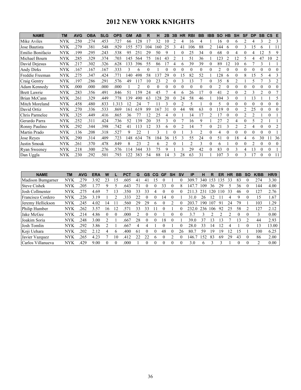# **2012 NEW YORK KNIGHTS**

| <b>NAME</b>         | <b>TM</b>  | <b>AVG</b> | <b>OBA</b> | <b>SLG</b> | <b>OPS</b> | <b>GM</b> | <b>AB</b> | R   | н   | 2B             | 3B       | <b>HR</b> | <b>RBI</b> | <b>BB</b> | <b>IBB</b> | <b>SO</b> | <b>HB</b>      | <b>SH</b>        | SF             | <b>DP</b> | <b>SB</b>      | <b>CS</b>      | E              |
|---------------------|------------|------------|------------|------------|------------|-----------|-----------|-----|-----|----------------|----------|-----------|------------|-----------|------------|-----------|----------------|------------------|----------------|-----------|----------------|----------------|----------------|
| Mike Aviles         | NYK        | .250       | .274       | .453       | .727       | 66        | 128       |     | 32  | 10             |          | 4         | 16         |           |            | 16        | $\theta$       | 6                |                |           | 3              | $\overline{c}$ | 3              |
| Jose Bautista       | <b>NYK</b> | .279       | .381       | 548        | .929       | 155       | 573       | 104 | 160 | 25             | 3        | 41        | 106        | 88        | 2          | 44        | 6              | 0                | 3              | 5         | 6              |                | 11             |
| Emilio Bonifacio    | <b>NYK</b> | .199       | .295       | .243       | .538       | 95        | 251       | 29  | 50  | 9              |          | 0         | 25         | 34        | $\theta$   | 68        | $\theta$       | 4                | $\theta$       | 4         | 12             | 5              | 9              |
| Michael Bourn       | <b>NYK</b> | .285       | .329       | 374        | .703       | 145       | 564       | 75  | 161 | 43             |          |           | 51         | 36        |            | 123       |                | 12               | 5              | 4         | 47             | 10             | $\overline{2}$ |
| David Dejesus       | NYK        | .217       | 302        | 326        | .628       | 133       | 396       | 55  | 86  |                | 4        | 6         | 39         | 39        | $\theta$   | 89        | 12             | 10               | 6              |           | 3              |                |                |
| <b>Andy Dirks</b>   | NYK        | .167       | .167       | .167       | .333       | 3         | 6         |     |     | 0              | $\theta$ | $\Omega$  | 0          | 0         | 0          | 2         | $\Omega$       | $\theta$         | $\Omega$       | 0         | $\overline{0}$ | 0              | 0              |
| Freddie Freeman     | <b>NYK</b> | .275       | .347       | .424       | .771       | 140       | 498       | 58  | 137 | 29             |          | 15        | 82         | 52        |            | 128       | 6              | $\theta$         | 8              | .5        | 5              | 4              | 3              |
| Craig Gentry        | <b>NYK</b> | .197       | .286       | .291       | .576       | 49        | 117       | 10  | 23  | $\overline{2}$ |          | 3         | 13         |           | $\theta$   | 35        | 8              | $\overline{c}$   |                |           |                | 3              | $\overline{c}$ |
| Adam Kennedy        | NYK        | .000       | .000       | .000       | .000       |           | 2         | 0   | 0   | 0              | $\Omega$ | 0         | 0          | 0         | 0          | 2         | $\Omega$       | $\theta$         | $\Omega$       |           | $\overline{0}$ | $\theta$       | $\theta$       |
| <b>Brett Lawrie</b> | <b>NYK</b> | .283       | .356       | .491       | .846       | 51        | 159       | 24  | 45  |                | 4        | 6         | 26         | 17        | $\theta$   | 41        | 2              | $\theta$         | 2              |           | $\overline{2}$ | $\theta$       |                |
| Brian McCann        | NYK        | .261       | 329        | .449       | .778       | 139       | 490       | 63  | 128 | 20             | $\theta$ | 24        | 58         | 46        |            | 104       | 3              | $\Omega$         |                | 13        |                |                | 5              |
| Mitch Moreland      | NYK        | .458       | .480       | .833       | 1.313      | 12        | 24        |     | 11  | 3              | $\theta$ | 2         | 5          |           | 0          | 5         | $\theta$       | $\theta$         | $\theta$       |           | $\Omega$       | $\theta$       | $\Omega$       |
| David Ortiz         | NYK        | .270       | 336        | .533       | .869       | 161       | 619       | 89  | 167 | 31             |          | 44        | 98         | 63        | 0          | .19       | $\theta$       | 0                | 2              | 25        | $\theta$       | 0              | $\Omega$       |
| Chris Parmelee      | NYK        | 325        | .449       | .416       | .865       | 36        | 77        | 12  | 25  | 4              | $\theta$ |           | 14         | 17        |            | 17        | $\theta$       | $\theta$         | $\overline{c}$ | 2         |                | $\theta$       |                |
| Gerardo Parra       | NYK        | .252       | 311        | 424        | .736       | 52        | 139       | 20  | 35  | 3              | $\Omega$ |           | 16         | 9         |            | 27        | $\mathfrak{D}$ | 4                | $\Omega$       | 5         | $\mathfrak{D}$ |                |                |
| Ronny Paulino       | NYK        | .292       | 344        | .398       | .742       | 41        | 113       | 12  | 33  | 6              |          | 2         | 14         |           | 0          | 21        | 3              | 2                | $\overline{2}$ | 4         | $\overline{0}$ | 0              | 2              |
| Martin Prado        | NYK        | .136       | .208       | .318       | .527       | 9         | 22        |     | 3   |                | $\theta$ |           | 3          | 2         | $\theta$   | 4         | $\theta$       | $\theta$         | $\theta$       | $\theta$  | $\theta$       | $\theta$       |                |
| Jose Reyes          | NYK        | .290       | .314       | .409       | .723       | 148       | 634       | 78  | 184 | 36             | 15       | 3         | 55         | 24        | $\theta$   | 51        | $\theta$       | 18               | 4              | 6         | 30             | 11             | 36             |
| Justin Smoak        | NYK        | .261       | 370        | .478       | .849       | 8         | 23        | 2   | 6   | 2              | $\theta$ |           | 2          | 3         | $\theta$   | 6         |                | $\boldsymbol{0}$ | $\theta$       | 2         | $\theta$       | $\mathbf{0}$   | 0              |
| <b>Ryan Sweeney</b> | <b>NYK</b> | .218       | .300       | .276       | .576       | 14        | 344       | 33  | 75  | 9              |          | 3         | 29         | 42        | 0          | 83        | $\Omega$       | 3                | 4              | 3         | $\Omega$       | $\theta$       |                |
| Dan Uggla           | NYK        | .230       | .292       | .501       | .793       | 122       | 383       | 54  | 88  | 14             |          | 28        | 63         | 31        |            | 107       | 3              | 0                | $\mathcal{E}$  |           | $\Omega$       | $\theta$       | 11             |

| <b>NAME</b>              | ТM         | <b>AVG</b> | <b>ERA</b> | W          |    | PC1  | G  | <b>GS</b> | <b>CG</b> | <b>GF</b> | <b>SH</b> | <b>SV</b> | ΙP              | н    | R   | ER  | НR | BB | <b>SO</b> | K/BB | HR/9  |
|--------------------------|------------|------------|------------|------------|----|------|----|-----------|-----------|-----------|-----------|-----------|-----------------|------|-----|-----|----|----|-----------|------|-------|
| <b>Madison Bumgarner</b> | NYK        | .279       | 3.92       | 23         | .5 | .605 | 41 | 4 J       | h         |           |           |           | 309.            | 340  | 53  | 35  | 33 | 83 |           | 274  | 3.30  |
| <b>Steve Cishek</b>      | NYK        | .205       |            |            |    | .643 |    |           |           | 33        |           | 8         | 147             | 09   | 36  | 29  |    | 36 |           | 144  | 4.00  |
| Josh Collmenter          | <b>NYK</b> |            | 4.69       |            | 3  | 350  | 33 | 33        | 4         | $\Omega$  |           |           | 3               | 231  | 20  |     | 33 | 46 |           | 127  | 2.76  |
| Francisco Cordero        | NYK        | 226        | 3.19       |            |    | 333  | 22 |           |           | 14        |           |           | 31.0            | 26   |     |     | 4  |    |           | 15   | l.67  |
| Jeremy Hellickson        | <b>NYK</b> | 245        | 4.02       | 4          |    | .560 | 29 | 29        |           |           |           |           | 203             | 90 ا | 107 | -91 | 24 | 79 |           | 103  | 1.29  |
| Philip Humber            | <b>NYK</b> | .262       | 3.57       | $\sqrt{2}$ |    | 57   | 33 | 33        |           |           |           |           | 232<br>$\alpha$ | 236  | 106 | 92  | 25 | 58 |           | 127  | 2.12  |
| Jake McGee               | NYK        | .214       | 4.86       |            |    | .000 |    |           |           |           |           |           | 35              |      |     |     |    |    |           |      | 0.00  |
| Joakim Soria             | NYK        | 248        | 3.00       |            |    | .667 | 28 |           |           | 18        |           |           | 39.0            | 37   |     |     |    | 3  |           | 44   | 2.93  |
| Josh Tomlin              | NYK        | 292        | 3.86       |            |    | .667 | 4  |           |           |           |           | $\Omega$  | 28.0            | 33   | 14  | 12  |    |    |           | 13   | 13.00 |
| Koji Uehara              | NYK        | .202       | 2.12       |            | h  | .400 | 61 |           |           | 48        |           | 26        | 80.7            | 59   | 19  | 19  | 2  | 5  |           | 100  | 6.25  |
| Javier Vazquez           | <b>NYK</b> | 265        | 4.23       |            | 10 | .412 |    | 22        | h         |           |           |           | 146.1           | 52   | 83  | 69  | 29 | 43 |           | 86   | 2.00  |
| Carlos Villanueva        | NYK        | .429       | 9.00       |            |    | .000 |    |           |           | $\theta$  |           |           | 3.0             | h.   |     |     |    |    |           |      | 0.00  |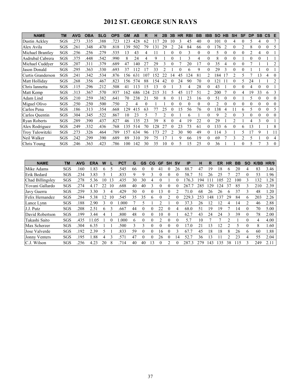# **2012 ST. GEORGE SUN RAYS**

| <b>NAME</b>         | ΤM  | <b>AVG</b> | <b>OBA</b> | <b>SLG</b> | <b>OPS</b> | <b>GM</b>      | AB  | R   | н   | 2B | 3B       | <b>HR</b> | <b>RBI</b> | <b>BB</b>   | <b>IBB</b> | <b>SO</b> | <b>HB</b>      | <b>SH</b> | <b>SF</b>     | <b>DP</b>      | <b>SB</b> | $\mathsf{cs}$ | Е        |
|---------------------|-----|------------|------------|------------|------------|----------------|-----|-----|-----|----|----------|-----------|------------|-------------|------------|-----------|----------------|-----------|---------------|----------------|-----------|---------------|----------|
| Dustin Ackley       | SGS | 273        | .335       | 388        | .723       | 123            | 428 | 62  |     | 20 | 10       |           | 45         | 40          | 0          | 101       |                |           |               |                | 4         |               |          |
| Alex Avila          | SGS | 261        | .348       | .470       | .818       | 139            | 502 | 79  | 131 | 29 |          | 24        | 84         | 66          | $\theta$   | 76        | 2              |           |               | 8              | 0         |               |          |
| Michael Brantley    | SGS | .256       | .256       | .279       | .535       | 13             | 43  | 4   |     |    |          |           | 3          | $\theta$    | $\theta$   | ↖.        | $\Omega$       | $\Omega$  | $\Omega$      | $\mathfrak{D}$ | 4         |               |          |
| Asdrubal Cabrera    | SGS | 375        | .448       | .542       | .990       | 8              | 24  | 4   | 9   |    |          |           | 3          |             | $\theta$   | 8         | $\theta$       | $\theta$  |               | $\theta$       | 0         |               |          |
| Michael Cuddyer     | SGS | 207        | 311        | 379        | .689       | 47             | 40  | 27  | 29  |    |          |           | 20         | 17          | 0          | 35        |                |           |               |                |           |               |          |
| Jason Donald        | SGS | 295        | .363       | 330        | .693       | 37             | 12  |     | 33  |    |          |           | 6          | $\mathbf Q$ | 0          | 29        | 3              | 0         |               |                |           | 0             |          |
| Curtis Granderson   | SGS | 241        | .342       | .534       | 876        | 156            | 631 | 107 | .52 | 22 | 14       | 45        | 124        | 81          | 2          | 184       | 17             | 2         | 5             |                | 13        | 4             | $\Omega$ |
| Matt Holliday       | SGS | 268        | .356       | .467       | .823       | 156            | 574 | 88  | 154 | 42 |          | 24        | 90         | 70          | 0          | 121       |                |           | 5             | 24             |           |               |          |
| Chris Iannetta      | SGS | .115       | .296       | .212       | .508       | 41             | 13  | 15  | 13  |    |          | ٦         | 4          | 28          | $\theta$   | 43        |                |           |               | 4              |           |               |          |
| Matt Kemp           | SGS | 313        | .367       | .570       | 937        | 162            | 686 | 124 | 215 | 31 |          | 45        |            | 51          |            | 200       |                | 0         | 4             | 19             | 33        | 6             |          |
| Adam Lind           | SGS | 210        | .259       | 382        | .641       | 70             | 238 | 21  | 50  | 8  |          |           | 23         | 16          | $\Omega$   | 51        | $\theta$       | 0         |               | 5              | 0         | $\Omega$      | $\Omega$ |
| Miguel Olivo        | SGS | 250        | 250        | 500        | .750       | $\overline{c}$ | 4   | 0   |     |    |          |           | 0          | $\theta$    | $\Omega$   |           |                | 0         |               | 0              | 0         | $\Omega$      | $\Omega$ |
| Carlos Pena         | SGS | 186        | .313       | 354        | .668       | 129            | 415 | 63  |     | 25 |          | 15        | 56         | 76          | 0          | 38        | 4              |           | 6             | 5              | 0         | 0             |          |
| Carlos Quentin      | SGS | 304        | .345       | .522       | .867       | 10             | 23  | 5   |     | 2  | $\theta$ |           | 6          |             | $\theta$   | 9         | $\mathfrak{D}$ | $\Omega$  | 3             | $\Omega$       | 0         | $\Omega$      | $\theta$ |
| <b>Ryan Roberts</b> | SGS | 289        | .390       | .437       | .827       | 46             | 135 | 23  | 39  | 8  |          | 4         | 19         | 22          | $\theta$   | 29        |                | 2         |               | 4              | 3         | $\theta$      |          |
| Alex Rodriguez      | SGS | 249        | .332       | .436       | .768       | 135            | 514 | 70  | 128 | 27 |          | 23        | 73         | 61          | 0          | 133       | 6              | 0         | 6             | 13             |           |               |          |
| Troy Tulowitzki     | SGS | .273       | .326       | .464       | .789       | 157            | 634 | 96  | .73 | 27 |          | 30        | 90         | 49          | $\theta$   | 14        |                |           | 5             |                | 9         |               |          |
| Neil Walker         | SGS | 242        | 299        | .390       | .689       | 89             | 310 | 39  | 75  |    |          | 9         | 66         | 19          | 0          | 69        |                | 3         | $\mathcal{D}$ |                |           |               | 4        |
| Chris Young         | SGS | 246        | 363        | 423        | .786       | 100            | 142 | 30  | 35  | 10 |          |           | 15         | 25          | 0          | 36        |                |           |               |                |           | 3             | $\Omega$ |

| <b>NAME</b>          | <b>TM</b>  | <b>AVG</b> | <b>ERA</b> | w  |          | <b>PCT</b> | G  | <b>GS</b>     | <b>CG</b>  | GF | <b>SH</b>  | <b>SV</b>    | IP    | н   | R   | ER             | ΗR            | <b>BB</b> | <b>SO</b> | K/BB | HR/9 |
|----------------------|------------|------------|------------|----|----------|------------|----|---------------|------------|----|------------|--------------|-------|-----|-----|----------------|---------------|-----------|-----------|------|------|
| Mike Adams           | SGS        | 160        | 1.83       | 6  |          | .545       | 66 |               |            | 41 |            | 26           | 88.7  | 47  | 19  | 18             | 6             | 20        | 4         | 83   | 3.46 |
| Erik Bedard          | SGS        | 234        | 3.83       |    |          | .833       | 9  | 9             | ζ          | 0  |            |              | 58.7  | 51  | 26  | 25             |               | 27        | 0         | 53   | 1.96 |
| Chad Billingsley     | SGS        | .278       | 5.36       | 10 | 3        | .435       | 30 | 30            | 4          | 0  |            | $\mathbf{I}$ | 76.3  | 194 |     | -05            | 22            | 100       | 3         | 132  | 1.28 |
| Yovani Gallardo      | <b>SGS</b> | 274        | 4.17       | 22 | 10       | .688       | 40 | 40            |            |    |            |              | 267   | 285 | 29  | 24             | 37            | 85        | 3         | 210  | 2.39 |
| Javy Guerra          | SGS        | 259        | 3.30       | 3  |          | .429       | 50 | $\Omega$      | 0          | 3  | 0          |              | 71.0  | 68  | 26  | 26             | h             | 37        | 3         | 48   | 1.20 |
| Felix Hernandez      | SGS        | 284        | 5.38       | 12 | $\theta$ | 545        | 35 | 35            | 6          |    |            |              | 229.  | 253 | 48  | .37            | 29            | 84        | 6         | 203  | 2.26 |
| Lance Lynn           | SGS        | 188        | 2.90       | 3  |          | .000       |    |               |            |    |            |              | 37.3  | 26  | 12  | $\overline{2}$ | 4             | 14        | 2         | 46   | 2.88 |
| J.J. Putz            | SGS        | 208        | 2.51       | h  |          | .667       | 44 | $\Omega$      |            | 22 |            | 4            | 68.0  | 51  | 19  | 19             |               | 14        | 0         | 70   | 5.00 |
| David Robertson      | <b>SGS</b> | 199        | 3.44       |    |          | .800       | 48 | $\Omega$      | 0          | 10 |            |              | 62.7  | 43  | 24  | 24             | 3             | 39        | $\theta$  | 78   | 2.00 |
| Takashi Saito        | SGS        | .435       | 1.05       |    |          | .000       | 6  | $\Omega$      |            | 2  | $\theta$   |              | 57    | 10  |     |                | $\mathcal{D}$ |           | $\Omega$  | 4    | 4.00 |
| Max Scherzer         | SGS        | .304       | 6.35       |    |          | .500       | 3  | $\mathcal{L}$ | $^{\circ}$ | 0  |            | $\left($     | 17.0  | 21  | ا 3 | $\overline{2}$ |               | ↖         | $\theta$  | 8    | 1.60 |
| Jose Valverde        | SGS        | 192        | 2.39       | 5  |          | .833       | 59 | $\Omega$      | $^{(1)}$   | 16 | $^{\circ}$ | ζ            | 67.7  | 45  | 18  | 18             | 8             | 26        | 6         | 60   | 1.88 |
| <b>Jonny Venters</b> | SGS        | .195       | 1.88       |    |          | 571        | 47 |               |            | 26 | o          | 14           | 52.7  | 36  | 13  |                |               | 23        | 4         | 55   | 2.04 |
| C.J. Wilson          | SGS        | 256        | 4.23       | 20 | 8        | .714       | 40 | 40            | 3          | 0  |            | $\left($     | 287.3 | 279 | 143 | 135            | 38            | 15        | 3         | 249  | 2.11 |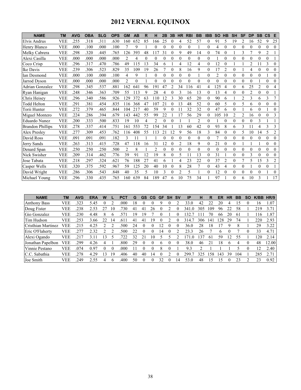# **2012 VERNAL EQUINOX**

| <b>NAME</b>             | <b>TM</b>  | <b>AVG</b> | <b>OBA</b> | <b>SLG</b> | <b>OPS</b> | <b>GM</b>      | <b>AB</b> | R  | н        | 2B       | 3B       | <b>HR</b> | <b>RBI</b> | BB       | <b>IBB</b>   | <b>SO</b>      | HB             | <b>SH</b>      | <b>SF</b>        | <b>DP</b> | <b>SB</b> | <b>CS</b>      | E              |
|-------------------------|------------|------------|------------|------------|------------|----------------|-----------|----|----------|----------|----------|-----------|------------|----------|--------------|----------------|----------------|----------------|------------------|-----------|-----------|----------------|----------------|
| Elvis Andrus            | <b>VEE</b> | .255       | 318        | .311       | .630       | 160            | 652       | 85 | 166      | 25       | $\theta$ | 4         | 52         | 57       | $\mathbf{0}$ | 91             | 5              | 19             | 2                | 16        | 52        | 9              | 25             |
| Henry Blanco            | <b>VEE</b> | .000       | .100       | .000       | .100       |                | 9         |    | $\Omega$ | $\theta$ | $\theta$ | $\theta$  | $\theta$   |          | $\Omega$     | 4              | $\theta$       | $\theta$       | $\theta$         | $\theta$  | $\theta$  | $\Omega$       | $\Omega$       |
| Melky Cabrera           | <b>VEE</b> | .298       | .320       | .445       | .765       | 126            | 393       | 48 | 117      | 31       | $\Omega$ | 9         | 49         | 14       | $\Omega$     | 74             | $\theta$       |                | 3                |           | 9         | $\overline{c}$ |                |
| Alexi Casilla           | <b>VEE</b> | .000       | .000       | 000        | .000       | 2              | 4         | 0  | 0        | $\theta$ | $\theta$ | $\theta$  | $\theta$   | $\theta$ | $\theta$     |                | $\theta$       | $\theta$       | $\theta$         | $\theta$  | $\theta$  | $\Omega$       |                |
| Coco Crisp              | <b>VEE</b> | .296       | .317       | .470       | .786       | 49             | 115       | 13 | 34       | 6        |          | 4         | 12         | 4        | $\Omega$     | 12             | $\theta$       |                |                  | 2         |           | 3              | $\Omega$       |
| Ike Davis               | <b>VEE</b> | .239       | .306       | .523       | .829       | 35             | 109       | 19 | 26       | 7        | $\theta$ | 8         | 16         | 9        | $\theta$     | 17             | $\overline{2}$ | $\theta$       |                  | 4         | $\theta$  | $\theta$       | $\theta$       |
| Ian Desmond             | <b>VEE</b> | .000       | .100       | .000       | .100       | 4              | 9         |    | $\Omega$ | $\theta$ | $\theta$ | $\theta$  | $\theta$   |          | $\Omega$     | $\mathfrak{D}$ | $\theta$       | $\Omega$       | $\theta$         | $\theta$  | $\theta$  |                | $\Omega$       |
| Jarrod Dyson            | <b>VEE</b> | .000       | .000       | .000       | .000       | $\overline{2}$ | $\theta$  |    | $\Omega$ | $\theta$ | 0        | $\theta$  | $\Omega$   | $\theta$ | $\Omega$     | 0              | $\theta$       | $\theta$       | $\Omega$         | $\theta$  |           | $\Omega$       | $\theta$       |
| <b>Adrian Gonzalez</b>  | VEE        | .298       | .345       | .537       | .881       | 162            | 641       | 96 | 191      | 47       |          | 34        | 116        | 41       | 4            | 125            | 4              | $\theta$       | 6                | 25        | 2         | $\theta$       | 4              |
| Ryan Hanigan            | VEE        | .248       | .346       | .363       | .709       | 55             | 113       | 9  | 28       | 4        | $\Omega$ | 3         | 16         | 13       | $\Omega$     | 13             | $\overline{4}$ | $\theta$       | $\theta$         | 2         | $\theta$  | $\theta$       |                |
| Chris Heisey            | VEE        | .296       | .340       | .586       | .926       | 129            | 372       | 63 | 110      | 12       | 3        | 30        | 65         | 20       | $\Omega$     | 90             | 6              |                | 2                | 3         | 6         | 3              |                |
| Todd Helton             | <b>VEE</b> | .291       | .381       | .454       | .835       | 116            | 368       | 47 | 107      | 21       |          | 13        | 48         | 52       | $\theta$     | 60             | 5              | $\theta$       | 5                | 6         | $\theta$  | $\Omega$       | $\Omega$       |
| Torii Hunter            | <b>VEE</b> | .272       | 379        | .465       | .844       | 104            | 217       | 40 | 59       | 9        | $\theta$ |           | 32         | 32       | $\theta$     | 47             | 6              | $\theta$       |                  | 6         | $\theta$  |                | $\Omega$       |
| Miguel Montero          | <b>VEE</b> | 224        | .286       | 394        | .679       | 143            | 442       | 55 | 99       | 22       |          | 17        | 56         | 29       | $\theta$     | 105            | 10             | $\overline{c}$ | $\overline{c}$   | 16        | $\theta$  | $\Omega$       | 3              |
| Eduardo Nunez           | <b>VEE</b> | .200       | .333       | .500       | .833       | 19             | 10        | 4  | 2        | $\theta$ | $\Omega$ |           |            | 2        | $\theta$     |                | $\theta$       | $\Omega$       | $\Omega$         | $\theta$  | 3         |                |                |
| <b>Brandon Phillips</b> | <b>VEE</b> | .278       | 337        | .414       | .751       | 161            | 553       | 72 | 154      | 34       |          | 13        | 60         | 42       | $\theta$     | 93             | 8              | 6              | 3                | 11        | 4         | 3              | 3              |
| Alex Presley            | <b>VEE</b> | .277       | .309       | .453       | .762       | 116            | 408       | 55 | 113      | 21       | 12       | 9         | 56         | 18       | 3            | 84             | $\theta$       | $\Omega$       | 5                | 10        | 14        | 5              | $\mathfrak{D}$ |
| David Ross              | <b>VEE</b> | .091       | .091       | .091       | .182       | 3              | 11        |    |          | $\theta$ | $\Omega$ | $\theta$  | $\theta$   | $\theta$ | $\Omega$     |                | $\theta$       | $\theta$       | $\theta$         | $\theta$  | $\theta$  | $\Omega$       | $\Omega$       |
| Jerry Sands             | VEE        | .263       | .313       | .415       | .728       | 47             | 118       | 16 | 31       | 12       |          | 2         | 18         | 9        | $\Omega$     | 21             | $\theta$       | $\theta$       |                  |           |           | $\theta$       | $\theta$       |
| Denard Span             | <b>VEE</b> | .250       | 250        | .250       | .500       | 2              | 8         |    | 2        | $\theta$ | $\theta$ | $\theta$  | $\theta$   | $\theta$ | $\theta$     | $\theta$       | $\theta$       | $\theta$       | $\theta$         | $\theta$  | $\theta$  | $\theta$       | $\theta$       |
| Nick Swisher            | <b>VEE</b> | .209       | 314        | .462       | .776       | 39             | 91        | 12 | 19       | 8        | $\Omega$ | 5         | 11         | 13       | $\Omega$     | 31             |                | $\Omega$       | $\Omega$         | 3         | $\theta$  | $\Omega$       | $\Omega$       |
| Jose Tabata             | <b>VEE</b> | .218       | .297       | .324       | .621       | 76             | 188       | 27 | 41       | 6        |          | 4         | 23         | 22       | $\theta$     | 37             | $\overline{2}$ | $\Omega$       | 7                | 5         | 15        | 3              | $\overline{2}$ |
| Casper Wells            | <b>VEE</b> | .320       | 375        | .592       | .967       | 59             | 125       | 20 | 40       | 10       | $\theta$ | 8         | 28         |          | $\Omega$     | 43             | $\overline{4}$ | $\theta$       | $\boldsymbol{0}$ |           | $\theta$  | $\Omega$       |                |
| David Wright            | VEE        | .286       | .306       | .543       | .848       | 40             | 35        | 5  | 10       | 3        | $\Omega$ | 2         | 5          |          | $\Omega$     | 12             | $\theta$       | $\theta$       | $\Omega$         | $\theta$  | $\theta$  |                | $\theta$       |
| Michael Young           | VEE        | 296        | 330        | 435        | .765       | 160            | 639       | 84 | 189      | 47       |          | 10        | 75         | 34       |              | 97             |                | 0              | 6                | 10        |           |                | 17             |

| <b>NAME</b>         | ΤM         | <b>AVG</b> | <b>ERA</b> | W |    | <b>PCT</b> | G  | GS       | CG | <b>GF</b> | <b>SH</b> | .SV      | ΙP    | н   | R   | ER | НR | BВ  | SO | K/BB | HR/9  |
|---------------------|------------|------------|------------|---|----|------------|----|----------|----|-----------|-----------|----------|-------|-----|-----|----|----|-----|----|------|-------|
| <b>Anthony Bass</b> | <b>VEE</b> | .323       | 5.45       |   |    | .000       | 18 |          |    |           | 0         |          | 33.0  | 42  |     | 20 |    | ÷.  |    | 16   | 1.07  |
| Doug Fister         | VEE        | 238        | 2.53       |   | 10 | 730        | 41 | 41       | 26 |           |           |          | 341   | 305 | 109 | 96 | 22 | 58  |    | 219  | 3.71  |
| Gio Gonzalez        | <b>VEE</b> | 230        | 4.48       | 8 | 6  | 57         | 19 | 19       |    |           |           |          | 32    |     | 70  | 66 | 20 | 61  |    | 16   | . 87  |
| Tim Hudson          | VEE        | 253        | 3.66       |   | 14 | .611       | 41 | 41       | 19 |           |           |          | 314.  | 306 | 41  | 28 | 29 | 74  |    | 220  | 2.93  |
| Cristhian Martinez  | VEE        | 215        | 4.25       |   |    | 500        | 24 | $\theta$ |    |           |           |          | 36.0  | 28  | 18  |    | 9  | x   |    | 29   | 3.22  |
| Eric O'Flaherty     | VEE        | 277        | 2.32       |   |    | .500       | 22 |          |    | 14        |           |          | 23.3  | 26  |     | 6  |    |     |    | 33   | 4.71  |
| Alexi Ogando        | <b>VEE</b> | .217       | 3.11       | 3 |    | 722        | 32 | 21       | 10 |           |           |          |       | 37ء | 61  | 59 |    | 55  |    | 120  | 2.14  |
| Jonathan Papelbon   | VEE        | 299        | 4.26       |   |    | 800        | 29 |          |    |           |           |          | 38.0  | 46  | 21  | 18 |    |     |    | 48   | 12.00 |
| Vinnie Pestano      | <b>VEE</b> | .074       | 0.97       | 0 |    | .000       |    |          |    | 8         | 0         |          | 9.3   |     |     |    |    |     |    | 12   | 2.40  |
| Sabathia<br>IC.C.   | <b>VEE</b> | 278        | 4.29       | 3 | 19 | .406       | 40 | 40       | 14 |           |           | $\theta$ | 299.7 | 325 | -58 | 43 | 39 | 104 |    | 285  | 2.71  |
| Joe Smith           | VEE        | 249        | 2.55       |   | h  | 400        | 50 |          | 0  | 32        |           | 4        | 53.0  | 48  | 15  | 5، |    | 23  |    | 23   | 0.92  |